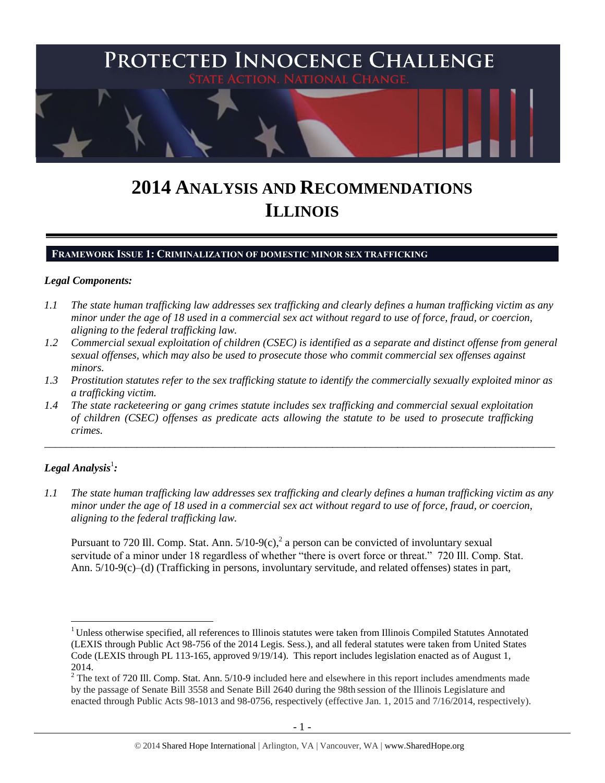

# **2014 ANALYSIS AND RECOMMENDATIONS ILLINOIS**

#### **FRAMEWORK ISSUE 1: CRIMINALIZATION OF DOMESTIC MINOR SEX TRAFFICKING**

#### *Legal Components:*

- *1.1 The state human trafficking law addresses sex trafficking and clearly defines a human trafficking victim as any minor under the age of 18 used in a commercial sex act without regard to use of force, fraud, or coercion, aligning to the federal trafficking law.*
- *1.2 Commercial sexual exploitation of children (CSEC) is identified as a separate and distinct offense from general sexual offenses, which may also be used to prosecute those who commit commercial sex offenses against minors.*
- *1.3 Prostitution statutes refer to the sex trafficking statute to identify the commercially sexually exploited minor as a trafficking victim.*

\_\_\_\_\_\_\_\_\_\_\_\_\_\_\_\_\_\_\_\_\_\_\_\_\_\_\_\_\_\_\_\_\_\_\_\_\_\_\_\_\_\_\_\_\_\_\_\_\_\_\_\_\_\_\_\_\_\_\_\_\_\_\_\_\_\_\_\_\_\_\_\_\_\_\_\_\_\_\_\_\_\_\_\_\_\_\_\_\_\_\_\_\_\_

*1.4 The state racketeering or gang crimes statute includes sex trafficking and commercial sexual exploitation of children (CSEC) offenses as predicate acts allowing the statute to be used to prosecute trafficking crimes.* 

# $\bm{L}$ egal Analysis $^1$ :

 $\overline{a}$ 

*1.1 The state human trafficking law addresses sex trafficking and clearly defines a human trafficking victim as any minor under the age of 18 used in a commercial sex act without regard to use of force, fraud, or coercion, aligning to the federal trafficking law.*

<span id="page-0-0"></span>Pursuant to 720 Ill. Comp. Stat. Ann.  $5/10-9(c)$ , a person can be convicted of involuntary sexual servitude of a minor under 18 regardless of whether "there is overt force or threat." 720 Ill. Comp. Stat. Ann. 5/10-9(c)–(d) (Trafficking in persons, involuntary servitude, and related offenses) states in part,

<sup>&</sup>lt;sup>1</sup> Unless otherwise specified, all references to Illinois statutes were taken from Illinois Compiled Statutes Annotated (LEXIS through Public Act 98-756 of the 2014 Legis. Sess.), and all federal statutes were taken from United States Code (LEXIS through PL 113-165, approved 9/19/14). This report includes legislation enacted as of August 1, 2014.

 $2$  The text of 720 Ill. Comp. Stat. Ann. 5/10-9 included here and elsewhere in this report includes amendments made by the passage of Senate Bill 3558 and Senate Bill 2640 during the 98th session of the Illinois Legislature and enacted through Public Acts 98-1013 and 98-0756, respectively (effective Jan. 1, 2015 and 7/16/2014, respectively).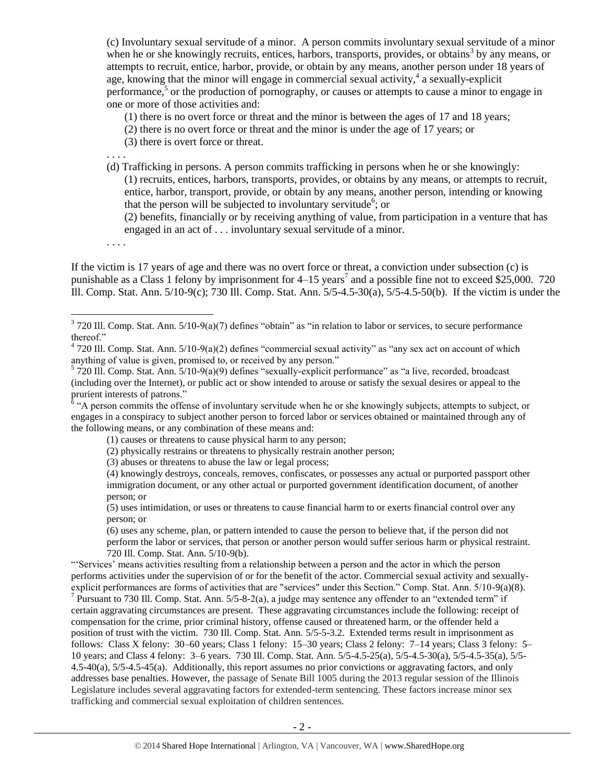(c) Involuntary sexual servitude of a minor. A person commits involuntary sexual servitude of a minor when he or she knowingly recruits, entices, harbors, transports, provides, or obtains<sup>3</sup> by any means, or attempts to recruit, entice, harbor, provide, or obtain by any means, another person under 18 years of age, knowing that the minor will engage in commercial sexual activity,<sup>4</sup> a sexually-explicit performance, $5$  or the production of pornography, or causes or attempts to cause a minor to engage in one or more of those activities and:

(1) there is no overt force or threat and the minor is between the ages of 17 and 18 years;

- (2) there is no overt force or threat and the minor is under the age of 17 years; or
- (3) there is overt force or threat.

. . . .

(d) Trafficking in persons. A person commits trafficking in persons when he or she knowingly: (1) recruits, entices, harbors, transports, provides, or obtains by any means, or attempts to recruit, entice, harbor, transport, provide, or obtain by any means, another person, intending or knowing that the person will be subjected to involuntary servitude<sup>6</sup>; or

<span id="page-1-0"></span>(2) benefits, financially or by receiving anything of value, from participation in a venture that has engaged in an act of . . . involuntary sexual servitude of a minor.

. . . .

 $\overline{a}$ 

If the victim is 17 years of age and there was no overt force or threat, a conviction under subsection (c) is punishable as a Class 1 felony by imprisonment for  $4-15$  years<sup>7</sup> and a possible fine not to exceed \$25,000. 720 Ill. Comp. Stat. Ann. 5/10-9(c); 730 Ill. Comp. Stat. Ann. 5/5-4.5-30(a), 5/5-4.5-50(b). If the victim is under the

engages in a conspiracy to subject another person to forced labor or services obtained or maintained through any of the following means, or any combination of these means and:

- (2) physically restrains or threatens to physically restrain another person;
- (3) abuses or threatens to abuse the law or legal process;
- (4) knowingly destroys, conceals, removes, confiscates, or possesses any actual or purported passport other immigration document, or any other actual or purported government identification document, of another person; or

(6) uses any scheme, plan, or pattern intended to cause the person to believe that, if the person did not perform the labor or services, that person or another person would suffer serious harm or physical restraint. 720 Ill. Comp. Stat. Ann. 5/10-9(b).

"'Services' means activities resulting from a relationship between a person and the actor in which the person performs activities under the supervision of or for the benefit of the actor. Commercial sexual activity and sexuallyexplicit performances are forms of activities that are "services" under this Section." Comp. Stat. Ann. 5/10-9(a)(8). <sup>7</sup> Pursuant to 730 Ill. Comp. Stat. Ann. 5/5-8-2(a), a judge may sentence any offender to an "extended term" if certain aggravating circumstances are present. These aggravating circumstances include the following: receipt of compensation for the crime, prior criminal history, offense caused or threatened harm, or the offender held a position of trust with the victim. 730 Ill. Comp. Stat. Ann. 5/5-5-3.2. Extended terms result in imprisonment as follows: Class X felony: 30–60 years; Class 1 felony: 15–30 years; Class 2 felony: 7–14 years; Class 3 felony: 5– 10 years; and Class 4 felony: 3–6 years. 730 Ill. Comp. Stat. Ann. 5/5-4.5-25(a), 5/5-4.5-30(a), 5/5-4.5-35(a), 5/5- 4.5-40(a), 5/5-4.5-45(a). Additionally, this report assumes no prior convictions or aggravating factors, and only addresses base penalties. However, the passage of Senate Bill 1005 during the 2013 regular session of the Illinois Legislature includes several aggravating factors for extended-term sentencing. These factors increase minor sex trafficking and commercial sexual exploitation of children sentences.

 $3720$  Ill. Comp. Stat. Ann.  $5/10-9(a)(7)$  defines "obtain" as "in relation to labor or services, to secure performance thereof."

 $4720$  Ill. Comp. Stat. Ann.  $5/10-9(a)(2)$  defines "commercial sexual activity" as "any sex act on account of which anything of value is given, promised to, or received by any person."<br>
<sup>5</sup> 720 Ill. Comp. Stat. Ann. 5/10-9(a)(9) defines "sexually-explicit performance" as "a live, recorded, broadcast

<sup>(</sup>including over the Internet), or public act or show intended to arouse or satisfy the sexual desires or appeal to the prurient interests of patrons."<br><sup>6</sup> "A person commits the offense of involuntary servitude when he or she knowingly subjects, attempts to subject, or

<sup>(1)</sup> causes or threatens to cause physical harm to any person;

<sup>(5)</sup> uses intimidation, or uses or threatens to cause financial harm to or exerts financial control over any person; or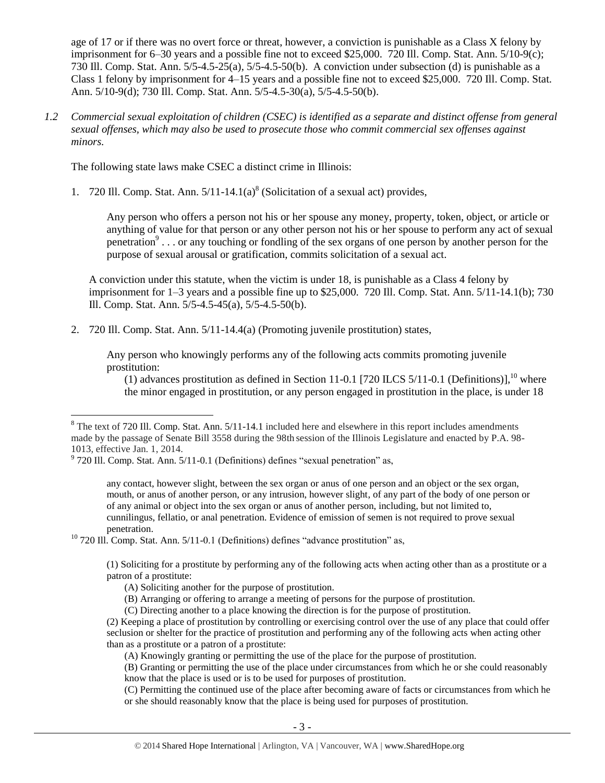age of 17 or if there was no overt force or threat, however, a conviction is punishable as a Class X felony by imprisonment for 6–30 years and a possible fine not to exceed \$25,000. 720 Ill. Comp. Stat. Ann. 5/10-9(c); 730 Ill. Comp. Stat. Ann. 5/5-4.5-25(a), 5/5-4.5-50(b). A conviction under subsection (d) is punishable as a Class 1 felony by imprisonment for 4–15 years and a possible fine not to exceed \$25,000. 720 Ill. Comp. Stat. Ann. 5/10-9(d); 730 Ill. Comp. Stat. Ann. 5/5-4.5-30(a), 5/5-4.5-50(b).

*1.2 Commercial sexual exploitation of children (CSEC) is identified as a separate and distinct offense from general sexual offenses, which may also be used to prosecute those who commit commercial sex offenses against minors.*

The following state laws make CSEC a distinct crime in Illinois:

1. 720 Ill. Comp. Stat. Ann.  $5/11-14.1(a)^8$  (Solicitation of a sexual act) provides,

<span id="page-2-1"></span><span id="page-2-0"></span>Any person who offers a person not his or her spouse any money, property, token, object, or article or anything of value for that person or any other person not his or her spouse to perform any act of sexual penetration<sup>9</sup>... or any touching or fondling of the sex organs of one person by another person for the purpose of sexual arousal or gratification, commits solicitation of a sexual act.

A conviction under this statute, when the victim is under 18, is punishable as a Class 4 felony by imprisonment for 1–3 years and a possible fine up to \$25,000. 720 Ill. Comp. Stat. Ann. 5/11-14.1(b); 730 Ill. Comp. Stat. Ann. 5/5-4.5-45(a), 5/5-4.5-50(b).

2. 720 Ill. Comp. Stat. Ann. 5/11-14.4(a) (Promoting juvenile prostitution) states,

Any person who knowingly performs any of the following acts commits promoting juvenile prostitution:

(1) advances prostitution as defined in Section 11-0.1 [720 ILCS 5/11-0.1 (Definitions)],<sup>10</sup> where the minor engaged in prostitution, or any person engaged in prostitution in the place, is under 18

 $\overline{a}$ 

any contact, however slight, between the sex organ or anus of one person and an object or the sex organ, mouth, or anus of another person, or any intrusion, however slight, of any part of the body of one person or of any animal or object into the sex organ or anus of another person, including, but not limited to, cunnilingus, fellatio, or anal penetration. Evidence of emission of semen is not required to prove sexual penetration.

<sup>10</sup> 720 Ill. Comp. Stat. Ann. 5/11-0.1 (Definitions) defines "advance prostitution" as,

(1) Soliciting for a prostitute by performing any of the following acts when acting other than as a prostitute or a patron of a prostitute:

(B) Arranging or offering to arrange a meeting of persons for the purpose of prostitution.

 $8$  The text of 720 Ill. Comp. Stat. Ann.  $5/11$ -14.1 included here and elsewhere in this report includes amendments made by the passage of Senate Bill 3558 during the 98th session of the Illinois Legislature and enacted by P.A. 98- 1013, effective Jan. 1, 2014.

 $9^9$  720 Ill. Comp. Stat. Ann. 5/11-0.1 (Definitions) defines "sexual penetration" as,

<sup>(</sup>A) Soliciting another for the purpose of prostitution.

<sup>(</sup>C) Directing another to a place knowing the direction is for the purpose of prostitution.

<sup>(2)</sup> Keeping a place of prostitution by controlling or exercising control over the use of any place that could offer seclusion or shelter for the practice of prostitution and performing any of the following acts when acting other than as a prostitute or a patron of a prostitute:

<sup>(</sup>A) Knowingly granting or permitting the use of the place for the purpose of prostitution.

<sup>(</sup>B) Granting or permitting the use of the place under circumstances from which he or she could reasonably know that the place is used or is to be used for purposes of prostitution.

<sup>(</sup>C) Permitting the continued use of the place after becoming aware of facts or circumstances from which he or she should reasonably know that the place is being used for purposes of prostitution.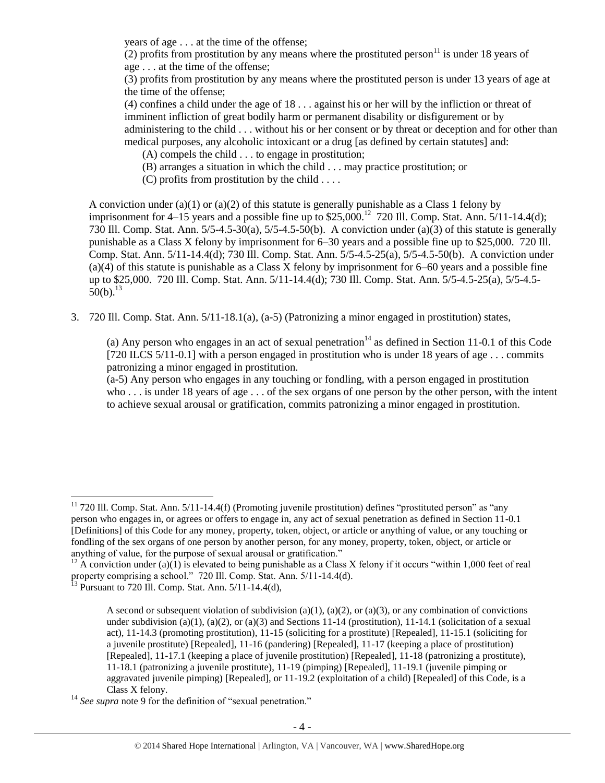years of age . . . at the time of the offense;

(2) profits from prostitution by any means where the prostituted person<sup>11</sup> is under 18 years of age . . . at the time of the offense;

(3) profits from prostitution by any means where the prostituted person is under 13 years of age at the time of the offense;

(4) confines a child under the age of 18 . . . against his or her will by the infliction or threat of imminent infliction of great bodily harm or permanent disability or disfigurement or by administering to the child . . . without his or her consent or by threat or deception and for other than medical purposes, any alcoholic intoxicant or a drug [as defined by certain statutes] and:

(A) compels the child . . . to engage in prostitution;

(B) arranges a situation in which the child . . . may practice prostitution; or

(C) profits from prostitution by the child . . . .

A conviction under (a)(1) or (a)(2) of this statute is generally punishable as a Class 1 felony by imprisonment for 4–15 years and a possible fine up to  $$25,000$ .<sup>12</sup> 720 Ill. Comp. Stat. Ann.  $5/11$ -14.4(d); 730 Ill. Comp. Stat. Ann. 5/5-4.5-30(a), 5/5-4.5-50(b). A conviction under (a)(3) of this statute is generally punishable as a Class X felony by imprisonment for 6–30 years and a possible fine up to \$25,000. 720 Ill. Comp. Stat. Ann. 5/11-14.4(d); 730 Ill. Comp. Stat. Ann. 5/5-4.5-25(a), 5/5-4.5-50(b). A conviction under (a)(4) of this statute is punishable as a Class X felony by imprisonment for 6–60 years and a possible fine up to \$25,000. 720 Ill. Comp. Stat. Ann. 5/11-14.4(d); 730 Ill. Comp. Stat. Ann. 5/5-4.5-25(a), 5/5-4.5-  $50(b).^{13}$ 

<span id="page-3-0"></span>3. 720 Ill. Comp. Stat. Ann. 5/11-18.1(a), (a-5) (Patronizing a minor engaged in prostitution) states,

(a) Any person who engages in an act of sexual penetration<sup>14</sup> as defined in Section 11-0.1 of this Code [720 ILCS 5/11-0.1] with a person engaged in prostitution who is under 18 years of age . . . commits patronizing a minor engaged in prostitution.

(a-5) Any person who engages in any touching or fondling, with a person engaged in prostitution who . . . is under 18 years of age . . . of the sex organs of one person by the other person, with the intent to achieve sexual arousal or gratification, commits patronizing a minor engaged in prostitution.

 $11$  720 Ill. Comp. Stat. Ann.  $5/11-14.4(f)$  (Promoting juvenile prostitution) defines "prostituted person" as "any person who engages in, or agrees or offers to engage in, any act of sexual penetration as defined in Section 11-0.1 [Definitions] of this Code for any money, property, token, object, or article or anything of value, or any touching or fondling of the sex organs of one person by another person, for any money, property, token, object, or article or anything of value, for the purpose of sexual arousal or gratification."

<sup>&</sup>lt;sup>12</sup> A conviction under (a)(1) is elevated to being punishable as a Class X felony if it occurs "within 1,000 feet of real property comprising a school." 720 Ill. Comp. Stat. Ann. 5/11-14.4(d).

 $^{13}$  Pursuant to 720 Ill. Comp. Stat. Ann.  $5/11$ -14.4(d),

A second or subsequent violation of subdivision (a)(1), (a)(2), or (a)(3), or any combination of convictions under subdivision (a)(1), (a)(2), or (a)(3) and Sections 11-14 (prostitution), 11-14.1 (solicitation of a sexual act), 11-14.3 (promoting prostitution), 11-15 (soliciting for a prostitute) [Repealed], 11-15.1 (soliciting for a juvenile prostitute) [Repealed], 11-16 (pandering) [Repealed], 11-17 (keeping a place of prostitution) [Repealed], 11-17.1 (keeping a place of juvenile prostitution) [Repealed], 11-18 (patronizing a prostitute), 11-18.1 (patronizing a juvenile prostitute), 11-19 (pimping) [Repealed], 11-19.1 (juvenile pimping or aggravated juvenile pimping) [Repealed], or 11-19.2 (exploitation of a child) [Repealed] of this Code, is a Class X felony.

<sup>&</sup>lt;sup>14</sup> See supra note [9](#page-2-0) for the definition of "sexual penetration."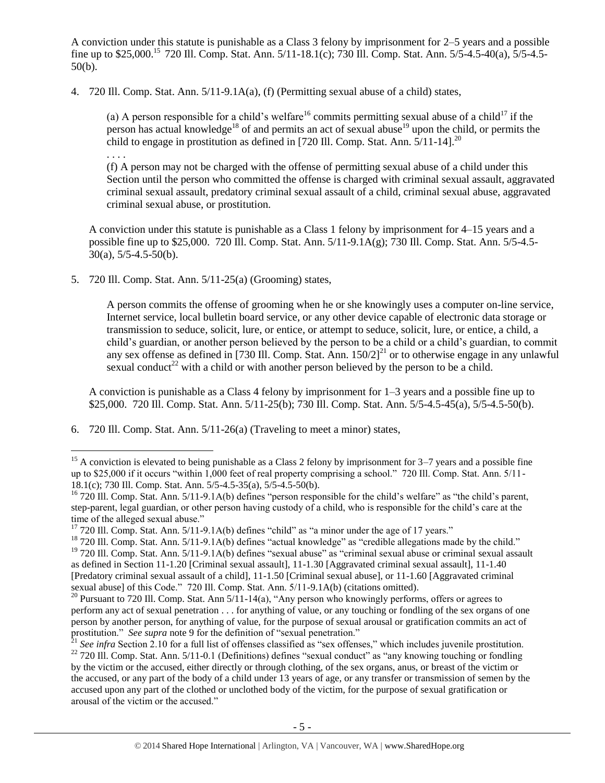A conviction under this statute is punishable as a Class 3 felony by imprisonment for 2–5 years and a possible fine up to \$25,000.<sup>15</sup> 720 Ill. Comp. Stat. Ann. 5/11-18.1(c); 730 Ill. Comp. Stat. Ann. 5/5-4.5-40(a), 5/5-4.5-50(b).

4. 720 Ill. Comp. Stat. Ann. 5/11-9.1A(a), (f) (Permitting sexual abuse of a child) states,

<span id="page-4-1"></span>(a) A person responsible for a child's welfare<sup>16</sup> commits permitting sexual abuse of a child<sup>17</sup> if the person has actual knowledge<sup>18</sup> of and permits an act of sexual abuse<sup>19</sup> upon the child, or permits the child to engage in prostitution as defined in [720 Ill. Comp. Stat. Ann.  $\frac{5}{11}$ -14]<sup>20</sup> . . . .

(f) A person may not be charged with the offense of permitting sexual abuse of a child under this Section until the person who committed the offense is charged with criminal sexual assault, aggravated criminal sexual assault, predatory criminal sexual assault of a child, criminal sexual abuse, aggravated criminal sexual abuse, or prostitution.

A conviction under this statute is punishable as a Class 1 felony by imprisonment for 4–15 years and a possible fine up to \$25,000. 720 Ill. Comp. Stat. Ann. 5/11-9.1A(g); 730 Ill. Comp. Stat. Ann. 5/5-4.5-  $30(a)$ ,  $5/5-4.5-50(b)$ .

5. 720 Ill. Comp. Stat. Ann. 5/11-25(a) (Grooming) states,

 $\overline{a}$ 

A person commits the offense of grooming when he or she knowingly uses a computer on-line service, Internet service, local bulletin board service, or any other device capable of electronic data storage or transmission to seduce, solicit, lure, or entice, or attempt to seduce, solicit, lure, or entice, a child, a child's guardian, or another person believed by the person to be a child or a child's guardian, to commit any sex offense as defined in [730 Ill. Comp. Stat. Ann.  $150/2$ ]<sup>21</sup> or to otherwise engage in any unlawful sexual conduct<sup>22</sup> with a child or with another person believed by the person to be a child.

<span id="page-4-0"></span>A conviction is punishable as a Class 4 felony by imprisonment for 1–3 years and a possible fine up to \$25,000. 720 Ill. Comp. Stat. Ann. 5/11-25(b); 730 Ill. Comp. Stat. Ann. 5/5-4.5-45(a), 5/5-4.5-50(b).

6. 720 Ill. Comp. Stat. Ann. 5/11-26(a) (Traveling to meet a minor) states,

<sup>&</sup>lt;sup>15</sup> A conviction is elevated to being punishable as a Class 2 felony by imprisonment for  $3-7$  years and a possible fine up to \$25,000 if it occurs "within 1,000 feet of real property comprising a school." 720 Ill. Comp. Stat. Ann. 5/11- 18.1(c); 730 Ill. Comp. Stat. Ann. 5/5-4.5-35(a), 5/5-4.5-50(b).

 $16$  720 Ill. Comp. Stat. Ann. 5/11-9.1A(b) defines "person responsible for the child's welfare" as "the child's parent, step-parent, legal guardian, or other person having custody of a child, who is responsible for the child's care at the time of the alleged sexual abuse."

 $17$  720 Ill. Comp. Stat. Ann. 5/11-9.1A(b) defines "child" as "a minor under the age of 17 years."

<sup>&</sup>lt;sup>18</sup> 720 Ill. Comp. Stat. Ann. 5/11-9.1A(b) defines "actual knowledge" as "credible allegations made by the child."  $19$  720 Ill. Comp. Stat. Ann.  $5/11-9.1A(b)$  defines "sexual abuse" as "criminal sexual abuse or criminal sexual assault as defined in Section 11-1.20 [Criminal sexual assault], 11-1.30 [Aggravated criminal sexual assault], 11-1.40 [Predatory criminal sexual assault of a child], 11-1.50 [Criminal sexual abuse], or 11-1.60 [Aggravated criminal sexual abuse] of this Code." 720 Ill. Comp. Stat. Ann.  $5/11-9.1A(b)$  (citations omitted).

<sup>&</sup>lt;sup>20</sup> Pursuant to 720 Ill. Comp. Stat. Ann  $5/\overline{11}$ -14(a), "Any person who knowingly performs, offers or agrees to perform any act of sexual penetration . . . for anything of value, or any touching or fondling of the sex organs of one person by another person, for anything of value, for the purpose of sexual arousal or gratification commits an act of prostitution." *See supra* note [9](#page-2-0) for the definition of "sexual penetration."

 $^{21}$  *See infra* Section 2.10 for a full list of offenses classified as "sex offenses," which includes juvenile prostitution.  $22$  720 Ill. Comp. Stat. Ann. 5/11-0.1 (Definitions) defines "sexual conduct" as "any knowing touching or fondling by the victim or the accused, either directly or through clothing, of the sex organs, anus, or breast of the victim or the accused, or any part of the body of a child under 13 years of age, or any transfer or transmission of semen by the accused upon any part of the clothed or unclothed body of the victim, for the purpose of sexual gratification or arousal of the victim or the accused."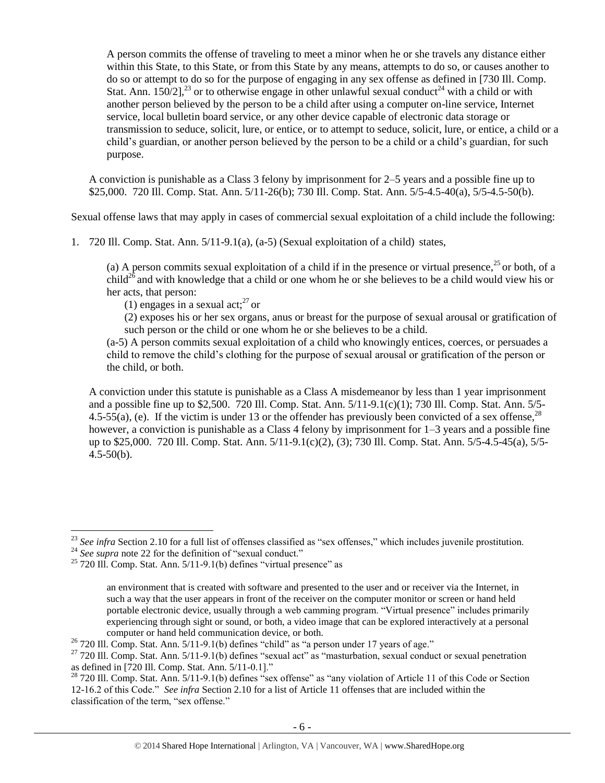A person commits the offense of traveling to meet a minor when he or she travels any distance either within this State, to this State, or from this State by any means, attempts to do so, or causes another to do so or attempt to do so for the purpose of engaging in any sex offense as defined in [730 Ill. Comp. Stat. Ann.  $150/2$ ],<sup>23</sup> or to otherwise engage in other unlawful sexual conduct<sup>24</sup> with a child or with another person believed by the person to be a child after using a computer on-line service, Internet service, local bulletin board service, or any other device capable of electronic data storage or transmission to seduce, solicit, lure, or entice, or to attempt to seduce, solicit, lure, or entice, a child or a child's guardian, or another person believed by the person to be a child or a child's guardian, for such purpose.

A conviction is punishable as a Class 3 felony by imprisonment for 2–5 years and a possible fine up to \$25,000. 720 Ill. Comp. Stat. Ann. 5/11-26(b); 730 Ill. Comp. Stat. Ann. 5/5-4.5-40(a), 5/5-4.5-50(b).

Sexual offense laws that may apply in cases of commercial sexual exploitation of a child include the following:

1. 720 Ill. Comp. Stat. Ann. 5/11-9.1(a), (a-5) (Sexual exploitation of a child) states,

(a) A person commits sexual exploitation of a child if in the presence or virtual presence,  $^{25}$  or both, of a child<sup>26</sup> and with knowledge that a child or one whom he or she believes to be a child would view his or her acts, that person:

(1) engages in a sexual act; $^{27}$  or

(2) exposes his or her sex organs, anus or breast for the purpose of sexual arousal or gratification of such person or the child or one whom he or she believes to be a child.

(a-5) A person commits sexual exploitation of a child who knowingly entices, coerces, or persuades a child to remove the child's clothing for the purpose of sexual arousal or gratification of the person or the child, or both.

A conviction under this statute is punishable as a Class A misdemeanor by less than 1 year imprisonment and a possible fine up to \$2,500. 720 Ill. Comp. Stat. Ann. 5/11-9.1(c)(1); 730 Ill. Comp. Stat. Ann. 5/5- 4.5-55(a), (e). If the victim is under 13 or the offender has previously been convicted of a sex offense.<sup>28</sup> however, a conviction is punishable as a Class 4 felony by imprisonment for  $1-3$  years and a possible fine up to \$25,000. 720 Ill. Comp. Stat. Ann. 5/11-9.1(c)(2), (3); 730 Ill. Comp. Stat. Ann. 5/5-4.5-45(a), 5/5-  $4.5 - 50(b)$ .

<sup>&</sup>lt;sup>23</sup> See infra Section 2.10 for a full list of offenses classified as "sex offenses," which includes juvenile prostitution.

<sup>&</sup>lt;sup>24</sup> See supra note [22](#page-4-0) for the definition of "sexual conduct."

 $25$  720 Ill. Comp. Stat. Ann.  $5/11-9.1(b)$  defines "virtual presence" as

an environment that is created with software and presented to the user and or receiver via the Internet, in such a way that the user appears in front of the receiver on the computer monitor or screen or hand held portable electronic device, usually through a web camming program. "Virtual presence" includes primarily experiencing through sight or sound, or both, a video image that can be explored interactively at a personal computer or hand held communication device, or both.

 $26$  720 Ill. Comp. Stat. Ann. 5/11-9.1(b) defines "child" as "a person under 17 years of age."

 $27$  720 Ill. Comp. Stat. Ann. 5/11-9.1(b) defines "sexual act" as "masturbation, sexual conduct or sexual penetration as defined in [720 Ill. Comp. Stat. Ann. 5/11-0.1]."

 $^{28}$  720 Ill. Comp. Stat. Ann.  $5/11-9.1$ (b) defines "sex offense" as "any violation of Article 11 of this Code or Section 12-16.2 of this Code." *See infra* Section 2.10 for a list of Article 11 offenses that are included within the classification of the term, "sex offense."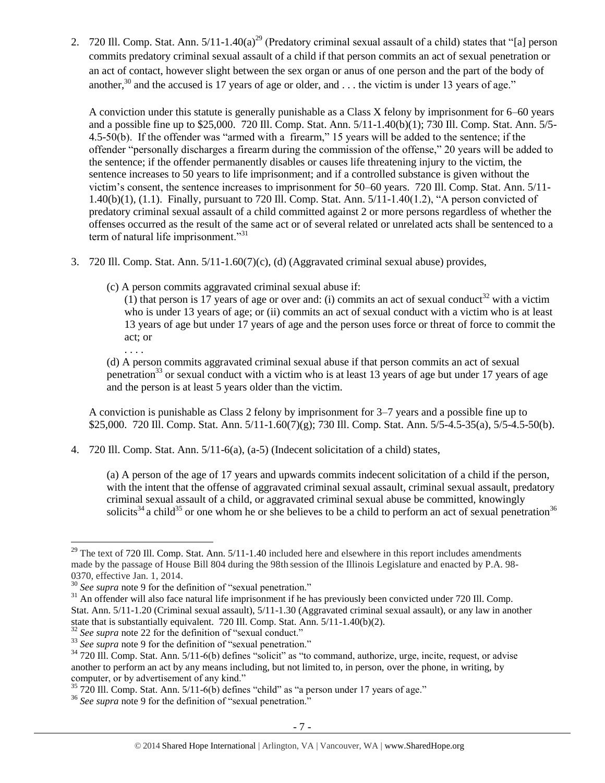2. 720 Ill. Comp. Stat. Ann.  $5/11$ -1.40(a)<sup>29</sup> (Predatory criminal sexual assault of a child) states that "[a] person commits predatory criminal sexual assault of a child if that person commits an act of sexual penetration or an act of contact, however slight between the sex organ or anus of one person and the part of the body of another,<sup>30</sup> and the accused is 17 years of age or older, and  $\dots$  the victim is under 13 years of age."

A conviction under this statute is generally punishable as a Class X felony by imprisonment for 6–60 years and a possible fine up to \$25,000. 720 Ill. Comp. Stat. Ann. 5/11-1.40(b)(1); 730 Ill. Comp. Stat. Ann. 5/5- 4.5-50(b). If the offender was "armed with a firearm," 15 years will be added to the sentence; if the offender "personally discharges a firearm during the commission of the offense," 20 years will be added to the sentence; if the offender permanently disables or causes life threatening injury to the victim, the sentence increases to 50 years to life imprisonment; and if a controlled substance is given without the victim's consent, the sentence increases to imprisonment for 50–60 years. 720 Ill. Comp. Stat. Ann. 5/11- 1.40(b)(1), (1.1). Finally, pursuant to 720 Ill. Comp. Stat. Ann. 5/11-1.40(1.2), "A person convicted of predatory criminal sexual assault of a child committed against 2 or more persons regardless of whether the offenses occurred as the result of the same act or of several related or unrelated acts shall be sentenced to a term of natural life imprisonment."<sup>31</sup>

- 3. 720 Ill. Comp. Stat. Ann. 5/11-1.60(7)(c), (d) (Aggravated criminal sexual abuse) provides,
	- (c) A person commits aggravated criminal sexual abuse if:

(1) that person is 17 years of age or over and: (i) commits an act of sexual conduct<sup>32</sup> with a victim who is under 13 years of age; or (ii) commits an act of sexual conduct with a victim who is at least 13 years of age but under 17 years of age and the person uses force or threat of force to commit the act; or

. . . .

 $\overline{a}$ 

(d) A person commits aggravated criminal sexual abuse if that person commits an act of sexual penetration<sup>33</sup> or sexual conduct with a victim who is at least 13 years of age but under 17 years of age and the person is at least 5 years older than the victim.

A conviction is punishable as Class 2 felony by imprisonment for 3–7 years and a possible fine up to \$25,000. 720 III. Comp. Stat. Ann. 5/11-1.60(7)(g); 730 III. Comp. Stat. Ann. 5/5-4.5-35(a), 5/5-4.5-50(b).

4. 720 Ill. Comp. Stat. Ann. 5/11-6(a), (a-5) (Indecent solicitation of a child) states,

(a) A person of the age of 17 years and upwards commits indecent solicitation of a child if the person, with the intent that the offense of aggravated criminal sexual assault, criminal sexual assault, predatory criminal sexual assault of a child, or aggravated criminal sexual abuse be committed, knowingly solicits<sup>34</sup> a child<sup>35</sup> or one whom he or she believes to be a child to perform an act of sexual penetration<sup>36</sup>

 $29$  The text of 720 Ill. Comp. Stat. Ann.  $5/11$ -1.40 included here and elsewhere in this report includes amendments made by the passage of House Bill 804 during the 98th session of the Illinois Legislature and enacted by P.A. 98- 0370, effective Jan. 1, 2014.

<sup>30</sup> *See supra* note [9](#page-2-0) for the definition of "sexual penetration."

 $31$  An offender will also face natural life imprisonment if he has previously been convicted under 720 Ill. Comp. Stat. Ann. 5/11-1.20 (Criminal sexual assault), 5/11-1.30 (Aggravated criminal sexual assault), or any law in another state that is substantially equivalent. 720 Ill. Comp. Stat. Ann. 5/11-1.40(b)(2).

<sup>&</sup>lt;sup>32</sup> See supra note [22](#page-4-0) for the definition of "sexual conduct."

<sup>&</sup>lt;sup>33</sup> See supra note [9](#page-2-0) for the definition of "sexual penetration."

 $34$  720 Ill. Comp. Stat. Ann. 5/11-6(b) defines "solicit" as "to command, authorize, urge, incite, request, or advise another to perform an act by any means including, but not limited to, in person, over the phone, in writing, by computer, or by advertisement of any kind."

 $\frac{35}{20}$  720 Ill. Comp. Stat. Ann.  $\frac{5}{11-6(b)}$  defines "child" as "a person under 17 years of age."

<sup>36</sup> *See supra* note [9](#page-2-0) for the definition of "sexual penetration."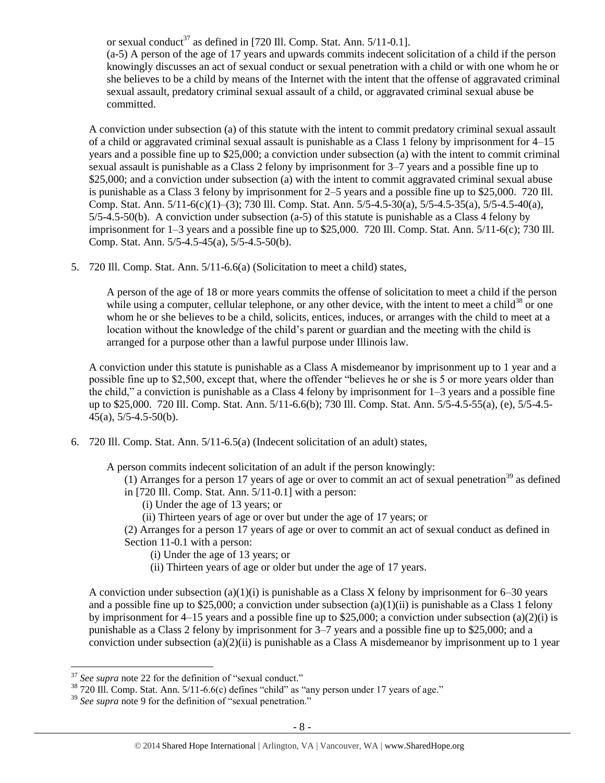or sexual conduct<sup>37</sup> as defined in [720 Ill. Comp. Stat. Ann.  $5/11$ -0.1]. (a-5) A person of the age of 17 years and upwards commits indecent solicitation of a child if the person knowingly discusses an act of sexual conduct or sexual penetration with a child or with one whom he or she believes to be a child by means of the Internet with the intent that the offense of aggravated criminal sexual assault, predatory criminal sexual assault of a child, or aggravated criminal sexual abuse be committed.

A conviction under subsection (a) of this statute with the intent to commit predatory criminal sexual assault of a child or aggravated criminal sexual assault is punishable as a Class 1 felony by imprisonment for 4–15 years and a possible fine up to \$25,000; a conviction under subsection (a) with the intent to commit criminal sexual assault is punishable as a Class 2 felony by imprisonment for 3–7 years and a possible fine up to \$25,000; and a conviction under subsection (a) with the intent to commit aggravated criminal sexual abuse is punishable as a Class 3 felony by imprisonment for 2–5 years and a possible fine up to \$25,000. 720 Ill. Comp. Stat. Ann. 5/11-6(c)(1)–(3); 730 Ill. Comp. Stat. Ann. 5/5-4.5-30(a), 5/5-4.5-35(a), 5/5-4.5-40(a), 5/5-4.5-50(b). A conviction under subsection (a-5) of this statute is punishable as a Class 4 felony by imprisonment for 1–3 years and a possible fine up to \$25,000. 720 Ill. Comp. Stat. Ann. 5/11-6(c); 730 Ill. Comp. Stat. Ann. 5/5-4.5-45(a), 5/5-4.5-50(b).

5. 720 Ill. Comp. Stat. Ann. 5/11-6.6(a) (Solicitation to meet a child) states,

A person of the age of 18 or more years commits the offense of solicitation to meet a child if the person while using a computer, cellular telephone, or any other device, with the intent to meet a child<sup>38</sup> or one whom he or she believes to be a child, solicits, entices, induces, or arranges with the child to meet at a location without the knowledge of the child's parent or guardian and the meeting with the child is arranged for a purpose other than a lawful purpose under Illinois law.

A conviction under this statute is punishable as a Class A misdemeanor by imprisonment up to 1 year and a possible fine up to \$2,500, except that, where the offender "believes he or she is 5 or more years older than the child," a conviction is punishable as a Class 4 felony by imprisonment for 1–3 years and a possible fine up to \$25,000. 720 Ill. Comp. Stat. Ann. 5/11-6.6(b); 730 Ill. Comp. Stat. Ann. 5/5-4.5-55(a), (e), 5/5-4.5-  $45(a)$ , 5/5-4.5-50(b).

6. 720 Ill. Comp. Stat. Ann. 5/11-6.5(a) (Indecent solicitation of an adult) states,

A person commits indecent solicitation of an adult if the person knowingly:

- (1) Arranges for a person 17 years of age or over to commit an act of sexual penetration<sup>39</sup> as defined
- in [720 Ill. Comp. Stat. Ann. 5/11-0.1] with a person:
	- (i) Under the age of 13 years; or
	- (ii) Thirteen years of age or over but under the age of 17 years; or
- (2) Arranges for a person 17 years of age or over to commit an act of sexual conduct as defined in Section 11-0.1 with a person:
	- (i) Under the age of 13 years; or
	- (ii) Thirteen years of age or older but under the age of 17 years.

A conviction under subsection (a)(1)(i) is punishable as a Class X felony by imprisonment for  $6-30$  years and a possible fine up to \$25,000; a conviction under subsection  $(a)(1)(ii)$  is punishable as a Class 1 felony by imprisonment for 4–15 years and a possible fine up to \$25,000; a conviction under subsection (a)(2)(i) is punishable as a Class 2 felony by imprisonment for 3–7 years and a possible fine up to \$25,000; and a conviction under subsection  $(a)(2)(ii)$  is punishable as a Class A misdemeanor by imprisonment up to 1 year

<sup>&</sup>lt;sup>37</sup> See supra note [22](#page-4-0) for the definition of "sexual conduct."

 $38\,720\,$  III. Comp. Stat. Ann.  $5/11-6.6$  (c) defines "child" as "any person under 17 years of age."

<sup>39</sup> *See supra* note [9](#page-2-0) for the definition of "sexual penetration."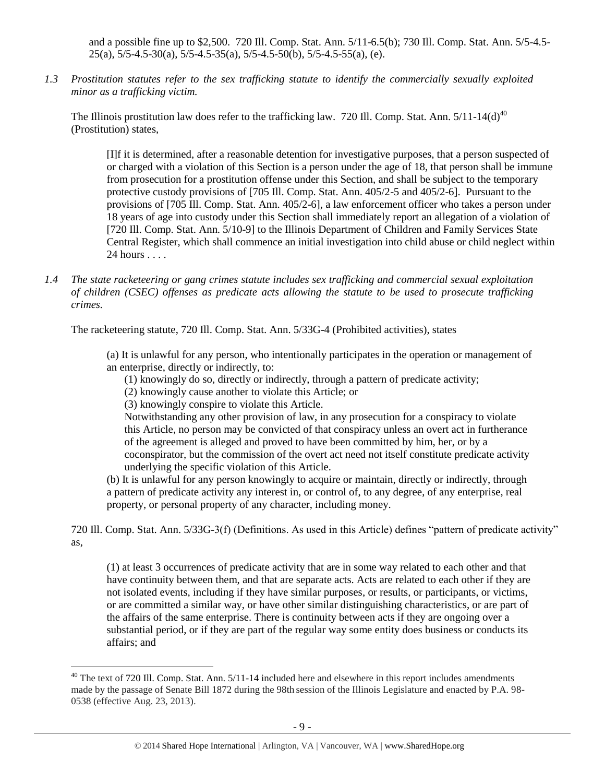and a possible fine up to \$2,500. 720 Ill. Comp. Stat. Ann. 5/11-6.5(b); 730 Ill. Comp. Stat. Ann. 5/5-4.5-  $25(a)$ ,  $5/5-4.5-30(a)$ ,  $5/5-4.5-35(a)$ ,  $5/5-4.5-50(b)$ ,  $5/5-4.5-55(a)$ , (e).

*1.3 Prostitution statutes refer to the sex trafficking statute to identify the commercially sexually exploited minor as a trafficking victim.* 

The Illinois prostitution law does refer to the trafficking law. 720 Ill. Comp. Stat. Ann.  $5/11$ -14(d)<sup>40</sup> (Prostitution) states,

<span id="page-8-0"></span>[I]f it is determined, after a reasonable detention for investigative purposes, that a person suspected of or charged with a violation of this Section is a person under the age of 18, that person shall be immune from prosecution for a prostitution offense under this Section, and shall be subject to the temporary protective custody provisions of [705 Ill. Comp. Stat. Ann. 405/2-5 and 405/2-6]. Pursuant to the provisions of [705 Ill. Comp. Stat. Ann. 405/2-6], a law enforcement officer who takes a person under 18 years of age into custody under this Section shall immediately report an allegation of a violation of [720 Ill. Comp. Stat. Ann. 5/10-9] to the Illinois Department of Children and Family Services State Central Register, which shall commence an initial investigation into child abuse or child neglect within 24 hours . . . .

*1.4 The state racketeering or gang crimes statute includes sex trafficking and commercial sexual exploitation of children (CSEC) offenses as predicate acts allowing the statute to be used to prosecute trafficking crimes.* 

The racketeering statute, 720 Ill. Comp. Stat. Ann. 5/33G-4 (Prohibited activities), states

(a) It is unlawful for any person, who intentionally participates in the operation or management of an enterprise, directly or indirectly, to:

- (1) knowingly do so, directly or indirectly, through a pattern of predicate activity;
- (2) knowingly cause another to violate this Article; or
- (3) knowingly conspire to violate this Article.

 $\overline{a}$ 

Notwithstanding any other provision of law, in any prosecution for a conspiracy to violate this Article, no person may be convicted of that conspiracy unless an overt act in furtherance of the agreement is alleged and proved to have been committed by him, her, or by a coconspirator, but the commission of the overt act need not itself constitute predicate activity underlying the specific violation of this Article.

(b) It is unlawful for any person knowingly to acquire or maintain, directly or indirectly, through a pattern of predicate activity any interest in, or control of, to any degree, of any enterprise, real property, or personal property of any character, including money.

720 Ill. Comp. Stat. Ann. 5/33G-3(f) (Definitions. As used in this Article) defines "pattern of predicate activity" as,

(1) at least 3 occurrences of predicate activity that are in some way related to each other and that have continuity between them, and that are separate acts. Acts are related to each other if they are not isolated events, including if they have similar purposes, or results, or participants, or victims, or are committed a similar way, or have other similar distinguishing characteristics, or are part of the affairs of the same enterprise. There is continuity between acts if they are ongoing over a substantial period, or if they are part of the regular way some entity does business or conducts its affairs; and

 $^{40}$  The text of 720 Ill. Comp. Stat. Ann. 5/11-14 included here and elsewhere in this report includes amendments made by the passage of Senate Bill 1872 during the 98th session of the Illinois Legislature and enacted by P.A. 98- 0538 (effective Aug. 23, 2013).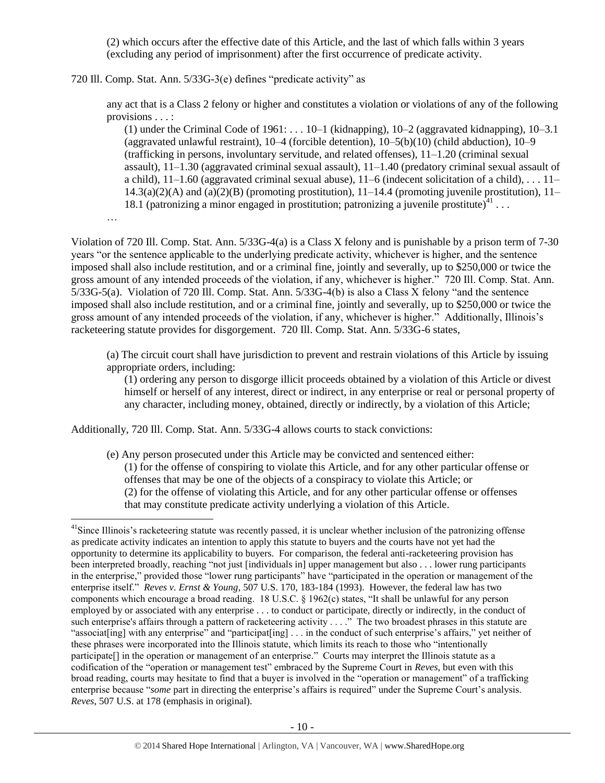(2) which occurs after the effective date of this Article, and the last of which falls within 3 years (excluding any period of imprisonment) after the first occurrence of predicate activity.

720 Ill. Comp. Stat. Ann. 5/33G-3(e) defines "predicate activity" as

any act that is a Class 2 felony or higher and constitutes a violation or violations of any of the following provisions . . . :

(1) under the Criminal Code of  $1961: \ldots 10-1$  (kidnapping),  $10-2$  (aggravated kidnapping),  $10-3.1$ (aggravated unlawful restraint), 10–4 (forcible detention), 10–5(b)(10) (child abduction), 10–9 (trafficking in persons, involuntary servitude, and related offenses), 11–1.20 (criminal sexual assault), 11–1.30 (aggravated criminal sexual assault), 11–1.40 (predatory criminal sexual assault of a child), 11–1.60 (aggravated criminal sexual abuse), 11–6 (indecent solicitation of a child), . . . 11–  $14.3(a)(2)(A)$  and  $(a)(2)(B)$  (promoting prostitution),  $11-14.4$  (promoting juvenile prostitution),  $11-$ 18.1 (patronizing a minor engaged in prostitution; patronizing a juvenile prostitute) $41$ ...

…

 $\overline{a}$ 

Violation of 720 Ill. Comp. Stat. Ann. 5/33G-4(a) is a Class X felony and is punishable by a prison term of 7-30 years "or the sentence applicable to the underlying predicate activity, whichever is higher, and the sentence imposed shall also include restitution, and or a criminal fine, jointly and severally, up to \$250,000 or twice the gross amount of any intended proceeds of the violation, if any, whichever is higher." 720 Ill. Comp. Stat. Ann. 5/33G-5(a). Violation of 720 Ill. Comp. Stat. Ann. 5/33G-4(b) is also a Class X felony "and the sentence imposed shall also include restitution, and or a criminal fine, jointly and severally, up to \$250,000 or twice the gross amount of any intended proceeds of the violation, if any, whichever is higher." Additionally, Illinois's racketeering statute provides for disgorgement. 720 Ill. Comp. Stat. Ann. 5/33G-6 states,

(a) The circuit court shall have jurisdiction to prevent and restrain violations of this Article by issuing appropriate orders, including:

(1) ordering any person to disgorge illicit proceeds obtained by a violation of this Article or divest himself or herself of any interest, direct or indirect, in any enterprise or real or personal property of any character, including money, obtained, directly or indirectly, by a violation of this Article;

Additionally, 720 Ill. Comp. Stat. Ann. 5/33G-4 allows courts to stack convictions:

(e) Any person prosecuted under this Article may be convicted and sentenced either: (1) for the offense of conspiring to violate this Article, and for any other particular offense or offenses that may be one of the objects of a conspiracy to violate this Article; or (2) for the offense of violating this Article, and for any other particular offense or offenses that may constitute predicate activity underlying a violation of this Article.

 $<sup>41</sup>$ Since Illinois's racketeering statute was recently passed, it is unclear whether inclusion of the patronizing offense</sup> as predicate activity indicates an intention to apply this statute to buyers and the courts have not yet had the opportunity to determine its applicability to buyers. For comparison, the federal anti-racketeering provision has been interpreted broadly, reaching "not just [individuals in] upper management but also . . . lower rung participants in the enterprise," provided those "lower rung participants" have "participated in the operation or management of the enterprise itself." *Reves v. Ernst & Young*, 507 U.S. 170, 183-184 (1993). However, the federal law has two components which encourage a broad reading. 18 U.S.C. § 1962(c) states, "It shall be unlawful for any person employed by or associated with any enterprise . . . to conduct or participate, directly or indirectly, in the conduct of such enterprise's affairs through a pattern of racketeering activity . . . ." The two broadest phrases in this statute are "associat[ing] with any enterprise" and "participat[ing] . . . in the conduct of such enterprise's affairs," yet neither of these phrases were incorporated into the Illinois statute, which limits its reach to those who "intentionally participate[] in the operation or management of an enterprise." Courts may interpret the Illinois statute as a codification of the "operation or management test" embraced by the Supreme Court in *Reves*, but even with this broad reading, courts may hesitate to find that a buyer is involved in the "operation or management" of a trafficking enterprise because "*some* part in directing the enterprise's affairs is required" under the Supreme Court's analysis. *Reves*, 507 U.S. at 178 (emphasis in original).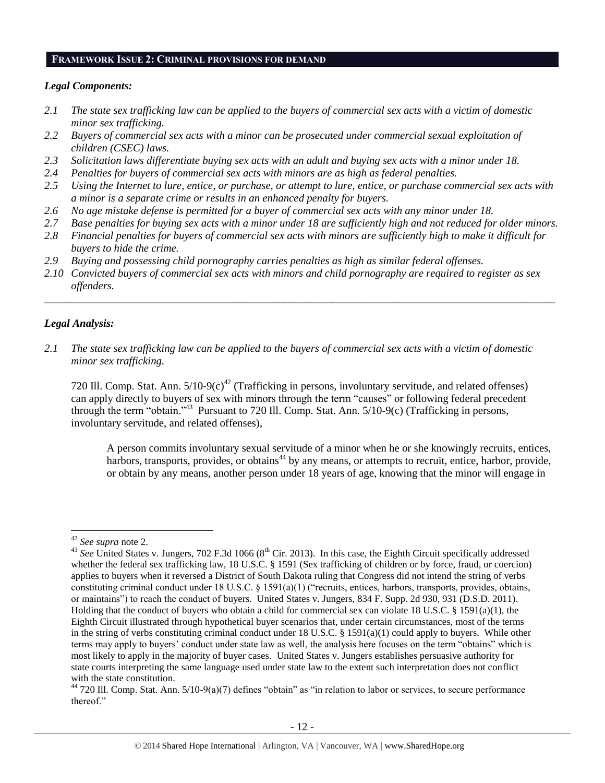#### **FRAMEWORK ISSUE 2: CRIMINAL PROVISIONS FOR DEMAND**

#### *Legal Components:*

- *2.1 The state sex trafficking law can be applied to the buyers of commercial sex acts with a victim of domestic minor sex trafficking.*
- *2.2 Buyers of commercial sex acts with a minor can be prosecuted under commercial sexual exploitation of children (CSEC) laws.*
- *2.3 Solicitation laws differentiate buying sex acts with an adult and buying sex acts with a minor under 18.*
- *2.4 Penalties for buyers of commercial sex acts with minors are as high as federal penalties.*
- *2.5 Using the Internet to lure, entice, or purchase, or attempt to lure, entice, or purchase commercial sex acts with a minor is a separate crime or results in an enhanced penalty for buyers.*
- *2.6 No age mistake defense is permitted for a buyer of commercial sex acts with any minor under 18.*
- *2.7 Base penalties for buying sex acts with a minor under 18 are sufficiently high and not reduced for older minors.*
- *2.8 Financial penalties for buyers of commercial sex acts with minors are sufficiently high to make it difficult for buyers to hide the crime.*
- *2.9 Buying and possessing child pornography carries penalties as high as similar federal offenses.*
- *2.10 Convicted buyers of commercial sex acts with minors and child pornography are required to register as sex offenders.*

\_\_\_\_\_\_\_\_\_\_\_\_\_\_\_\_\_\_\_\_\_\_\_\_\_\_\_\_\_\_\_\_\_\_\_\_\_\_\_\_\_\_\_\_\_\_\_\_\_\_\_\_\_\_\_\_\_\_\_\_\_\_\_\_\_\_\_\_\_\_\_\_\_\_\_\_\_\_\_\_\_\_\_\_\_\_\_\_\_\_\_\_\_\_

#### *Legal Analysis:*

*2.1 The state sex trafficking law can be applied to the buyers of commercial sex acts with a victim of domestic minor sex trafficking.*

720 Ill. Comp. Stat. Ann.  $5/10-9(c)^{42}$  (Trafficking in persons, involuntary servitude, and related offenses) can apply directly to buyers of sex with minors through the term "causes" or following federal precedent through the term "obtain."<sup>43</sup> Pursuant to 720 Ill. Comp. Stat. Ann. 5/10-9(c) (Trafficking in persons, involuntary servitude, and related offenses),

A person commits involuntary sexual servitude of a minor when he or she knowingly recruits, entices, harbors, transports, provides, or obtains<sup>44</sup> by any means, or attempts to recruit, entice, harbor, provide, or obtain by any means, another person under 18 years of age, knowing that the minor will engage in

<sup>42</sup> *See supra* note [2.](#page-0-0)

<sup>&</sup>lt;sup>43</sup> See United States v. Jungers, 702 F.3d 1066 (8<sup>th</sup> Cir. 2013). In this case, the Eighth Circuit specifically addressed whether the federal sex trafficking law, 18 U.S.C. § 1591 (Sex trafficking of children or by force, fraud, or coercion) applies to buyers when it reversed a District of South Dakota ruling that Congress did not intend the string of verbs constituting criminal conduct under 18 U.S.C. § 1591(a)(1) ("recruits, entices, harbors, transports, provides, obtains, or maintains") to reach the conduct of buyers. United States v. Jungers, 834 F. Supp. 2d 930, 931 (D.S.D. 2011). Holding that the conduct of buyers who obtain a child for commercial sex can violate 18 U.S.C. § 1591(a)(1), the Eighth Circuit illustrated through hypothetical buyer scenarios that, under certain circumstances, most of the terms in the string of verbs constituting criminal conduct under 18 U.S.C. § 1591(a)(1) could apply to buyers. While other terms may apply to buyers' conduct under state law as well, the analysis here focuses on the term "obtains" which is most likely to apply in the majority of buyer cases. United States v. Jungers establishes persuasive authority for state courts interpreting the same language used under state law to the extent such interpretation does not conflict with the state constitution.

 $44$  720 Ill. Comp. Stat. Ann.  $5/10-9(a)(7)$  defines "obtain" as "in relation to labor or services, to secure performance thereof."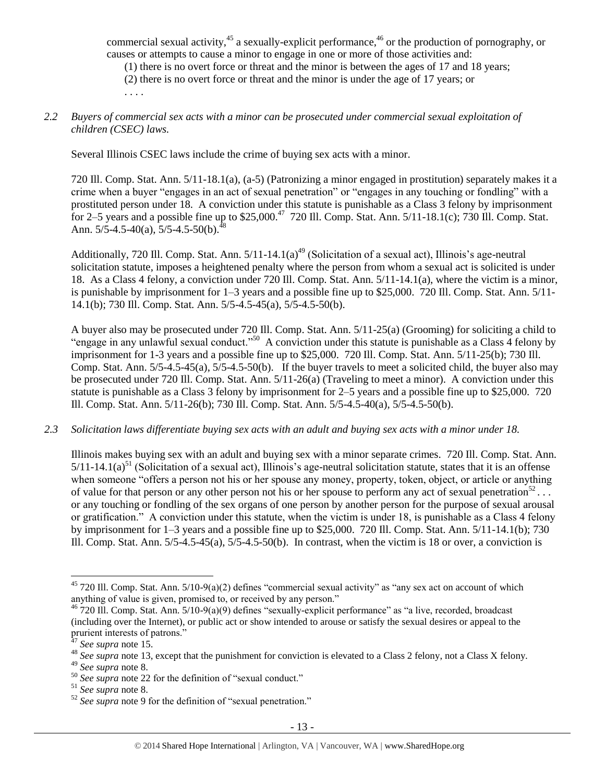commercial sexual activity,<sup>45</sup> a sexually-explicit performance,<sup>46</sup> or the production of pornography, or causes or attempts to cause a minor to engage in one or more of those activities and:

(1) there is no overt force or threat and the minor is between the ages of 17 and 18 years;

(2) there is no overt force or threat and the minor is under the age of 17 years; or . . . .

#### *2.2 Buyers of commercial sex acts with a minor can be prosecuted under commercial sexual exploitation of children (CSEC) laws.*

Several Illinois CSEC laws include the crime of buying sex acts with a minor.

720 Ill. Comp. Stat. Ann. 5/11-18.1(a), (a-5) (Patronizing a minor engaged in prostitution) separately makes it a crime when a buyer "engages in an act of sexual penetration" or "engages in any touching or fondling" with a prostituted person under 18. A conviction under this statute is punishable as a Class 3 felony by imprisonment for 2–5 years and a possible fine up to  $$25,000.<sup>47</sup>$  720 Ill. Comp. Stat. Ann.  $5/11-18.1(c)$ ; 730 Ill. Comp. Stat. Ann.  $5/5 - 4.5 - 40(a)$ ,  $5/5 - 4.5 - 50(b)$ .<sup>48</sup>

Additionally, 720 Ill. Comp. Stat. Ann.  $5/11-14.1(a)^{49}$  (Solicitation of a sexual act), Illinois's age-neutral solicitation statute, imposes a heightened penalty where the person from whom a sexual act is solicited is under 18. As a Class 4 felony, a conviction under 720 Ill. Comp. Stat. Ann. 5/11-14.1(a), where the victim is a minor, is punishable by imprisonment for 1–3 years and a possible fine up to \$25,000. 720 Ill. Comp. Stat. Ann. 5/11- 14.1(b); 730 Ill. Comp. Stat. Ann. 5/5-4.5-45(a), 5/5-4.5-50(b).

A buyer also may be prosecuted under 720 Ill. Comp. Stat. Ann. 5/11-25(a) (Grooming) for soliciting a child to "engage in any unlawful sexual conduct."<sup>50</sup> A conviction under this statute is punishable as a Class 4 felony by imprisonment for 1-3 years and a possible fine up to \$25,000. 720 Ill. Comp. Stat. Ann. 5/11-25(b); 730 Ill. Comp. Stat. Ann. 5/5-4.5-45(a), 5/5-4.5-50(b). If the buyer travels to meet a solicited child, the buyer also may be prosecuted under 720 Ill. Comp. Stat. Ann. 5/11-26(a) (Traveling to meet a minor). A conviction under this statute is punishable as a Class 3 felony by imprisonment for 2–5 years and a possible fine up to \$25,000. 720 Ill. Comp. Stat. Ann. 5/11-26(b); 730 Ill. Comp. Stat. Ann. 5/5-4.5-40(a), 5/5-4.5-50(b).

#### *2.3 Solicitation laws differentiate buying sex acts with an adult and buying sex acts with a minor under 18.*

Illinois makes buying sex with an adult and buying sex with a minor separate crimes. 720 Ill. Comp. Stat. Ann.  $5/11-14.1(a)$ <sup>51</sup> (Solicitation of a sexual act), Illinois's age-neutral solicitation statute, states that it is an offense when someone "offers a person not his or her spouse any money, property, token, object, or article or anything of value for that person or any other person not his or her spouse to perform any act of sexual penetration<sup>52</sup>... or any touching or fondling of the sex organs of one person by another person for the purpose of sexual arousal or gratification." A conviction under this statute, when the victim is under 18, is punishable as a Class 4 felony by imprisonment for 1–3 years and a possible fine up to \$25,000. 720 Ill. Comp. Stat. Ann. 5/11-14.1(b); 730 Ill. Comp. Stat. Ann. 5/5-4.5-45(a), 5/5-4.5-50(b). In contrast, when the victim is 18 or over, a conviction is

<sup>45</sup> 720 Ill. Comp. Stat. Ann. 5/10-9(a)(2) defines "commercial sexual activity" as "any sex act on account of which anything of value is given, promised to, or received by any person."

 $^{46}$  720 III. Comp. Stat. Ann. 5/10-9(a)(9) defines "sexually-explicit performance" as "a live, recorded, broadcast (including over the Internet), or public act or show intended to arouse or satisfy the sexual desires or appeal to the prurient interests of patrons."

<sup>47</sup> *See supra* note [15.](#page-4-1)

<sup>&</sup>lt;sup>48</sup> See supra note [13,](#page-3-0) except that the punishment for conviction is elevated to a Class 2 felony, not a Class X felony.

<sup>49</sup> *See supra* note [8.](#page-2-1)

<sup>&</sup>lt;sup>50</sup> See supra note [22](#page-4-0) for the definition of "sexual conduct."

<sup>51</sup> *See supra* note [8.](#page-2-1)

<sup>52</sup> *See supra* note [9](#page-2-0) for the definition of "sexual penetration."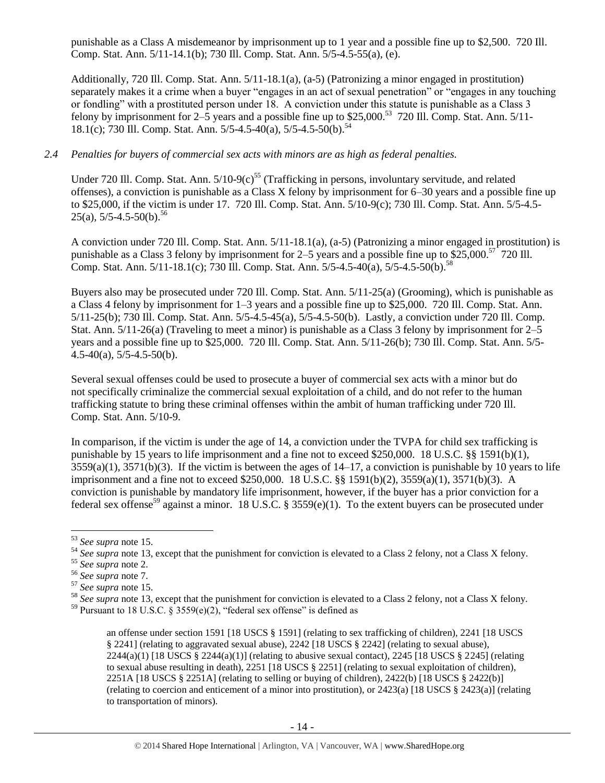punishable as a Class A misdemeanor by imprisonment up to 1 year and a possible fine up to \$2,500. 720 Ill. Comp. Stat. Ann. 5/11-14.1(b); 730 Ill. Comp. Stat. Ann. 5/5-4.5-55(a), (e).

Additionally, 720 Ill. Comp. Stat. Ann. 5/11-18.1(a), (a-5) (Patronizing a minor engaged in prostitution) separately makes it a crime when a buyer "engages in an act of sexual penetration" or "engages in any touching or fondling" with a prostituted person under 18. A conviction under this statute is punishable as a Class 3 felony by imprisonment for  $2-\overline{5}$  years and a possible fine up to \$25,000.<sup>53</sup> 720 Ill. Comp. Stat. Ann. 5/11-18.1(c); 730 Ill. Comp. Stat. Ann. 5/5-4.5-40(a), 5/5-4.5-50(b).<sup>54</sup>

#### *2.4 Penalties for buyers of commercial sex acts with minors are as high as federal penalties.*

Under 720 Ill. Comp. Stat. Ann.  $5/10-9(c)^{55}$  (Trafficking in persons, involuntary servitude, and related offenses), a conviction is punishable as a Class X felony by imprisonment for 6–30 years and a possible fine up to \$25,000, if the victim is under 17. 720 Ill. Comp. Stat. Ann. 5/10-9(c); 730 Ill. Comp. Stat. Ann. 5/5-4.5-  $25(a)$ , 5/5-4.5-50(b).<sup>56</sup>

A conviction under 720 Ill. Comp. Stat. Ann. 5/11-18.1(a), (a-5) (Patronizing a minor engaged in prostitution) is punishable as a Class 3 felony by imprisonment for 2–5 years and a possible fine up to  $$25,000.<sup>57</sup>$  720 III. Comp. Stat. Ann. 5/11-18.1(c); 730 Ill. Comp. Stat. Ann. 5/5-4.5-40(a), 5/5-4.5-50(b).<sup>58</sup>

Buyers also may be prosecuted under 720 Ill. Comp. Stat. Ann. 5/11-25(a) (Grooming), which is punishable as a Class 4 felony by imprisonment for 1–3 years and a possible fine up to \$25,000. 720 Ill. Comp. Stat. Ann. 5/11-25(b); 730 Ill. Comp. Stat. Ann. 5/5-4.5-45(a), 5/5-4.5-50(b). Lastly, a conviction under 720 Ill. Comp. Stat. Ann. 5/11-26(a) (Traveling to meet a minor) is punishable as a Class 3 felony by imprisonment for 2–5 years and a possible fine up to \$25,000. 720 Ill. Comp. Stat. Ann. 5/11-26(b); 730 Ill. Comp. Stat. Ann. 5/5-  $4.5-40(a)$ ,  $5/5-4.5-50(b)$ .

Several sexual offenses could be used to prosecute a buyer of commercial sex acts with a minor but do not specifically criminalize the commercial sexual exploitation of a child, and do not refer to the human trafficking statute to bring these criminal offenses within the ambit of human trafficking under 720 Ill. Comp. Stat. Ann. 5/10-9.

In comparison, if the victim is under the age of 14, a conviction under the TVPA for child sex trafficking is punishable by 15 years to life imprisonment and a fine not to exceed \$250,000. 18 U.S.C. §§ 1591(b)(1),  $3559(a)(1)$ ,  $3571(b)(3)$ . If the victim is between the ages of  $14-17$ , a conviction is punishable by 10 years to life imprisonment and a fine not to exceed \$250,000. 18 U.S.C. §§ 1591(b)(2), 3559(a)(1), 3571(b)(3). A conviction is punishable by mandatory life imprisonment, however, if the buyer has a prior conviction for a federal sex offense<sup>59</sup> against a minor. 18 U.S.C. § 3559(e)(1). To the extent buyers can be prosecuted under

<span id="page-13-0"></span><sup>53</sup> *See supra* note [15.](#page-4-1)

<sup>&</sup>lt;sup>54</sup> See supra note [13,](#page-3-0) except that the punishment for conviction is elevated to a Class 2 felony, not a Class X felony.

<sup>55</sup> *See supra* note [2.](#page-0-0)

<sup>56</sup> *See supra* note [7.](#page-1-0)

<sup>57</sup> *See supra* note [15.](#page-4-1)

<sup>&</sup>lt;sup>58</sup> See supra note [13,](#page-3-0) except that the punishment for conviction is elevated to a Class 2 felony, not a Class X felony.

<sup>&</sup>lt;sup>59</sup> Pursuant to 18 U.S.C. § 3559(e)(2), "federal sex offense" is defined as

an offense under section 1591 [18 USCS § 1591] (relating to sex trafficking of children), 2241 [18 USCS § 2241] (relating to aggravated sexual abuse), 2242 [18 USCS § 2242] (relating to sexual abuse),  $2244(a)(1)$  [18 USCS §  $2244(a)(1)$ ] (relating to abusive sexual contact),  $2245$  [18 USCS § 2245] (relating to sexual abuse resulting in death), 2251 [18 USCS § 2251] (relating to sexual exploitation of children), 2251A [18 USCS § 2251A] (relating to selling or buying of children), 2422(b) [18 USCS § 2422(b)] (relating to coercion and enticement of a minor into prostitution), or 2423(a) [18 USCS § 2423(a)] (relating to transportation of minors).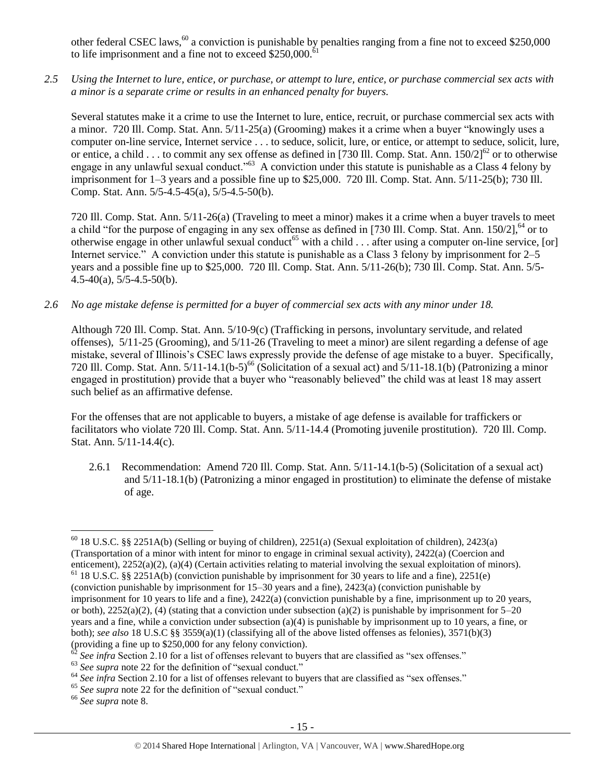other federal CSEC laws,  $60$  a conviction is punishable by penalties ranging from a fine not to exceed \$250,000 to life imprisonment and a fine not to exceed  $$250,000$ .<sup>6</sup>

*2.5 Using the Internet to lure, entice, or purchase, or attempt to lure, entice, or purchase commercial sex acts with a minor is a separate crime or results in an enhanced penalty for buyers.*

Several statutes make it a crime to use the Internet to lure, entice, recruit, or purchase commercial sex acts with a minor. 720 Ill. Comp. Stat. Ann. 5/11-25(a) (Grooming) makes it a crime when a buyer "knowingly uses a computer on-line service, Internet service . . . to seduce, solicit, lure, or entice, or attempt to seduce, solicit, lure, or entice, a child . . . to commit any sex offense as defined in [730 Ill. Comp. Stat. Ann.  $150/2$ ]<sup>62</sup> or to otherwise engage in any unlawful sexual conduct."<sup>63</sup> A conviction under this statute is punishable as a Class 4 felony by imprisonment for 1–3 years and a possible fine up to \$25,000. 720 Ill. Comp. Stat. Ann. 5/11-25(b); 730 Ill. Comp. Stat. Ann. 5/5-4.5-45(a), 5/5-4.5-50(b).

720 Ill. Comp. Stat. Ann. 5/11-26(a) (Traveling to meet a minor) makes it a crime when a buyer travels to meet a child "for the purpose of engaging in any sex offense as defined in [730 Ill. Comp. Stat. Ann.  $150/2$ ],  $64$  or to otherwise engage in other unlawful sexual conduct<sup>65</sup> with a child  $\ldots$  after using a computer on-line service, [or] Internet service." A conviction under this statute is punishable as a Class 3 felony by imprisonment for 2–5 years and a possible fine up to \$25,000. 720 Ill. Comp. Stat. Ann. 5/11-26(b); 730 Ill. Comp. Stat. Ann. 5/5- 4.5-40(a), 5/5-4.5-50(b).

*2.6 No age mistake defense is permitted for a buyer of commercial sex acts with any minor under 18.*

Although 720 Ill. Comp. Stat. Ann. 5/10-9(c) (Trafficking in persons, involuntary servitude, and related offenses), 5/11-25 (Grooming), and 5/11-26 (Traveling to meet a minor) are silent regarding a defense of age mistake, several of Illinois's CSEC laws expressly provide the defense of age mistake to a buyer. Specifically, 720 Ill. Comp. Stat. Ann.  $5/11-14.1(b-5)^{66}$  (Solicitation of a sexual act) and  $5/11-18.1(b)$  (Patronizing a minor engaged in prostitution) provide that a buyer who "reasonably believed" the child was at least 18 may assert such belief as an affirmative defense.

For the offenses that are not applicable to buyers, a mistake of age defense is available for traffickers or facilitators who violate 720 Ill. Comp. Stat. Ann. 5/11-14.4 (Promoting juvenile prostitution). 720 Ill. Comp. Stat. Ann. 5/11-14.4(c).

2.6.1 Recommendation: Amend 720 Ill. Comp. Stat. Ann. 5/11-14.1(b-5) (Solicitation of a sexual act) and 5/11-18.1(b) (Patronizing a minor engaged in prostitution) to eliminate the defense of mistake of age.

<sup>&</sup>lt;sup>60</sup> 18 U.S.C. §§ 2251A(b) (Selling or buying of children), 2251(a) (Sexual exploitation of children), 2423(a) (Transportation of a minor with intent for minor to engage in criminal sexual activity), 2422(a) (Coercion and enticement), 2252(a)(2), (a)(4) (Certain activities relating to material involving the sexual exploitation of minors).

 $61$  18 U.S.C. §§ 2251A(b) (conviction punishable by imprisonment for 30 years to life and a fine), 2251(e) (conviction punishable by imprisonment for 15–30 years and a fine), 2423(a) (conviction punishable by imprisonment for 10 years to life and a fine), 2422(a) (conviction punishable by a fine, imprisonment up to 20 years, or both),  $2252(a)(2)$ , (4) (stating that a conviction under subsection (a)(2) is punishable by imprisonment for  $5-20$ years and a fine, while a conviction under subsection (a)(4) is punishable by imprisonment up to 10 years, a fine, or both); *see also* 18 U.S.C §§ 3559(a)(1) (classifying all of the above listed offenses as felonies), 3571(b)(3) (providing a fine up to \$250,000 for any felony conviction).

See infra Section 2.10 for a list of offenses relevant to buyers that are classified as "sex offenses."

<sup>&</sup>lt;sup>63</sup> See supra note [22](#page-4-0) for the definition of "sexual conduct."

<sup>&</sup>lt;sup>64</sup> See infra Section 2.10 for a list of offenses relevant to buyers that are classified as "sex offenses."

<sup>&</sup>lt;sup>65</sup> See supra note [22](#page-4-0) for the definition of "sexual conduct."

<sup>66</sup> *See supra* note [8.](#page-2-1)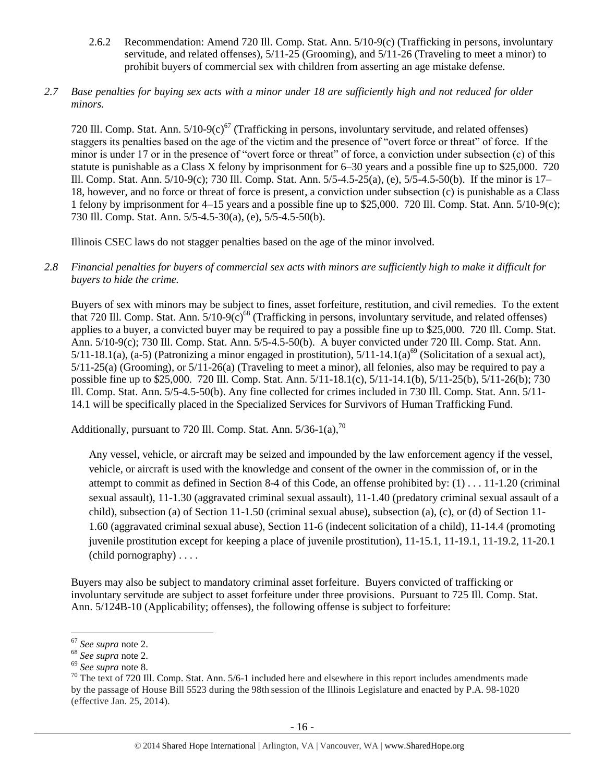- 2.6.2 Recommendation: Amend 720 Ill. Comp. Stat. Ann. 5/10-9(c) (Trafficking in persons, involuntary servitude, and related offenses), 5/11-25 (Grooming), and 5/11-26 (Traveling to meet a minor) to prohibit buyers of commercial sex with children from asserting an age mistake defense.
- *2.7 Base penalties for buying sex acts with a minor under 18 are sufficiently high and not reduced for older minors.*

720 Ill. Comp. Stat. Ann.  $5/10-9(c)^{67}$  (Trafficking in persons, involuntary servitude, and related offenses) staggers its penalties based on the age of the victim and the presence of "overt force or threat" of force. If the minor is under 17 or in the presence of "overt force or threat" of force, a conviction under subsection (c) of this statute is punishable as a Class X felony by imprisonment for 6–30 years and a possible fine up to \$25,000. 720 Ill. Comp. Stat. Ann. 5/10-9(c); 730 Ill. Comp. Stat. Ann. 5/5-4.5-25(a), (e), 5/5-4.5-50(b). If the minor is 17– 18, however, and no force or threat of force is present, a conviction under subsection (c) is punishable as a Class 1 felony by imprisonment for 4–15 years and a possible fine up to \$25,000. 720 Ill. Comp. Stat. Ann. 5/10-9(c); 730 Ill. Comp. Stat. Ann. 5/5-4.5-30(a), (e), 5/5-4.5-50(b).

Illinois CSEC laws do not stagger penalties based on the age of the minor involved.

*2.8 Financial penalties for buyers of commercial sex acts with minors are sufficiently high to make it difficult for buyers to hide the crime.* 

Buyers of sex with minors may be subject to fines, asset forfeiture, restitution, and civil remedies. To the extent that 720 Ill. Comp. Stat. Ann.  $5/10-9(c)^{68}$  (Trafficking in persons, involuntary servitude, and related offenses) applies to a buyer, a convicted buyer may be required to pay a possible fine up to \$25,000. 720 Ill. Comp. Stat. Ann. 5/10-9(c); 730 Ill. Comp. Stat. Ann. 5/5-4.5-50(b). A buyer convicted under 720 Ill. Comp. Stat. Ann. 5/11-18.1(a), (a-5) (Patronizing a minor engaged in prostitution),  $5/11-14.1(a)^{69}$  (Solicitation of a sexual act), 5/11-25(a) (Grooming), or 5/11-26(a) (Traveling to meet a minor), all felonies, also may be required to pay a possible fine up to \$25,000. 720 Ill. Comp. Stat. Ann. 5/11-18.1(c), 5/11-14.1(b), 5/11-25(b), 5/11-26(b); 730 Ill. Comp. Stat. Ann. 5/5-4.5-50(b). Any fine collected for crimes included in 730 Ill. Comp. Stat. Ann. 5/11- 14.1 will be specifically placed in the Specialized Services for Survivors of Human Trafficking Fund.

Additionally, pursuant to 720 Ill. Comp. Stat. Ann.  $5/36-1(a)$ ,  $^{70}$ 

<span id="page-15-0"></span>Any vessel, vehicle, or aircraft may be seized and impounded by the law enforcement agency if the vessel, vehicle, or aircraft is used with the knowledge and consent of the owner in the commission of, or in the attempt to commit as defined in Section 8-4 of this Code, an offense prohibited by: (1) . . . 11-1.20 (criminal sexual assault), 11-1.30 (aggravated criminal sexual assault), 11-1.40 (predatory criminal sexual assault of a child), subsection (a) of Section 11-1.50 (criminal sexual abuse), subsection (a), (c), or (d) of Section 11- 1.60 (aggravated criminal sexual abuse), Section 11-6 (indecent solicitation of a child), 11-14.4 (promoting juvenile prostitution except for keeping a place of juvenile prostitution), 11-15.1, 11-19.1, 11-19.2, 11-20.1 (child pornography) . . . .

Buyers may also be subject to mandatory criminal asset forfeiture. Buyers convicted of trafficking or involuntary servitude are subject to asset forfeiture under three provisions. Pursuant to 725 Ill. Comp. Stat. Ann. 5/124B-10 (Applicability; offenses), the following offense is subject to forfeiture:

<sup>67</sup> *See supra* note [2.](#page-0-0)

<sup>68</sup> *See supra* note [2.](#page-0-0)

<sup>69</sup> *See supra* note [8.](#page-2-1)

<sup>&</sup>lt;sup>70</sup> The text of 720 Ill. Comp. Stat. Ann. 5/6-1 included here and elsewhere in this report includes amendments made by the passage of House Bill 5523 during the 98th session of the Illinois Legislature and enacted by P.A. 98-1020 (effective Jan. 25, 2014).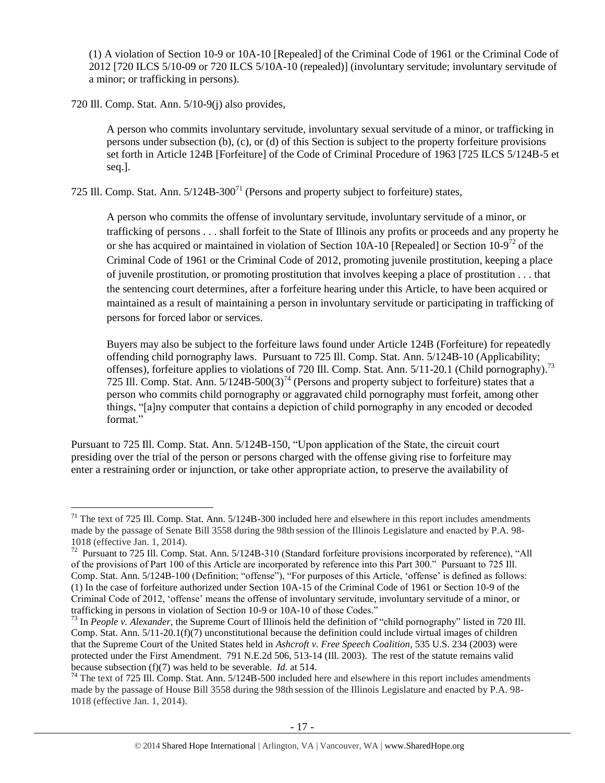(1) A violation of Section 10-9 or 10A-10 [Repealed] of the Criminal Code of 1961 or the Criminal Code of 2012 [720 ILCS 5/10-09 or 720 ILCS 5/10A-10 (repealed)] (involuntary servitude; involuntary servitude of a minor; or trafficking in persons).

720 Ill. Comp. Stat. Ann. 5/10-9(j) also provides,

 $\overline{a}$ 

A person who commits involuntary servitude, involuntary sexual servitude of a minor, or trafficking in persons under subsection (b), (c), or (d) of this Section is subject to the property forfeiture provisions set forth in Article 124B [Forfeiture] of the Code of Criminal Procedure of 1963 [725 ILCS 5/124B-5 et seq.].

725 Ill. Comp. Stat. Ann.  $5/124B-300<sup>71</sup>$  (Persons and property subject to forfeiture) states,

<span id="page-16-2"></span>A person who commits the offense of involuntary servitude, involuntary servitude of a minor, or trafficking of persons . . . shall forfeit to the State of Illinois any profits or proceeds and any property he or she has acquired or maintained in violation of Section 10A-10 [Repealed] or Section 10-9<sup>72</sup> of the Criminal Code of 1961 or the Criminal Code of 2012, promoting juvenile prostitution, keeping a place of juvenile prostitution, or promoting prostitution that involves keeping a place of prostitution . . . that the sentencing court determines, after a forfeiture hearing under this Article, to have been acquired or maintained as a result of maintaining a person in involuntary servitude or participating in trafficking of persons for forced labor or services.

<span id="page-16-1"></span><span id="page-16-0"></span>Buyers may also be subject to the forfeiture laws found under Article 124B (Forfeiture) for repeatedly offending child pornography laws. Pursuant to 725 Ill. Comp. Stat. Ann. 5/124B-10 (Applicability; offenses), forfeiture applies to violations of 720 Ill. Comp. Stat. Ann. 5/11-20.1 (Child pornography).<sup>73</sup> 725 Ill. Comp. Stat. Ann.  $5/124B-500(3)^{74}$  (Persons and property subject to forfeiture) states that a person who commits child pornography or aggravated child pornography must forfeit, among other things, "[a]ny computer that contains a depiction of child pornography in any encoded or decoded format."

Pursuant to 725 Ill. Comp. Stat. Ann. 5/124B-150, "Upon application of the State, the circuit court presiding over the trial of the person or persons charged with the offense giving rise to forfeiture may enter a restraining order or injunction, or take other appropriate action, to preserve the availability of

 $71$  The text of 725 Ill. Comp. Stat. Ann.  $5/124B-300$  included here and elsewhere in this report includes amendments made by the passage of Senate Bill 3558 during the 98th session of the Illinois Legislature and enacted by P.A. 98- 1018 (effective Jan. 1, 2014).

 $72$  Pursuant to 725 Ill. Comp. Stat. Ann.  $5/124B-310$  (Standard forfeiture provisions incorporated by reference), "All of the provisions of Part 100 of this Article are incorporated by reference into this Part 300." Pursuant to 725 Ill. Comp. Stat. Ann. 5/124B-100 (Definition; "offense"), "For purposes of this Article, 'offense' is defined as follows: (1) In the case of forfeiture authorized under Section 10A-15 of the Criminal Code of 1961 or Section 10-9 of the Criminal Code of 2012, 'offense' means the offense of involuntary servitude, involuntary servitude of a minor, or trafficking in persons in violation of Section 10-9 or 10A-10 of those Codes."

<sup>73</sup> In *People v. Alexander*, the Supreme Court of Illinois held the definition of "child pornography" listed in 720 Ill. Comp. Stat. Ann. 5/11-20.1(f)(7) unconstitutional because the definition could include virtual images of children that the Supreme Court of the United States held in *Ashcroft v. Free Speech Coalition*, 535 U.S. 234 (2003) were protected under the First Amendment. 791 N.E.2d 506, 513-14 (Ill. 2003). The rest of the statute remains valid because subsection (f)(7) was held to be severable. *Id.* at 514.

<sup>&</sup>lt;sup>74</sup> The text of 725 Ill. Comp. Stat. Ann. 5/124B-500 included here and elsewhere in this report includes amendments made by the passage of House Bill 3558 during the 98th session of the Illinois Legislature and enacted by P.A. 98- 1018 (effective Jan. 1, 2014).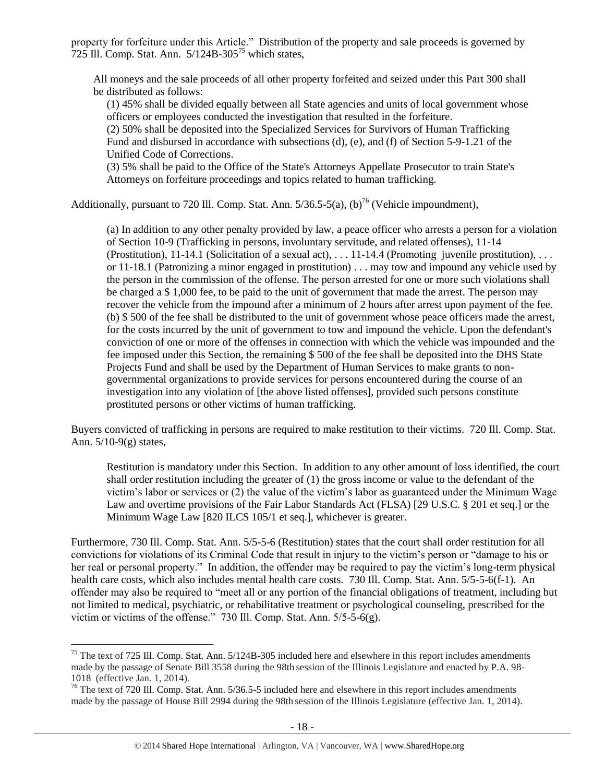property for forfeiture under this Article." Distribution of the property and sale proceeds is governed by  $725$  Ill. Comp. Stat. Ann.  $5/124B-305^{75}$  which states,

All moneys and the sale proceeds of all other property forfeited and seized under this Part 300 shall be distributed as follows:

<span id="page-17-0"></span>(1) 45% shall be divided equally between all State agencies and units of local government whose officers or employees conducted the investigation that resulted in the forfeiture.

(2) 50% shall be deposited into the Specialized Services for Survivors of Human Trafficking Fund and disbursed in accordance with subsections (d), (e), and (f) of Section 5-9-1.21 of the Unified Code of Corrections.

(3) 5% shall be paid to the Office of the State's Attorneys Appellate Prosecutor to train State's Attorneys on forfeiture proceedings and topics related to human trafficking.

Additionally, pursuant to 720 Ill. Comp. Stat. Ann.  $5/36.5-5(a)$ ,  $(b)^{76}$  (Vehicle impoundment),

(a) In addition to any other penalty provided by law, a peace officer who arrests a person for a violation of Section 10-9 (Trafficking in persons, involuntary servitude, and related offenses), 11-14 (Prostitution),  $11-14.1$  (Solicitation of a sexual act), ...  $11-14.4$  (Promoting juvenile prostitution), ... or 11-18.1 (Patronizing a minor engaged in prostitution) . . . may tow and impound any vehicle used by the person in the commission of the offense. The person arrested for one or more such violations shall be charged a \$ 1,000 fee, to be paid to the unit of government that made the arrest. The person may recover the vehicle from the impound after a minimum of 2 hours after arrest upon payment of the fee. (b) \$ 500 of the fee shall be distributed to the unit of government whose peace officers made the arrest, for the costs incurred by the unit of government to tow and impound the vehicle. Upon the defendant's conviction of one or more of the offenses in connection with which the vehicle was impounded and the fee imposed under this Section, the remaining \$ 500 of the fee shall be deposited into the DHS State Projects Fund and shall be used by the Department of Human Services to make grants to nongovernmental organizations to provide services for persons encountered during the course of an investigation into any violation of [the above listed offenses], provided such persons constitute prostituted persons or other victims of human trafficking.

Buyers convicted of trafficking in persons are required to make restitution to their victims. 720 Ill. Comp. Stat. Ann. 5/10-9(g) states,

Restitution is mandatory under this Section. In addition to any other amount of loss identified, the court shall order restitution including the greater of (1) the gross income or value to the defendant of the victim's labor or services or (2) the value of the victim's labor as guaranteed under the Minimum Wage Law and overtime provisions of the Fair Labor Standards Act (FLSA) [29 U.S.C. § 201 et seq.] or the Minimum Wage Law [820 ILCS 105/1 et seq.], whichever is greater.

Furthermore, 730 Ill. Comp. Stat. Ann. 5/5-5-6 (Restitution) states that the court shall order restitution for all convictions for violations of its Criminal Code that result in injury to the victim's person or "damage to his or her real or personal property." In addition, the offender may be required to pay the victim's long-term physical health care costs, which also includes mental health care costs. 730 Ill. Comp. Stat. Ann. 5/5-5-6(f-1). An offender may also be required to "meet all or any portion of the financial obligations of treatment, including but not limited to medical, psychiatric, or rehabilitative treatment or psychological counseling, prescribed for the victim or victims of the offense." 730 Ill. Comp. Stat. Ann. 5/5-5-6(g).

 $75$  The text of 725 Ill. Comp. Stat. Ann.  $5/124B-305$  included here and elsewhere in this report includes amendments made by the passage of Senate Bill 3558 during the 98th session of the Illinois Legislature and enacted by P.A. 98- 1018 (effective Jan. 1, 2014).

<sup>&</sup>lt;sup>76</sup> The text of 720 Ill. Comp. Stat. Ann. 5/36.5-5 included here and elsewhere in this report includes amendments made by the passage of House Bill 2994 during the 98th session of the Illinois Legislature (effective Jan. 1, 2014).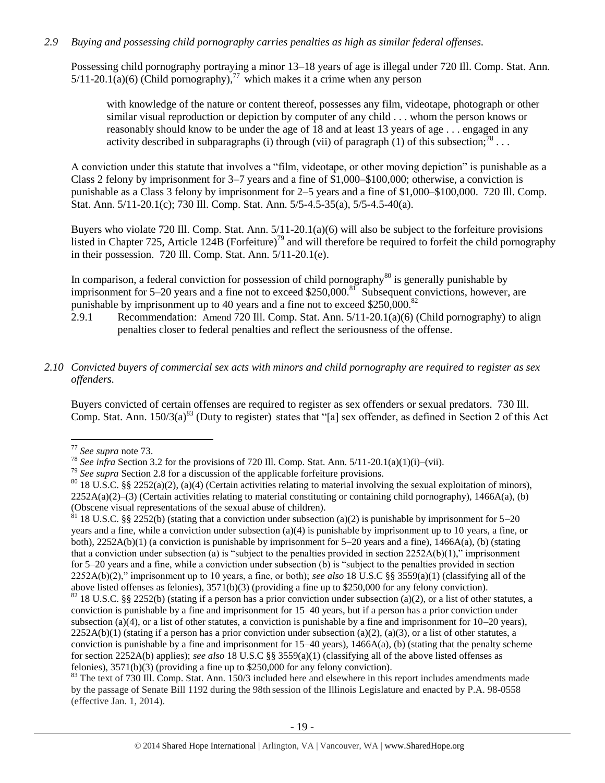#### *2.9 Buying and possessing child pornography carries penalties as high as similar federal offenses.*

Possessing child pornography portraying a minor 13–18 years of age is illegal under 720 Ill. Comp. Stat. Ann.  $5/11-20.1(a)(6)$  (Child pornography),<sup>77</sup> which makes it a crime when any person

with knowledge of the nature or content thereof, possesses any film, videotape, photograph or other similar visual reproduction or depiction by computer of any child . . . whom the person knows or reasonably should know to be under the age of 18 and at least 13 years of age . . . engaged in any activity described in subparagraphs (i) through (vii) of paragraph (1) of this subsection;<sup>78</sup>...

A conviction under this statute that involves a "film, videotape, or other moving depiction" is punishable as a Class 2 felony by imprisonment for 3–7 years and a fine of \$1,000–\$100,000; otherwise, a conviction is punishable as a Class 3 felony by imprisonment for 2–5 years and a fine of \$1,000–\$100,000. 720 Ill. Comp. Stat. Ann. 5/11-20.1(c); 730 Ill. Comp. Stat. Ann. 5/5-4.5-35(a), 5/5-4.5-40(a).

Buyers who violate 720 Ill. Comp. Stat. Ann. 5/11-20.1(a)(6) will also be subject to the forfeiture provisions listed in Chapter 725, Article 124B (Forfeiture)<sup>79</sup> and will therefore be required to forfeit the child pornography in their possession. 720 Ill. Comp. Stat. Ann. 5/11-20.1(e).

In comparison, a federal conviction for possession of child pornography $^{80}$  is generally punishable by imprisonment for 5–20 years and a fine not to exceed \$250,000.<sup>81</sup> Subsequent convictions, however, are punishable by imprisonment up to 40 years and a fine not to exceed \$250,000.<sup>82</sup>

2.9.1 Recommendation: Amend 720 Ill. Comp. Stat. Ann. 5/11-20.1(a)(6) (Child pornography) to align penalties closer to federal penalties and reflect the seriousness of the offense.

# *2.10 Convicted buyers of commercial sex acts with minors and child pornography are required to register as sex offenders.*

Buyers convicted of certain offenses are required to register as sex offenders or sexual predators. 730 Ill. Comp. Stat. Ann.  $150/3(a)^{83}$  (Duty to register) states that "[a] sex offender, as defined in Section 2 of this Act

 $\overline{a}$ 

 $81$  18 U.S.C. §§ 2252(b) (stating that a conviction under subsection (a)(2) is punishable by imprisonment for 5–20 years and a fine, while a conviction under subsection (a)(4) is punishable by imprisonment up to 10 years, a fine, or both), 2252A(b)(1) (a conviction is punishable by imprisonment for 5–20 years and a fine), 1466A(a), (b) (stating that a conviction under subsection (a) is "subject to the penalties provided in section  $2252A(b)(1)$ ," imprisonment for 5–20 years and a fine, while a conviction under subsection (b) is "subject to the penalties provided in section 2252A(b)(2)," imprisonment up to 10 years, a fine, or both); *see also* 18 U.S.C §§ 3559(a)(1) (classifying all of the above listed offenses as felonies), 3571(b)(3) (providing a fine up to \$250,000 for any felony conviction).  $82$  18 U.S.C. §§ 2252(b) (stating if a person has a prior conviction under subsection (a)(2), or a list of other statutes, a conviction is punishable by a fine and imprisonment for 15–40 years, but if a person has a prior conviction under subsection (a)(4), or a list of other statutes, a conviction is punishable by a fine and imprisonment for  $10-20$  years),  $2252A(b)(1)$  (stating if a person has a prior conviction under subsection (a)(2), (a)(3), or a list of other statutes, a conviction is punishable by a fine and imprisonment for  $15-40$  years),  $1466A(a)$ , (b) (stating that the penalty scheme for section 2252A(b) applies); *see also* 18 U.S.C §§ 3559(a)(1) (classifying all of the above listed offenses as felonies), 3571(b)(3) (providing a fine up to \$250,000 for any felony conviction).

<sup>83</sup> The text of 730 Ill. Comp. Stat. Ann. 150/3 included here and elsewhere in this report includes amendments made by the passage of Senate Bill 1192 during the 98th session of the Illinois Legislature and enacted by P.A. 98-0558 (effective Jan. 1, 2014).

<sup>77</sup> *See supra* note [73.](#page-16-0)

<sup>78</sup> *See infra* Section 3.2 for the provisions of 720 Ill. Comp. Stat. Ann. 5/11-20.1(a)(1)(i)–(vii).

<sup>79</sup> *See supra* Section 2.8 for a discussion of the applicable forfeiture provisions.

 $80$  18 U.S.C. §§ 2252(a)(2), (a)(4) (Certain activities relating to material involving the sexual exploitation of minors),  $2252A(a)(2)$ –(3) (Certain activities relating to material constituting or containing child pornography), 1466A(a), (b) (Obscene visual representations of the sexual abuse of children).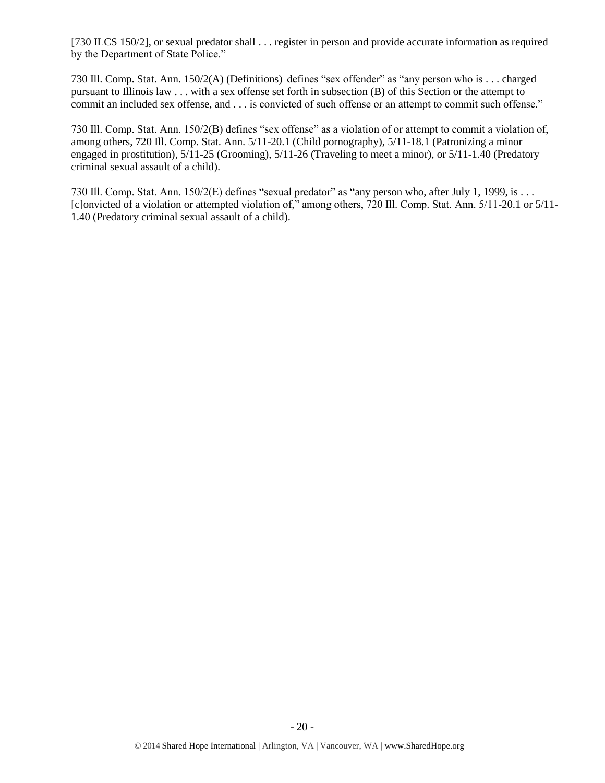[730 ILCS 150/2], or sexual predator shall . . . register in person and provide accurate information as required by the Department of State Police."

730 Ill. Comp. Stat. Ann. 150/2(A) (Definitions) defines "sex offender" as "any person who is . . . charged pursuant to Illinois law . . . with a sex offense set forth in subsection (B) of this Section or the attempt to commit an included sex offense, and . . . is convicted of such offense or an attempt to commit such offense."

730 Ill. Comp. Stat. Ann. 150/2(B) defines "sex offense" as a violation of or attempt to commit a violation of, among others, 720 Ill. Comp. Stat. Ann. 5/11-20.1 (Child pornography), 5/11-18.1 (Patronizing a minor engaged in prostitution), 5/11-25 (Grooming), 5/11-26 (Traveling to meet a minor), or 5/11-1.40 (Predatory criminal sexual assault of a child).

730 Ill. Comp. Stat. Ann. 150/2(E) defines "sexual predator" as "any person who, after July 1, 1999, is . . . [c]onvicted of a violation or attempted violation of," among others, 720 Ill. Comp. Stat. Ann. 5/11-20.1 or 5/11- 1.40 (Predatory criminal sexual assault of a child).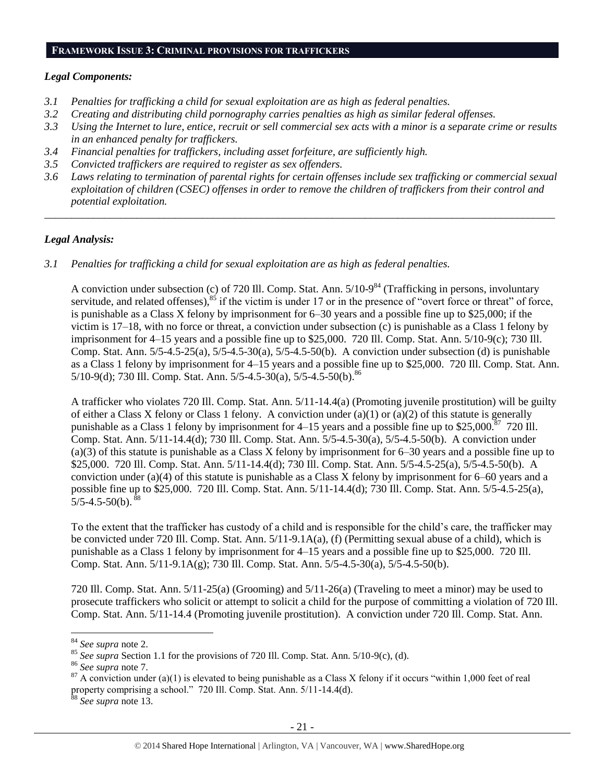#### **FRAMEWORK ISSUE 3: CRIMINAL PROVISIONS FOR TRAFFICKERS**

#### *Legal Components:*

- *3.1 Penalties for trafficking a child for sexual exploitation are as high as federal penalties.*
- *3.2 Creating and distributing child pornography carries penalties as high as similar federal offenses.*
- *3.3 Using the Internet to lure, entice, recruit or sell commercial sex acts with a minor is a separate crime or results in an enhanced penalty for traffickers.*
- *3.4 Financial penalties for traffickers, including asset forfeiture, are sufficiently high.*
- *3.5 Convicted traffickers are required to register as sex offenders.*
- *3.6 Laws relating to termination of parental rights for certain offenses include sex trafficking or commercial sexual exploitation of children (CSEC) offenses in order to remove the children of traffickers from their control and potential exploitation.*

*\_\_\_\_\_\_\_\_\_\_\_\_\_\_\_\_\_\_\_\_\_\_\_\_\_\_\_\_\_\_\_\_\_\_\_\_\_\_\_\_\_\_\_\_\_\_\_\_\_\_\_\_\_\_\_\_\_\_\_\_\_\_\_\_\_\_\_\_\_\_\_\_\_\_\_\_\_\_\_\_\_\_\_\_\_\_\_\_\_\_\_\_\_\_*

# *Legal Analysis:*

*3.1 Penalties for trafficking a child for sexual exploitation are as high as federal penalties.* 

A conviction under subsection (c) of 720 Ill. Comp. Stat. Ann.  $5/10-9^{84}$  (Trafficking in persons, involuntary servitude, and related offenses), $85$  if the victim is under 17 or in the presence of "overt force or threat" of force, is punishable as a Class X felony by imprisonment for 6–30 years and a possible fine up to \$25,000; if the victim is 17–18, with no force or threat, a conviction under subsection (c) is punishable as a Class 1 felony by imprisonment for 4–15 years and a possible fine up to \$25,000. 720 Ill. Comp. Stat. Ann. 5/10-9(c); 730 Ill. Comp. Stat. Ann. 5/5-4.5-25(a), 5/5-4.5-30(a), 5/5-4.5-50(b). A conviction under subsection (d) is punishable as a Class 1 felony by imprisonment for 4–15 years and a possible fine up to \$25,000. 720 Ill. Comp. Stat. Ann.  $5/10-9$ (d); 730 Ill. Comp. Stat. Ann.  $5/5-4.5-30$ (a),  $5/5-4.5-50$ (b).  $86$ 

A trafficker who violates 720 Ill. Comp. Stat. Ann. 5/11-14.4(a) (Promoting juvenile prostitution) will be guilty of either a Class X felony or Class 1 felony. A conviction under (a)(1) or (a)(2) of this statute is generally punishable as a Class 1 felony by imprisonment for  $4-15$  years and a possible fine up to \$25,000.<sup>87</sup> 720 Ill. Comp. Stat. Ann. 5/11-14.4(d); 730 Ill. Comp. Stat. Ann. 5/5-4.5-30(a), 5/5-4.5-50(b). A conviction under (a)(3) of this statute is punishable as a Class X felony by imprisonment for 6–30 years and a possible fine up to \$25,000. 720 Ill. Comp. Stat. Ann. 5/11-14.4(d); 730 Ill. Comp. Stat. Ann. 5/5-4.5-25(a), 5/5-4.5-50(b). A conviction under (a)(4) of this statute is punishable as a Class X felony by imprisonment for 6–60 years and a possible fine up to \$25,000. 720 Ill. Comp. Stat. Ann. 5/11-14.4(d); 730 Ill. Comp. Stat. Ann. 5/5-4.5-25(a),  $5/5-4.5-50(b).$ <sup>8</sup>

To the extent that the trafficker has custody of a child and is responsible for the child's care, the trafficker may be convicted under 720 Ill. Comp. Stat. Ann. 5/11-9.1A(a), (f) (Permitting sexual abuse of a child), which is punishable as a Class 1 felony by imprisonment for 4–15 years and a possible fine up to \$25,000. 720 Ill. Comp. Stat. Ann. 5/11-9.1A(g); 730 Ill. Comp. Stat. Ann. 5/5-4.5-30(a), 5/5-4.5-50(b).

720 Ill. Comp. Stat. Ann. 5/11-25(a) (Grooming) and 5/11-26(a) (Traveling to meet a minor) may be used to prosecute traffickers who solicit or attempt to solicit a child for the purpose of committing a violation of 720 Ill. Comp. Stat. Ann. 5/11-14.4 (Promoting juvenile prostitution). A conviction under 720 Ill. Comp. Stat. Ann.

<sup>84</sup> *See supra* note [2.](#page-0-0)

<sup>&</sup>lt;sup>85</sup> See supra Section 1.1 for the provisions of 720 Ill. Comp. Stat. Ann. 5/10-9(c), (d).

<sup>86</sup> *See supra* note [7.](#page-1-0)

<sup>&</sup>lt;sup>87</sup> A conviction under (a)(1) is elevated to being punishable as a Class X felony if it occurs "within 1,000 feet of real property comprising a school." 720 Ill. Comp. Stat. Ann. 5/11-14.4(d).

<sup>88</sup> *See supra* note [13.](#page-3-0)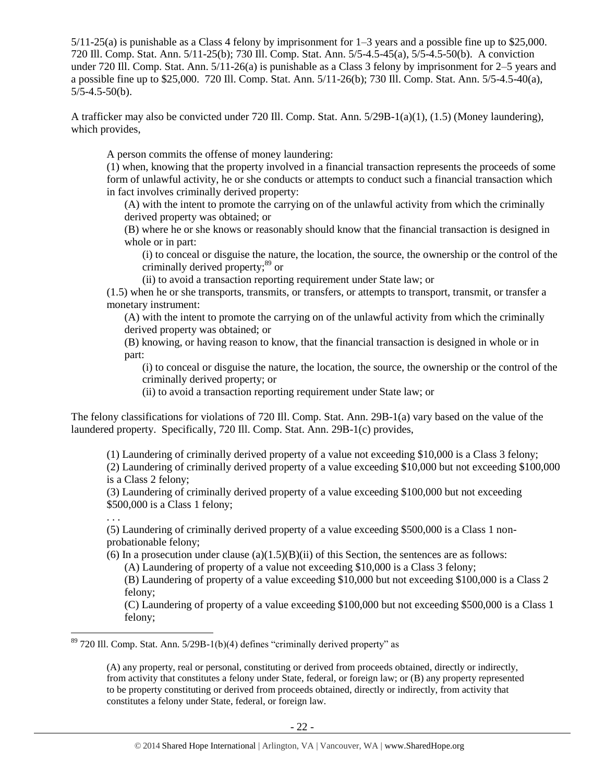5/11-25(a) is punishable as a Class 4 felony by imprisonment for 1–3 years and a possible fine up to \$25,000. 720 Ill. Comp. Stat. Ann. 5/11-25(b); 730 Ill. Comp. Stat. Ann. 5/5-4.5-45(a), 5/5-4.5-50(b). A conviction under 720 Ill. Comp. Stat. Ann. 5/11-26(a) is punishable as a Class 3 felony by imprisonment for 2–5 years and a possible fine up to \$25,000. 720 Ill. Comp. Stat. Ann. 5/11-26(b); 730 Ill. Comp. Stat. Ann. 5/5-4.5-40(a),  $5/5 - 4.5 - 50(b)$ .

A trafficker may also be convicted under 720 Ill. Comp. Stat. Ann. 5/29B-1(a)(1), (1.5) (Money laundering), which provides,

A person commits the offense of money laundering:

(1) when, knowing that the property involved in a financial transaction represents the proceeds of some form of unlawful activity, he or she conducts or attempts to conduct such a financial transaction which in fact involves criminally derived property:

(A) with the intent to promote the carrying on of the unlawful activity from which the criminally derived property was obtained; or

(B) where he or she knows or reasonably should know that the financial transaction is designed in whole or in part:

(i) to conceal or disguise the nature, the location, the source, the ownership or the control of the criminally derived property;<sup>89</sup> or

(ii) to avoid a transaction reporting requirement under State law; or

(1.5) when he or she transports, transmits, or transfers, or attempts to transport, transmit, or transfer a monetary instrument:

(A) with the intent to promote the carrying on of the unlawful activity from which the criminally derived property was obtained; or

(B) knowing, or having reason to know, that the financial transaction is designed in whole or in part:

(i) to conceal or disguise the nature, the location, the source, the ownership or the control of the criminally derived property; or

(ii) to avoid a transaction reporting requirement under State law; or

The felony classifications for violations of 720 Ill. Comp. Stat. Ann. 29B-1(a) vary based on the value of the laundered property. Specifically, 720 Ill. Comp. Stat. Ann. 29B-1(c) provides,

(1) Laundering of criminally derived property of a value not exceeding \$10,000 is a Class 3 felony;

(2) Laundering of criminally derived property of a value exceeding \$10,000 but not exceeding \$100,000 is a Class 2 felony;

(3) Laundering of criminally derived property of a value exceeding \$100,000 but not exceeding \$500,000 is a Class 1 felony;

(5) Laundering of criminally derived property of a value exceeding \$500,000 is a Class 1 nonprobationable felony;

(6) In a prosecution under clause (a) $(1.5)(B)(ii)$  of this Section, the sentences are as follows:

(A) Laundering of property of a value not exceeding \$10,000 is a Class 3 felony;

(B) Laundering of property of a value exceeding \$10,000 but not exceeding \$100,000 is a Class 2 felony;

(C) Laundering of property of a value exceeding \$100,000 but not exceeding \$500,000 is a Class 1 felony;

 $89$  720 Ill. Comp. Stat. Ann. 5/29B-1(b)(4) defines "criminally derived property" as

. . .

 $\overline{a}$ 

(A) any property, real or personal, constituting or derived from proceeds obtained, directly or indirectly, from activity that constitutes a felony under State, federal, or foreign law; or (B) any property represented to be property constituting or derived from proceeds obtained, directly or indirectly, from activity that constitutes a felony under State, federal, or foreign law.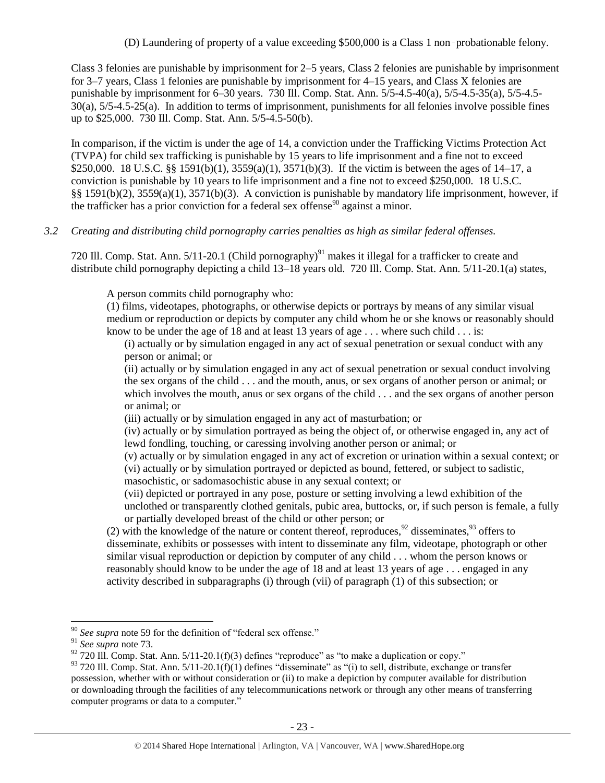(D) Laundering of property of a value exceeding \$500,000 is a Class 1 non‑probationable felony.

Class 3 felonies are punishable by imprisonment for 2–5 years, Class 2 felonies are punishable by imprisonment for 3–7 years, Class 1 felonies are punishable by imprisonment for 4–15 years, and Class X felonies are punishable by imprisonment for 6–30 years. 730 Ill. Comp. Stat. Ann. 5/5-4.5-40(a), 5/5-4.5-35(a), 5/5-4.5- 30(a), 5/5-4.5-25(a). In addition to terms of imprisonment, punishments for all felonies involve possible fines up to \$25,000. 730 Ill. Comp. Stat. Ann. 5/5-4.5-50(b).

In comparison, if the victim is under the age of 14, a conviction under the Trafficking Victims Protection Act (TVPA) for child sex trafficking is punishable by 15 years to life imprisonment and a fine not to exceed \$250,000. 18 U.S.C. §§ 1591(b)(1), 3559(a)(1), 3571(b)(3). If the victim is between the ages of 14–17, a conviction is punishable by 10 years to life imprisonment and a fine not to exceed \$250,000. 18 U.S.C. §§ 1591(b)(2), 3559(a)(1), 3571(b)(3). A conviction is punishable by mandatory life imprisonment, however, if the trafficker has a prior conviction for a federal sex offense<sup>90</sup> against a minor.

#### *3.2 Creating and distributing child pornography carries penalties as high as similar federal offenses.*

720 Ill. Comp. Stat. Ann.  $5/11$ -20.1 (Child pornography)<sup>91</sup> makes it illegal for a trafficker to create and distribute child pornography depicting a child 13–18 years old. 720 Ill. Comp. Stat. Ann. 5/11-20.1(a) states,

A person commits child pornography who:

(1) films, videotapes, photographs, or otherwise depicts or portrays by means of any similar visual medium or reproduction or depicts by computer any child whom he or she knows or reasonably should know to be under the age of 18 and at least 13 years of age  $\dots$  where such child  $\dots$  is:

(i) actually or by simulation engaged in any act of sexual penetration or sexual conduct with any person or animal; or

(ii) actually or by simulation engaged in any act of sexual penetration or sexual conduct involving the sex organs of the child . . . and the mouth, anus, or sex organs of another person or animal; or which involves the mouth, anus or sex organs of the child . . . and the sex organs of another person or animal; or

(iii) actually or by simulation engaged in any act of masturbation; or

(iv) actually or by simulation portrayed as being the object of, or otherwise engaged in, any act of lewd fondling, touching, or caressing involving another person or animal; or

(v) actually or by simulation engaged in any act of excretion or urination within a sexual context; or (vi) actually or by simulation portrayed or depicted as bound, fettered, or subject to sadistic, masochistic, or sadomasochistic abuse in any sexual context; or

<span id="page-22-1"></span><span id="page-22-0"></span>(vii) depicted or portrayed in any pose, posture or setting involving a lewd exhibition of the unclothed or transparently clothed genitals, pubic area, buttocks, or, if such person is female, a fully or partially developed breast of the child or other person; or

(2) with the knowledge of the nature or content thereof, reproduces,  $92$  disseminates,  $93$  offers to disseminate, exhibits or possesses with intent to disseminate any film, videotape, photograph or other similar visual reproduction or depiction by computer of any child . . . whom the person knows or reasonably should know to be under the age of 18 and at least 13 years of age . . . engaged in any activity described in subparagraphs (i) through (vii) of paragraph (1) of this subsection; or

<sup>90</sup> *See supra* note [59](#page-13-0) for the definition of "federal sex offense."

<sup>91</sup> *See supra* note [73.](#page-16-0)

 $92$  720 III. Comp. Stat. Ann. 5/11-20.1(f)(3) defines "reproduce" as "to make a duplication or copy."

 $93$  720 Ill. Comp. Stat. Ann.  $5/11$ -20.1(f)(1) defines "disseminate" as "(i) to sell, distribute, exchange or transfer possession, whether with or without consideration or (ii) to make a depiction by computer available for distribution or downloading through the facilities of any telecommunications network or through any other means of transferring computer programs or data to a computer."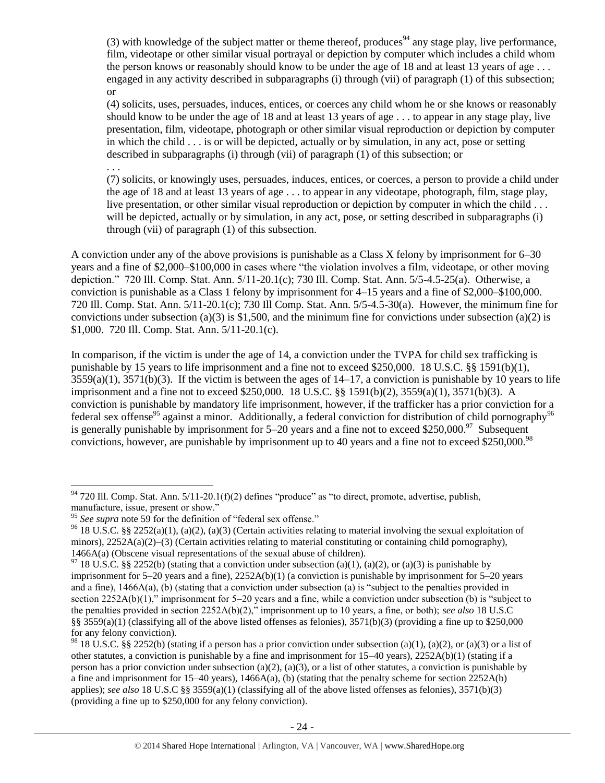(3) with knowledge of the subject matter or theme thereof, produces<sup>94</sup> any stage play, live performance, film, videotape or other similar visual portrayal or depiction by computer which includes a child whom the person knows or reasonably should know to be under the age of 18 and at least 13 years of age . . . engaged in any activity described in subparagraphs (i) through (vii) of paragraph (1) of this subsection; or

(4) solicits, uses, persuades, induces, entices, or coerces any child whom he or she knows or reasonably should know to be under the age of 18 and at least 13 years of age . . . to appear in any stage play, live presentation, film, videotape, photograph or other similar visual reproduction or depiction by computer in which the child . . . is or will be depicted, actually or by simulation, in any act, pose or setting described in subparagraphs (i) through (vii) of paragraph (1) of this subsection; or

. . .

(7) solicits, or knowingly uses, persuades, induces, entices, or coerces, a person to provide a child under the age of 18 and at least 13 years of age . . . to appear in any videotape, photograph, film, stage play, live presentation, or other similar visual reproduction or depiction by computer in which the child . . . will be depicted, actually or by simulation, in any act, pose, or setting described in subparagraphs (i) through (vii) of paragraph (1) of this subsection.

A conviction under any of the above provisions is punishable as a Class X felony by imprisonment for 6–30 years and a fine of \$2,000–\$100,000 in cases where "the violation involves a film, videotape, or other moving depiction." 720 Ill. Comp. Stat. Ann. 5/11-20.1(c); 730 Ill. Comp. Stat. Ann. 5/5-4.5-25(a). Otherwise, a conviction is punishable as a Class 1 felony by imprisonment for 4–15 years and a fine of \$2,000–\$100,000. 720 Ill. Comp. Stat. Ann. 5/11-20.1(c); 730 Ill Comp. Stat. Ann. 5/5-4.5-30(a). However, the minimum fine for convictions under subsection (a)(3) is \$1,500, and the minimum fine for convictions under subsection (a)(2) is \$1,000. 720 Ill. Comp. Stat. Ann. 5/11-20.1(c).

In comparison, if the victim is under the age of 14, a conviction under the TVPA for child sex trafficking is punishable by 15 years to life imprisonment and a fine not to exceed \$250,000. 18 U.S.C. §§ 1591(b)(1),  $3559(a)(1)$ ,  $3571(b)(3)$ . If the victim is between the ages of  $14-17$ , a conviction is punishable by 10 years to life imprisonment and a fine not to exceed \$250,000. 18 U.S.C. §§ 1591(b)(2), 3559(a)(1), 3571(b)(3). A conviction is punishable by mandatory life imprisonment, however, if the trafficker has a prior conviction for a federal sex offense<sup>95</sup> against a minor. Additionally, a federal conviction for distribution of child pornography<sup>96</sup> is generally punishable by imprisonment for  $5-20$  years and a fine not to exceed \$250,000.<sup>97</sup> Subsequent convictions, however, are punishable by imprisonment up to 40 years and a fine not to exceed \$250,000.<sup>98</sup>

 $\overline{a}$  $94$  720 Ill. Comp. Stat. Ann. 5/11-20.1(f)(2) defines "produce" as "to direct, promote, advertise, publish, manufacture, issue, present or show."

<sup>&</sup>lt;sup>95</sup> See supra note [59](#page-13-0) for the definition of "federal sex offense."

<sup>&</sup>lt;sup>96</sup> 18 U.S.C. §§ 2252(a)(1), (a)(2), (a)(3) (Certain activities relating to material involving the sexual exploitation of minors), 2252A(a)(2)–(3) (Certain activities relating to material constituting or containing child pornography), 1466A(a) (Obscene visual representations of the sexual abuse of children).

<sup>&</sup>lt;sup>97</sup> 18 U.S.C. §§ 2252(b) (stating that a conviction under subsection (a)(1), (a)(2), or (a)(3) is punishable by imprisonment for 5–20 years and a fine), 2252A(b)(1) (a conviction is punishable by imprisonment for 5–20 years and a fine),  $1466A(a)$ , (b) (stating that a conviction under subsection (a) is "subject to the penalties provided in section 2252A(b)(1)," imprisonment for 5–20 years and a fine, while a conviction under subsection (b) is "subject to the penalties provided in section 2252A(b)(2)," imprisonment up to 10 years, a fine, or both); *see also* 18 U.S.C §§ 3559(a)(1) (classifying all of the above listed offenses as felonies),  $3571(b)(3)$  (providing a fine up to \$250,000 for any felony conviction).

<sup>&</sup>lt;sup>98</sup> 18 U.S.C. §§ 2252(b) (stating if a person has a prior conviction under subsection (a)(1), (a)(2), or (a)(3) or a list of other statutes, a conviction is punishable by a fine and imprisonment for 15–40 years), 2252A(b)(1) (stating if a person has a prior conviction under subsection (a)(2), (a)(3), or a list of other statutes, a conviction is punishable by a fine and imprisonment for  $15-40$  years),  $1466A(a)$ , (b) (stating that the penalty scheme for section  $2252A(b)$ applies); *see also* 18 U.S.C §§ 3559(a)(1) (classifying all of the above listed offenses as felonies), 3571(b)(3) (providing a fine up to \$250,000 for any felony conviction).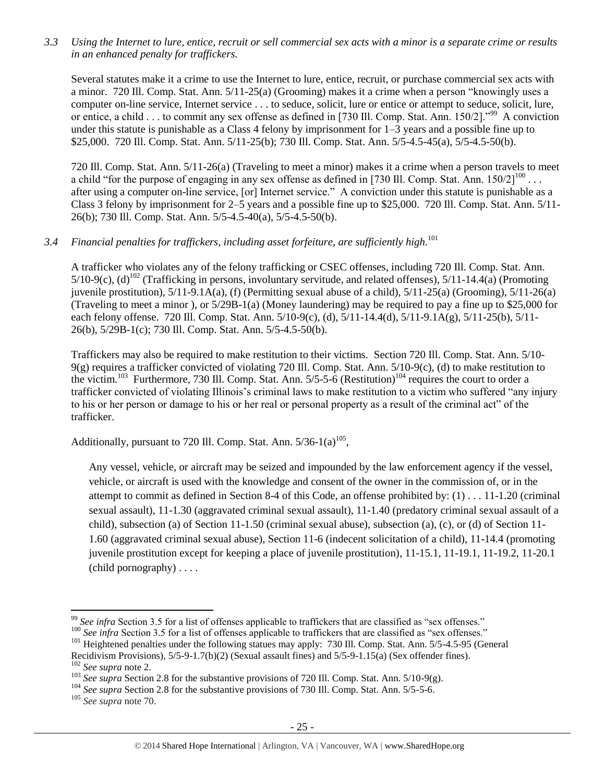*3.3 Using the Internet to lure, entice, recruit or sell commercial sex acts with a minor is a separate crime or results in an enhanced penalty for traffickers.*

Several statutes make it a crime to use the Internet to lure, entice, recruit, or purchase commercial sex acts with a minor. 720 Ill. Comp. Stat. Ann. 5/11-25(a) (Grooming) makes it a crime when a person "knowingly uses a computer on-line service, Internet service . . . to seduce, solicit, lure or entice or attempt to seduce, solicit, lure, or entice, a child . . . to commit any sex offense as defined in [730 Ill. Comp. Stat. Ann. 150/2]."<sup>99</sup> A conviction under this statute is punishable as a Class 4 felony by imprisonment for 1–3 years and a possible fine up to \$25,000. 720 Ill. Comp. Stat. Ann. 5/11-25(b); 730 Ill. Comp. Stat. Ann. 5/5-4.5-45(a), 5/5-4.5-50(b).

720 Ill. Comp. Stat. Ann. 5/11-26(a) (Traveling to meet a minor) makes it a crime when a person travels to meet a child "for the purpose of engaging in any sex offense as defined in [730 Ill. Comp. Stat. Ann.  $150/2$ ]<sup>100</sup>... after using a computer on-line service, [or] Internet service." A conviction under this statute is punishable as a Class 3 felony by imprisonment for 2–5 years and a possible fine up to \$25,000. 720 Ill. Comp. Stat. Ann. 5/11- 26(b); 730 Ill. Comp. Stat. Ann. 5/5-4.5-40(a), 5/5-4.5-50(b).

# *3.4 Financial penalties for traffickers, including asset forfeiture, are sufficiently high.*<sup>101</sup>

A trafficker who violates any of the felony trafficking or CSEC offenses, including 720 Ill. Comp. Stat. Ann.  $5/10-9(c)$ , (d)<sup>102</sup> (Trafficking in persons, involuntary servitude, and related offenses),  $5/11-14.4(a)$  (Promoting juvenile prostitution), 5/11-9.1A(a), (f) (Permitting sexual abuse of a child), 5/11-25(a) (Grooming), 5/11-26(a) (Traveling to meet a minor ), or 5/29B-1(a) (Money laundering) may be required to pay a fine up to \$25,000 for each felony offense. 720 Ill. Comp. Stat. Ann. 5/10-9(c), (d), 5/11-14.4(d), 5/11-9.1A(g), 5/11-25(b), 5/11- 26(b), 5/29B-1(c); 730 Ill. Comp. Stat. Ann. 5/5-4.5-50(b).

Traffickers may also be required to make restitution to their victims. Section 720 Ill. Comp. Stat. Ann. 5/10- 9(g) requires a trafficker convicted of violating 720 Ill. Comp. Stat. Ann. 5/10-9(c), (d) to make restitution to the victim.<sup>103</sup> Furthermore, 730 Ill. Comp. Stat. Ann.  $5/5$ -5-6 (Restitution)<sup>104</sup> requires the court to order a trafficker convicted of violating Illinois's criminal laws to make restitution to a victim who suffered "any injury to his or her person or damage to his or her real or personal property as a result of the criminal act" of the trafficker.

Additionally, pursuant to 720 Ill. Comp. Stat. Ann.  $5/36-1(a)^{105}$ ,

Any vessel, vehicle, or aircraft may be seized and impounded by the law enforcement agency if the vessel, vehicle, or aircraft is used with the knowledge and consent of the owner in the commission of, or in the attempt to commit as defined in Section 8-4 of this Code, an offense prohibited by: (1) . . . 11-1.20 (criminal sexual assault), 11-1.30 (aggravated criminal sexual assault), 11-1.40 (predatory criminal sexual assault of a child), subsection (a) of Section 11-1.50 (criminal sexual abuse), subsection (a), (c), or (d) of Section 11- 1.60 (aggravated criminal sexual abuse), Section 11-6 (indecent solicitation of a child), 11-14.4 (promoting juvenile prostitution except for keeping a place of juvenile prostitution), 11-15.1, 11-19.1, 11-19.2, 11-20.1 (child pornography) . . . .

<sup>101</sup> Heightened penalties under the following statues may apply: 730 Ill. Comp. Stat. Ann. 5/5-4.5-95 (General

<sup>&</sup>lt;sup>99</sup> See infra Section 3.5 for a list of offenses applicable to traffickers that are classified as "sex offenses."

<sup>&</sup>lt;sup>100</sup> *See infra* Section 3.5 for a list of offenses applicable to traffickers that are classified as "sex offenses."

Recidivism Provisions), 5/5-9-1.7(b)(2) (Sexual assault fines) and 5/5-9-1.15(a) (Sex offender fines). <sup>102</sup> *See supra* not[e 2.](#page-0-0)

<sup>&</sup>lt;sup>103</sup> *See supra* Section 2.8 for the substantive provisions of 720 Ill. Comp. Stat. Ann. 5/10-9(g).

<sup>&</sup>lt;sup>104</sup> *See supra* Section 2.8 for the substantive provisions of 730 Ill. Comp. Stat. Ann. 5/5-5-6.

<sup>105</sup> *See supra* not[e 70.](#page-15-0)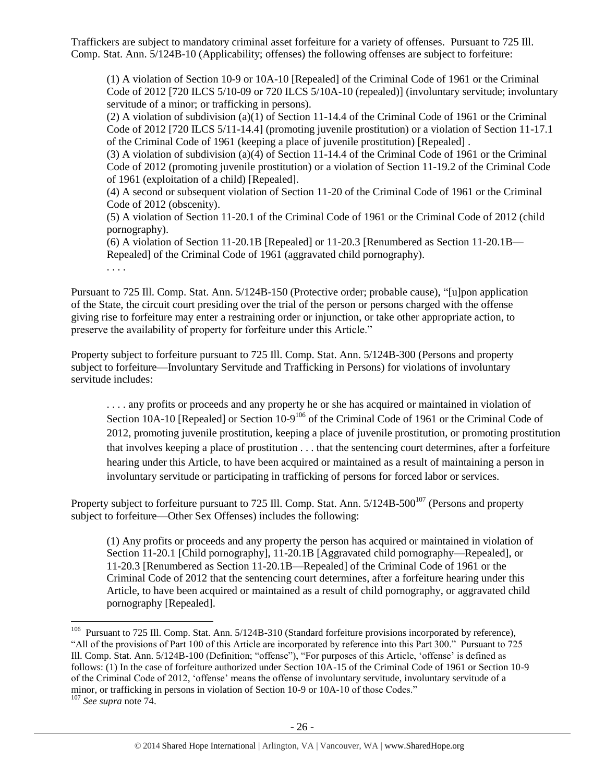Traffickers are subject to mandatory criminal asset forfeiture for a variety of offenses. Pursuant to 725 Ill. Comp. Stat. Ann. 5/124B-10 (Applicability; offenses) the following offenses are subject to forfeiture:

(1) A violation of Section 10-9 or 10A-10 [Repealed] of the Criminal Code of 1961 or the Criminal Code of 2012 [720 ILCS 5/10-09 or 720 ILCS 5/10A-10 (repealed)] (involuntary servitude; involuntary servitude of a minor; or trafficking in persons).

(2) A violation of subdivision (a)(1) of Section 11-14.4 of the Criminal Code of 1961 or the Criminal Code of 2012 [720 ILCS 5/11-14.4] (promoting juvenile prostitution) or a violation of Section 11-17.1 of the Criminal Code of 1961 (keeping a place of juvenile prostitution) [Repealed] .

(3) A violation of subdivision (a)(4) of Section 11-14.4 of the Criminal Code of 1961 or the Criminal Code of 2012 (promoting juvenile prostitution) or a violation of Section 11-19.2 of the Criminal Code of 1961 (exploitation of a child) [Repealed].

(4) A second or subsequent violation of Section 11-20 of the Criminal Code of 1961 or the Criminal Code of 2012 (obscenity).

(5) A violation of Section 11-20.1 of the Criminal Code of 1961 or the Criminal Code of 2012 (child pornography).

(6) A violation of Section 11-20.1B [Repealed] or 11-20.3 [Renumbered as Section 11-20.1B— Repealed] of the Criminal Code of 1961 (aggravated child pornography).

. . . .

Pursuant to 725 Ill. Comp. Stat. Ann. 5/124B-150 (Protective order; probable cause), "[u]pon application of the State, the circuit court presiding over the trial of the person or persons charged with the offense giving rise to forfeiture may enter a restraining order or injunction, or take other appropriate action, to preserve the availability of property for forfeiture under this Article."

Property subject to forfeiture pursuant to 725 Ill. Comp. Stat. Ann. 5/124B-300 (Persons and property subject to forfeiture—Involuntary Servitude and Trafficking in Persons) for violations of involuntary servitude includes:

. . . . any profits or proceeds and any property he or she has acquired or maintained in violation of Section 10A-10 [Repealed] or Section 10-9<sup>106</sup> of the Criminal Code of 1961 or the Criminal Code of 2012, promoting juvenile prostitution, keeping a place of juvenile prostitution, or promoting prostitution that involves keeping a place of prostitution . . . that the sentencing court determines, after a forfeiture hearing under this Article, to have been acquired or maintained as a result of maintaining a person in involuntary servitude or participating in trafficking of persons for forced labor or services.

Property subject to forfeiture pursuant to 725 Ill. Comp. Stat. Ann.  $5/124B-500^{107}$  (Persons and property subject to forfeiture—Other Sex Offenses) includes the following:

(1) Any profits or proceeds and any property the person has acquired or maintained in violation of Section 11-20.1 [Child pornography], 11-20.1B [Aggravated child pornography—Repealed], or 11-20.3 [Renumbered as Section 11-20.1B—Repealed] of the Criminal Code of 1961 or the Criminal Code of 2012 that the sentencing court determines, after a forfeiture hearing under this Article, to have been acquired or maintained as a result of child pornography, or aggravated child pornography [Repealed].

 106 Pursuant to 725 Ill. Comp. Stat. Ann. 5/124B-310 (Standard forfeiture provisions incorporated by reference), "All of the provisions of Part 100 of this Article are incorporated by reference into this Part 300." Pursuant to 725 Ill. Comp. Stat. Ann. 5/124B-100 (Definition; "offense"), "For purposes of this Article, 'offense' is defined as follows: (1) In the case of forfeiture authorized under Section 10A-15 of the Criminal Code of 1961 or Section 10-9 of the Criminal Code of 2012, 'offense' means the offense of involuntary servitude, involuntary servitude of a minor, or trafficking in persons in violation of Section 10-9 or 10A-10 of those Codes."

<sup>107</sup> *See supra* not[e 74.](#page-16-1)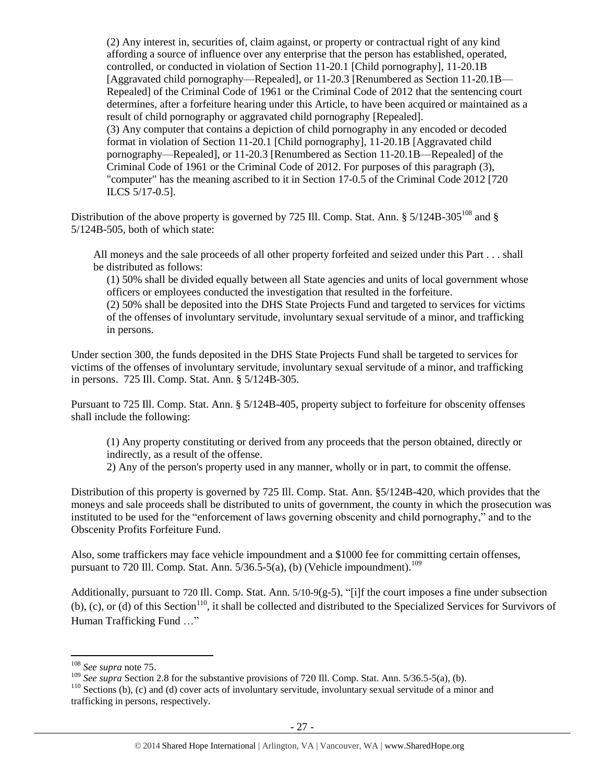(2) Any interest in, securities of, claim against, or property or contractual right of any kind affording a source of influence over any enterprise that the person has established, operated, controlled, or conducted in violation of Section 11-20.1 [Child pornography], 11-20.1B [Aggravated child pornography—Repealed], or 11-20.3 [Renumbered as Section 11-20.1B— Repealed] of the Criminal Code of 1961 or the Criminal Code of 2012 that the sentencing court determines, after a forfeiture hearing under this Article, to have been acquired or maintained as a result of child pornography or aggravated child pornography [Repealed]. (3) Any computer that contains a depiction of child pornography in any encoded or decoded format in violation of Section 11-20.1 [Child pornography], 11-20.1B [Aggravated child pornography—Repealed], or 11-20.3 [Renumbered as Section 11-20.1B—Repealed] of the Criminal Code of 1961 or the Criminal Code of 2012. For purposes of this paragraph (3), "computer" has the meaning ascribed to it in Section 17-0.5 of the Criminal Code 2012 [720 ILCS 5/17-0.5].

Distribution of the above property is governed by 725 Ill. Comp. Stat. Ann.  $\S 5/124B-305^{108}$  and  $\S$ 5/124B-505, both of which state:

All moneys and the sale proceeds of all other property forfeited and seized under this Part . . . shall be distributed as follows:

(1) 50% shall be divided equally between all State agencies and units of local government whose officers or employees conducted the investigation that resulted in the forfeiture.

(2) 50% shall be deposited into the DHS State Projects Fund and targeted to services for victims of the offenses of involuntary servitude, involuntary sexual servitude of a minor, and trafficking in persons.

Under section 300, the funds deposited in the DHS State Projects Fund shall be targeted to services for victims of the offenses of involuntary servitude, involuntary sexual servitude of a minor, and trafficking in persons. 725 Ill. Comp. Stat. Ann. § 5/124B-305.

Pursuant to 725 Ill. Comp. Stat. Ann. § 5/124B-405, property subject to forfeiture for obscenity offenses shall include the following:

(1) Any property constituting or derived from any proceeds that the person obtained, directly or indirectly, as a result of the offense.

2) Any of the person's property used in any manner, wholly or in part, to commit the offense.

Distribution of this property is governed by 725 Ill. Comp. Stat. Ann. §5/124B-420, which provides that the moneys and sale proceeds shall be distributed to units of government, the county in which the prosecution was instituted to be used for the "enforcement of laws governing obscenity and child pornography," and to the Obscenity Profits Forfeiture Fund.

Also, some traffickers may face vehicle impoundment and a \$1000 fee for committing certain offenses, pursuant to 720 Ill. Comp. Stat. Ann.  $5/36.5-5(a)$ , (b) (Vehicle impoundment).<sup>109</sup>

Additionally, pursuant to 720 Ill. Comp. Stat. Ann.  $5/10-9(g-5)$ , "[i]f the court imposes a fine under subsection  $(b)$ , (c), or (d) of this Section<sup>110</sup>, it shall be collected and distributed to the Specialized Services for Survivors of Human Trafficking Fund …"

<sup>108</sup> *See supra* not[e 75.](#page-17-0)

<sup>&</sup>lt;sup>109</sup> *See supra* Section 2.8 for the substantive provisions of 720 Ill. Comp. Stat. Ann. 5/36.5-5(a), (b).

 $110$  Sections (b), (c) and (d) cover acts of involuntary servitude, involuntary sexual servitude of a minor and trafficking in persons, respectively.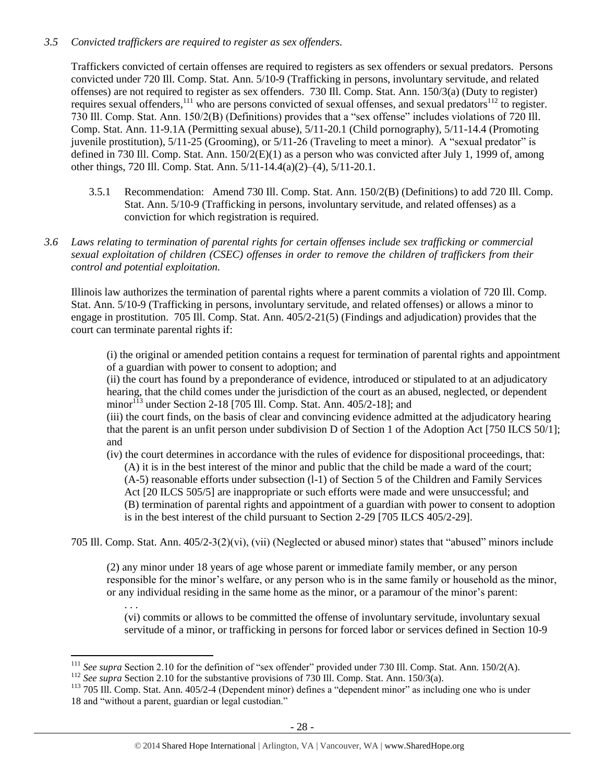#### *3.5 Convicted traffickers are required to register as sex offenders.*

Traffickers convicted of certain offenses are required to registers as sex offenders or sexual predators. Persons convicted under 720 Ill. Comp. Stat. Ann. 5/10-9 (Trafficking in persons, involuntary servitude, and related offenses) are not required to register as sex offenders. 730 Ill. Comp. Stat. Ann. 150/3(a) (Duty to register) requires sexual offenders,<sup>111</sup> who are persons convicted of sexual offenses, and sexual predators<sup>112</sup> to register. 730 Ill. Comp. Stat. Ann. 150/2(B) (Definitions) provides that a "sex offense" includes violations of 720 Ill. Comp. Stat. Ann. 11-9.1A (Permitting sexual abuse), 5/11-20.1 (Child pornography), 5/11-14.4 (Promoting juvenile prostitution), 5/11-25 (Grooming), or 5/11-26 (Traveling to meet a minor). A "sexual predator" is defined in 730 Ill. Comp. Stat. Ann. 150/2(E)(1) as a person who was convicted after July 1, 1999 of, among other things, 720 Ill. Comp. Stat. Ann. 5/11-14.4(a)(2)–(4), 5/11-20.1.

- 3.5.1 Recommendation: Amend 730 Ill. Comp. Stat. Ann. 150/2(B) (Definitions) to add 720 Ill. Comp. Stat. Ann. 5/10-9 (Trafficking in persons, involuntary servitude, and related offenses) as a conviction for which registration is required.
- *3.6 Laws relating to termination of parental rights for certain offenses include sex trafficking or commercial sexual exploitation of children (CSEC) offenses in order to remove the children of traffickers from their control and potential exploitation.*

Illinois law authorizes the termination of parental rights where a parent commits a violation of 720 Ill. Comp. Stat. Ann. 5/10-9 (Trafficking in persons, involuntary servitude, and related offenses) or allows a minor to engage in prostitution. 705 Ill. Comp. Stat. Ann. 405/2-21(5) (Findings and adjudication) provides that the court can terminate parental rights if:

(i) the original or amended petition contains a request for termination of parental rights and appointment of a guardian with power to consent to adoption; and

(ii) the court has found by a preponderance of evidence, introduced or stipulated to at an adjudicatory hearing, that the child comes under the jurisdiction of the court as an abused, neglected, or dependent minor<sup> $113$ </sup> under Section 2-18 [705 Ill. Comp. Stat. Ann. 405/2-18]; and

<span id="page-27-0"></span>(iii) the court finds, on the basis of clear and convincing evidence admitted at the adjudicatory hearing that the parent is an unfit person under subdivision D of Section 1 of the Adoption Act [750 ILCS 50/1]; and

(iv) the court determines in accordance with the rules of evidence for dispositional proceedings, that: (A) it is in the best interest of the minor and public that the child be made a ward of the court; (A-5) reasonable efforts under subsection (l-1) of Section 5 of the Children and Family Services Act [20 ILCS 505/5] are inappropriate or such efforts were made and were unsuccessful; and (B) termination of parental rights and appointment of a guardian with power to consent to adoption is in the best interest of the child pursuant to Section 2-29 [705 ILCS 405/2-29].

705 Ill. Comp. Stat. Ann. 405/2-3(2)(vi), (vii) (Neglected or abused minor) states that "abused" minors include

(2) any minor under 18 years of age whose parent or immediate family member, or any person responsible for the minor's welfare, or any person who is in the same family or household as the minor, or any individual residing in the same home as the minor, or a paramour of the minor's parent:

(vi) commits or allows to be committed the offense of involuntary servitude, involuntary sexual servitude of a minor, or trafficking in persons for forced labor or services defined in Section 10-9

. . .

<sup>&</sup>lt;sup>111</sup> See supra Section 2.10 for the definition of "sex offender" provided under 730 Ill. Comp. Stat. Ann. 150/2(A).

<sup>&</sup>lt;sup>112</sup> See supra Section 2.10 for the substantive provisions of 730 Ill. Comp. Stat. Ann. 150/3(a).

<sup>113</sup> 705 Ill. Comp. Stat. Ann. 405/2-4 (Dependent minor) defines a "dependent minor" as including one who is under 18 and "without a parent, guardian or legal custodian."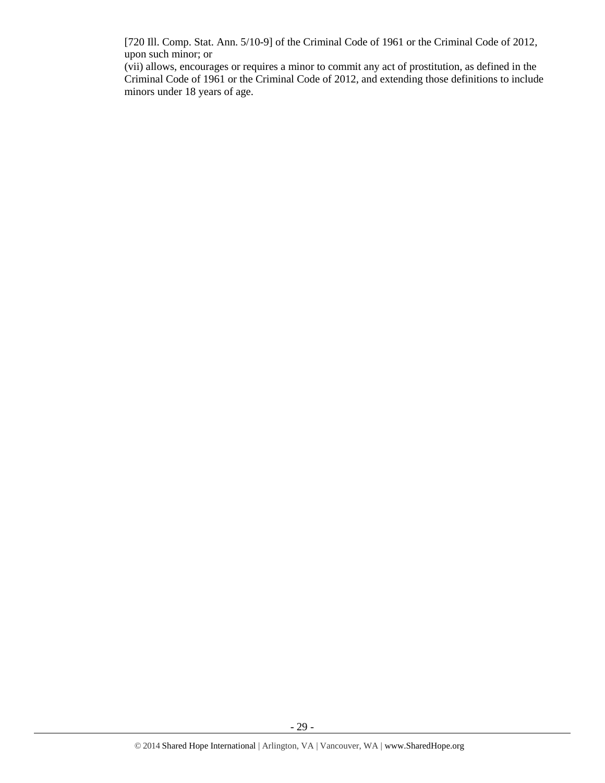[720 Ill. Comp. Stat. Ann. 5/10-9] of the Criminal Code of 1961 or the Criminal Code of 2012, upon such minor; or

(vii) allows, encourages or requires a minor to commit any act of prostitution, as defined in the Criminal Code of 1961 or the Criminal Code of 2012, and extending those definitions to include minors under 18 years of age.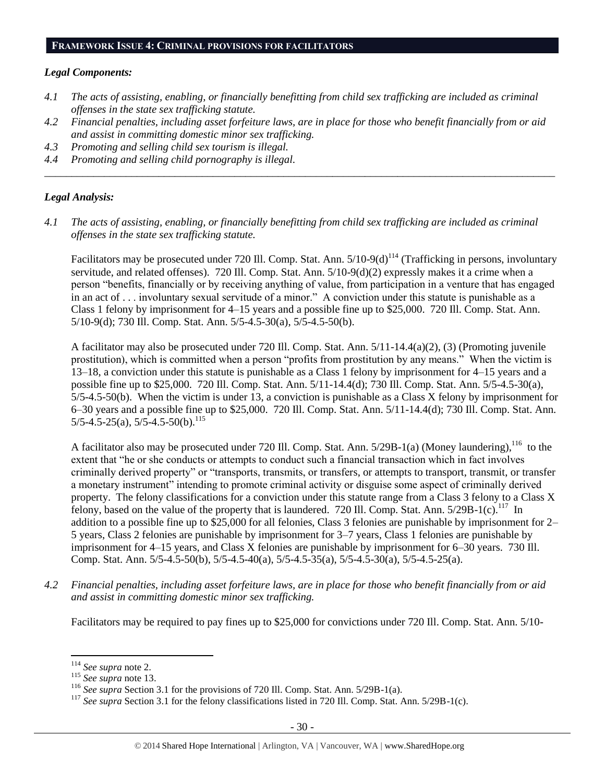#### **FRAMEWORK ISSUE 4: CRIMINAL PROVISIONS FOR FACILITATORS**

#### *Legal Components:*

- *4.1 The acts of assisting, enabling, or financially benefitting from child sex trafficking are included as criminal offenses in the state sex trafficking statute.*
- *4.2 Financial penalties, including asset forfeiture laws, are in place for those who benefit financially from or aid and assist in committing domestic minor sex trafficking.*

*\_\_\_\_\_\_\_\_\_\_\_\_\_\_\_\_\_\_\_\_\_\_\_\_\_\_\_\_\_\_\_\_\_\_\_\_\_\_\_\_\_\_\_\_\_\_\_\_\_\_\_\_\_\_\_\_\_\_\_\_\_\_\_\_\_\_\_\_\_\_\_\_\_\_\_\_\_\_\_\_\_\_\_\_\_\_\_\_\_\_\_\_\_\_*

- *4.3 Promoting and selling child sex tourism is illegal.*
- *4.4 Promoting and selling child pornography is illegal.*

#### *Legal Analysis:*

*4.1 The acts of assisting, enabling, or financially benefitting from child sex trafficking are included as criminal offenses in the state sex trafficking statute.*

Facilitators may be prosecuted under 720 Ill. Comp. Stat. Ann. 5/10-9(d)<sup>114</sup> (Trafficking in persons, involuntary servitude, and related offenses). 720 Ill. Comp. Stat. Ann. 5/10-9(d)(2) expressly makes it a crime when a person "benefits, financially or by receiving anything of value, from participation in a venture that has engaged in an act of . . . involuntary sexual servitude of a minor." A conviction under this statute is punishable as a Class 1 felony by imprisonment for 4–15 years and a possible fine up to \$25,000. 720 Ill. Comp. Stat. Ann. 5/10-9(d); 730 Ill. Comp. Stat. Ann. 5/5-4.5-30(a), 5/5-4.5-50(b).

A facilitator may also be prosecuted under 720 Ill. Comp. Stat. Ann. 5/11-14.4(a)(2), (3) (Promoting juvenile prostitution), which is committed when a person "profits from prostitution by any means." When the victim is 13–18, a conviction under this statute is punishable as a Class 1 felony by imprisonment for 4–15 years and a possible fine up to \$25,000. 720 Ill. Comp. Stat. Ann. 5/11-14.4(d); 730 Ill. Comp. Stat. Ann. 5/5-4.5-30(a), 5/5-4.5-50(b). When the victim is under 13, a conviction is punishable as a Class X felony by imprisonment for 6–30 years and a possible fine up to \$25,000. 720 Ill. Comp. Stat. Ann. 5/11-14.4(d); 730 Ill. Comp. Stat. Ann.  $5/5-4.5-25(a)$ ,  $5/5-4.5-50(b)$ .<sup>115</sup>

A facilitator also may be prosecuted under 720 Ill. Comp. Stat. Ann.  $5/29B-1(a)$  (Money laundering),  $^{116}$  to the extent that "he or she conducts or attempts to conduct such a financial transaction which in fact involves criminally derived property" or "transports, transmits, or transfers, or attempts to transport, transmit, or transfer a monetary instrument" intending to promote criminal activity or disguise some aspect of criminally derived property. The felony classifications for a conviction under this statute range from a Class 3 felony to a Class X felony, based on the value of the property that is laundered. 720 Ill. Comp. Stat. Ann.  $5/29B-1(c)$ .<sup>117</sup> In addition to a possible fine up to \$25,000 for all felonies, Class 3 felonies are punishable by imprisonment for 2– 5 years, Class 2 felonies are punishable by imprisonment for 3–7 years, Class 1 felonies are punishable by imprisonment for 4–15 years, and Class X felonies are punishable by imprisonment for 6–30 years. 730 Ill. Comp. Stat. Ann. 5/5-4.5-50(b), 5/5-4.5-40(a), 5/5-4.5-35(a), 5/5-4.5-30(a), 5/5-4.5-25(a).

*4.2 Financial penalties, including asset forfeiture laws, are in place for those who benefit financially from or aid and assist in committing domestic minor sex trafficking.*

Facilitators may be required to pay fines up to \$25,000 for convictions under 720 Ill. Comp. Stat. Ann. 5/10-

 $\overline{a}$ <sup>114</sup> *See supra* not[e 2.](#page-0-0)

<sup>115</sup> *See supra* not[e 13.](#page-3-0)

<sup>&</sup>lt;sup>116</sup> *See supra* Section 3.1 for the provisions of 720 Ill. Comp. Stat. Ann. 5/29B-1(a).

<sup>&</sup>lt;sup>117</sup> See supra Section 3.1 for the felony classifications listed in 720 Ill. Comp. Stat. Ann. 5/29B-1(c).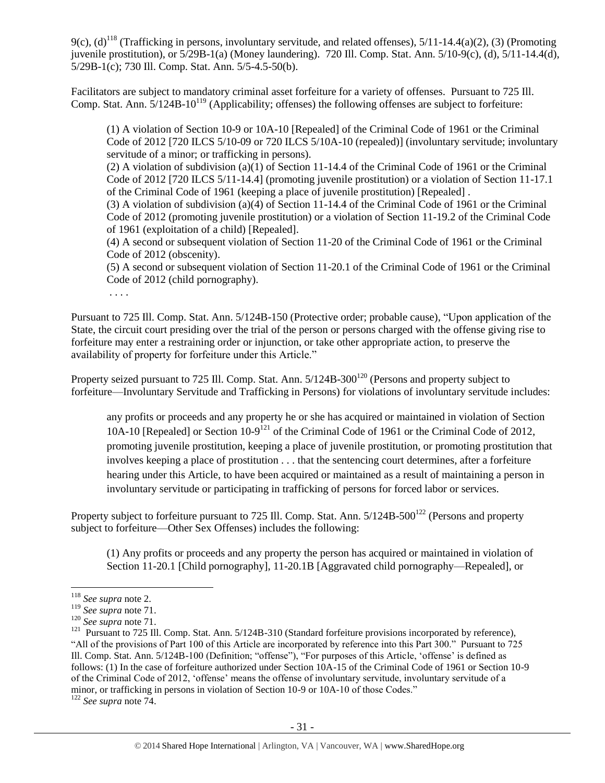9(c),  $(d)^{118}$  (Trafficking in persons, involuntary servitude, and related offenses),  $5/11-14.4(a)(2)$ , (3) (Promoting juvenile prostitution), or 5/29B-1(a) (Money laundering). 720 Ill. Comp. Stat. Ann. 5/10-9(c), (d), 5/11-14.4(d), 5/29B-1(c); 730 Ill. Comp. Stat. Ann. 5/5-4.5-50(b).

Facilitators are subject to mandatory criminal asset forfeiture for a variety of offenses. Pursuant to 725 Ill. Comp. Stat. Ann.  $5/124B-10^{119}$  (Applicability; offenses) the following offenses are subject to forfeiture:

(1) A violation of Section 10-9 or 10A-10 [Repealed] of the Criminal Code of 1961 or the Criminal Code of 2012 [720 ILCS 5/10-09 or 720 ILCS 5/10A-10 (repealed)] (involuntary servitude; involuntary servitude of a minor; or trafficking in persons).

(2) A violation of subdivision (a)(1) of Section 11-14.4 of the Criminal Code of 1961 or the Criminal Code of 2012 [720 ILCS 5/11-14.4] (promoting juvenile prostitution) or a violation of Section 11-17.1 of the Criminal Code of 1961 (keeping a place of juvenile prostitution) [Repealed] .

(3) A violation of subdivision (a)(4) of Section 11-14.4 of the Criminal Code of 1961 or the Criminal Code of 2012 (promoting juvenile prostitution) or a violation of Section 11-19.2 of the Criminal Code of 1961 (exploitation of a child) [Repealed].

(4) A second or subsequent violation of Section 11-20 of the Criminal Code of 1961 or the Criminal Code of 2012 (obscenity).

(5) A second or subsequent violation of Section 11-20.1 of the Criminal Code of 1961 or the Criminal Code of 2012 (child pornography).

. . . .

Pursuant to 725 Ill. Comp. Stat. Ann. 5/124B-150 (Protective order; probable cause), "Upon application of the State, the circuit court presiding over the trial of the person or persons charged with the offense giving rise to forfeiture may enter a restraining order or injunction, or take other appropriate action, to preserve the availability of property for forfeiture under this Article."

Property seized pursuant to 725 Ill. Comp. Stat. Ann.  $5/124B-300^{120}$  (Persons and property subject to forfeiture—Involuntary Servitude and Trafficking in Persons) for violations of involuntary servitude includes:

any profits or proceeds and any property he or she has acquired or maintained in violation of Section 10A-10 [Repealed] or Section 10-9<sup>121</sup> of the Criminal Code of 1961 or the Criminal Code of 2012, promoting juvenile prostitution, keeping a place of juvenile prostitution, or promoting prostitution that involves keeping a place of prostitution . . . that the sentencing court determines, after a forfeiture hearing under this Article, to have been acquired or maintained as a result of maintaining a person in involuntary servitude or participating in trafficking of persons for forced labor or services.

Property subject to forfeiture pursuant to 725 Ill. Comp. Stat. Ann.  $5/124B-500^{122}$  (Persons and property subject to forfeiture—Other Sex Offenses) includes the following:

(1) Any profits or proceeds and any property the person has acquired or maintained in violation of Section 11-20.1 [Child pornography], 11-20.1B [Aggravated child pornography—Repealed], or

<sup>118</sup> *See supra* not[e 2.](#page-0-0)

<sup>119</sup> *See supra* not[e 71.](#page-16-2)

<sup>120</sup> *See supra* not[e 71.](#page-16-2)

<sup>&</sup>lt;sup>121</sup> Pursuant to 725 Ill. Comp. Stat. Ann. 5/124B-310 (Standard forfeiture provisions incorporated by reference), "All of the provisions of Part 100 of this Article are incorporated by reference into this Part 300." Pursuant to 725 Ill. Comp. Stat. Ann. 5/124B-100 (Definition; "offense"), "For purposes of this Article, 'offense' is defined as follows: (1) In the case of forfeiture authorized under Section 10A-15 of the Criminal Code of 1961 or Section 10-9 of the Criminal Code of 2012, 'offense' means the offense of involuntary servitude, involuntary servitude of a minor, or trafficking in persons in violation of Section 10-9 or 10A-10 of those Codes."

<sup>122</sup> *See supra* not[e 74.](#page-16-1)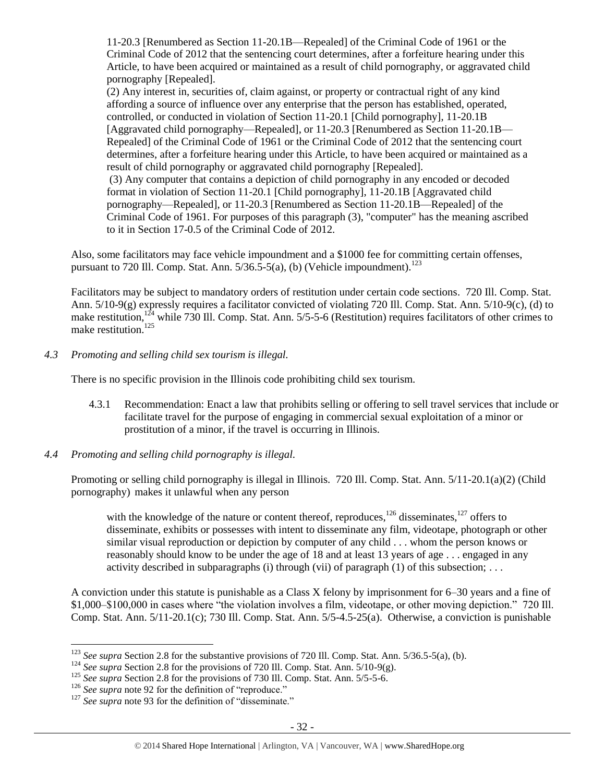11-20.3 [Renumbered as Section 11-20.1B—Repealed] of the Criminal Code of 1961 or the Criminal Code of 2012 that the sentencing court determines, after a forfeiture hearing under this Article, to have been acquired or maintained as a result of child pornography, or aggravated child pornography [Repealed].

(2) Any interest in, securities of, claim against, or property or contractual right of any kind affording a source of influence over any enterprise that the person has established, operated, controlled, or conducted in violation of Section 11-20.1 [Child pornography], 11-20.1B [Aggravated child pornography—Repealed], or 11-20.3 [Renumbered as Section 11-20.1B— Repealed] of the Criminal Code of 1961 or the Criminal Code of 2012 that the sentencing court determines, after a forfeiture hearing under this Article, to have been acquired or maintained as a result of child pornography or aggravated child pornography [Repealed].

(3) Any computer that contains a depiction of child pornography in any encoded or decoded format in violation of Section 11-20.1 [Child pornography], 11-20.1B [Aggravated child pornography—Repealed], or 11-20.3 [Renumbered as Section 11-20.1B—Repealed] of the Criminal Code of 1961. For purposes of this paragraph (3), "computer" has the meaning ascribed to it in Section 17-0.5 of the Criminal Code of 2012.

Also, some facilitators may face vehicle impoundment and a \$1000 fee for committing certain offenses, pursuant to 720 Ill. Comp. Stat. Ann.  $5/36.5-5(a)$ , (b) (Vehicle impoundment).<sup>123</sup>

Facilitators may be subject to mandatory orders of restitution under certain code sections. 720 Ill. Comp. Stat. Ann. 5/10-9(g) expressly requires a facilitator convicted of violating 720 Ill. Comp. Stat. Ann. 5/10-9(c), (d) to make restitution,<sup>124</sup> while 730 Ill. Comp. Stat. Ann. 5/5-5-6 (Restitution) requires facilitators of other crimes to make restitution.<sup>125</sup>

## *4.3 Promoting and selling child sex tourism is illegal.*

There is no specific provision in the Illinois code prohibiting child sex tourism.

- 4.3.1 Recommendation: Enact a law that prohibits selling or offering to sell travel services that include or facilitate travel for the purpose of engaging in commercial sexual exploitation of a minor or prostitution of a minor, if the travel is occurring in Illinois.
- *4.4 Promoting and selling child pornography is illegal.*

Promoting or selling child pornography is illegal in Illinois. 720 Ill. Comp. Stat. Ann. 5/11-20.1(a)(2) (Child pornography) makes it unlawful when any person

with the knowledge of the nature or content thereof, reproduces,  $^{126}$  disseminates,  $^{127}$  offers to disseminate, exhibits or possesses with intent to disseminate any film, videotape, photograph or other similar visual reproduction or depiction by computer of any child . . . whom the person knows or reasonably should know to be under the age of 18 and at least 13 years of age . . . engaged in any activity described in subparagraphs (i) through (vii) of paragraph  $(1)$  of this subsection; ...

A conviction under this statute is punishable as a Class X felony by imprisonment for 6–30 years and a fine of \$1,000–\$100,000 in cases where "the violation involves a film, videotape, or other moving depiction." 720 Ill. Comp. Stat. Ann. 5/11-20.1(c); 730 Ill. Comp. Stat. Ann. 5/5-4.5-25(a). Otherwise, a conviction is punishable

<sup>&</sup>lt;sup>123</sup> See supra Section 2.8 for the substantive provisions of 720 Ill. Comp. Stat. Ann. 5/36.5-5(a), (b).

<sup>&</sup>lt;sup>124</sup> *See supra* Section 2.8 for the provisions of 720 Ill. Comp. Stat. Ann. 5/10-9(g).

<sup>&</sup>lt;sup>125</sup> *See supra Section 2.8 for the provisions of 730 Ill. Comp. Stat. Ann. 5/5-5-6.* 

<sup>&</sup>lt;sup>126</sup> *See supra* not[e 92](#page-22-0) for the definition of "reproduce."

<sup>&</sup>lt;sup>127</sup> See supra not[e 93](#page-22-1) for the definition of "disseminate."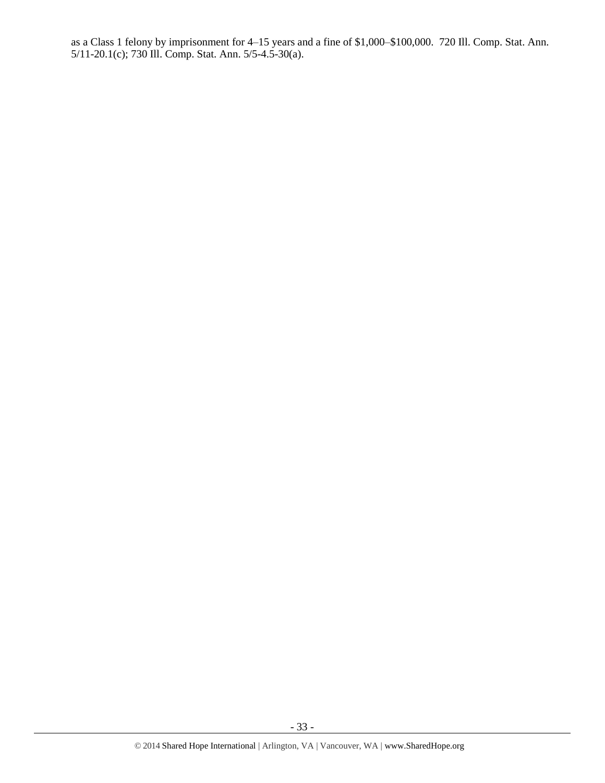as a Class 1 felony by imprisonment for 4–15 years and a fine of \$1,000–\$100,000. 720 Ill. Comp. Stat. Ann. 5/11-20.1(c); 730 Ill. Comp. Stat. Ann. 5/5-4.5-30(a).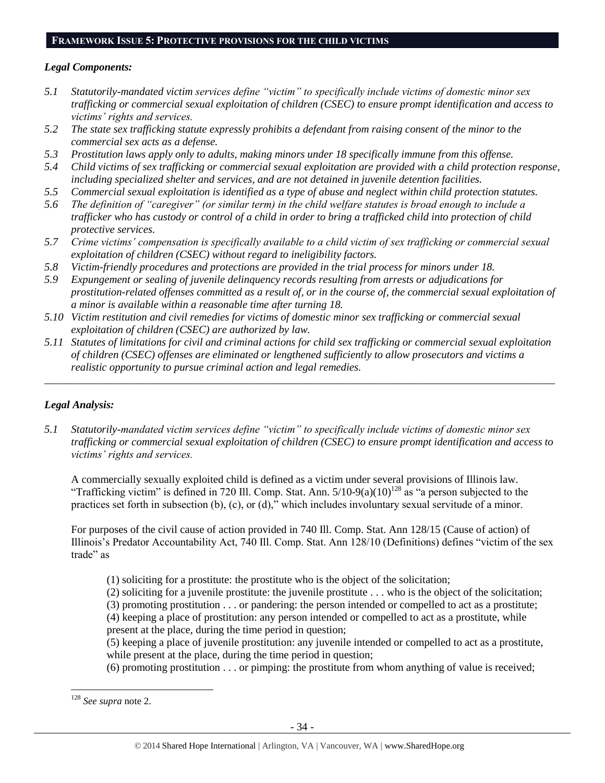# **FRAMEWORK ISSUE 5: PROTECTIVE PROVISIONS FOR THE CHILD VICTIMS**

#### *Legal Components:*

- *5.1 Statutorily-mandated victim services define "victim" to specifically include victims of domestic minor sex trafficking or commercial sexual exploitation of children (CSEC) to ensure prompt identification and access to victims' rights and services.*
- *5.2 The state sex trafficking statute expressly prohibits a defendant from raising consent of the minor to the commercial sex acts as a defense.*
- *5.3 Prostitution laws apply only to adults, making minors under 18 specifically immune from this offense.*
- *5.4 Child victims of sex trafficking or commercial sexual exploitation are provided with a child protection response, including specialized shelter and services, and are not detained in juvenile detention facilities.*
- *5.5 Commercial sexual exploitation is identified as a type of abuse and neglect within child protection statutes.*
- *5.6 The definition of "caregiver" (or similar term) in the child welfare statutes is broad enough to include a trafficker who has custody or control of a child in order to bring a trafficked child into protection of child protective services.*
- *5.7 Crime victims' compensation is specifically available to a child victim of sex trafficking or commercial sexual exploitation of children (CSEC) without regard to ineligibility factors.*
- *5.8 Victim-friendly procedures and protections are provided in the trial process for minors under 18.*
- *5.9 Expungement or sealing of juvenile delinquency records resulting from arrests or adjudications for prostitution-related offenses committed as a result of, or in the course of, the commercial sexual exploitation of a minor is available within a reasonable time after turning 18.*
- *5.10 Victim restitution and civil remedies for victims of domestic minor sex trafficking or commercial sexual exploitation of children (CSEC) are authorized by law.*
- *5.11 Statutes of limitations for civil and criminal actions for child sex trafficking or commercial sexual exploitation of children (CSEC) offenses are eliminated or lengthened sufficiently to allow prosecutors and victims a realistic opportunity to pursue criminal action and legal remedies.*

*\_\_\_\_\_\_\_\_\_\_\_\_\_\_\_\_\_\_\_\_\_\_\_\_\_\_\_\_\_\_\_\_\_\_\_\_\_\_\_\_\_\_\_\_\_\_\_\_\_\_\_\_\_\_\_\_\_\_\_\_\_\_\_\_\_\_\_\_\_\_\_\_\_\_\_\_\_\_\_\_\_\_\_\_\_\_\_\_\_\_\_\_\_\_*

# *Legal Analysis:*

*5.1 Statutorily-mandated victim services define "victim" to specifically include victims of domestic minor sex trafficking or commercial sexual exploitation of children (CSEC) to ensure prompt identification and access to victims' rights and services.*

A commercially sexually exploited child is defined as a victim under several provisions of Illinois law. "Trafficking victim" is defined in 720 Ill. Comp. Stat. Ann.  $5/10-9(a)(10)^{128}$  as "a person subjected to the practices set forth in subsection (b), (c), or (d)," which includes involuntary sexual servitude of a minor.

For purposes of the civil cause of action provided in 740 Ill. Comp. Stat. Ann 128/15 (Cause of action) of Illinois's Predator Accountability Act, 740 Ill. Comp. Stat. Ann 128/10 (Definitions) defines "victim of the sex trade" as

- (1) soliciting for a prostitute: the prostitute who is the object of the solicitation;
- (2) soliciting for a juvenile prostitute: the juvenile prostitute . . . who is the object of the solicitation;
- (3) promoting prostitution . . . or pandering: the person intended or compelled to act as a prostitute; (4) keeping a place of prostitution: any person intended or compelled to act as a prostitute, while
- present at the place, during the time period in question;
- (5) keeping a place of juvenile prostitution: any juvenile intended or compelled to act as a prostitute, while present at the place, during the time period in question;
- (6) promoting prostitution . . . or pimping: the prostitute from whom anything of value is received;

<sup>128</sup> *See supra* not[e 2.](#page-0-0)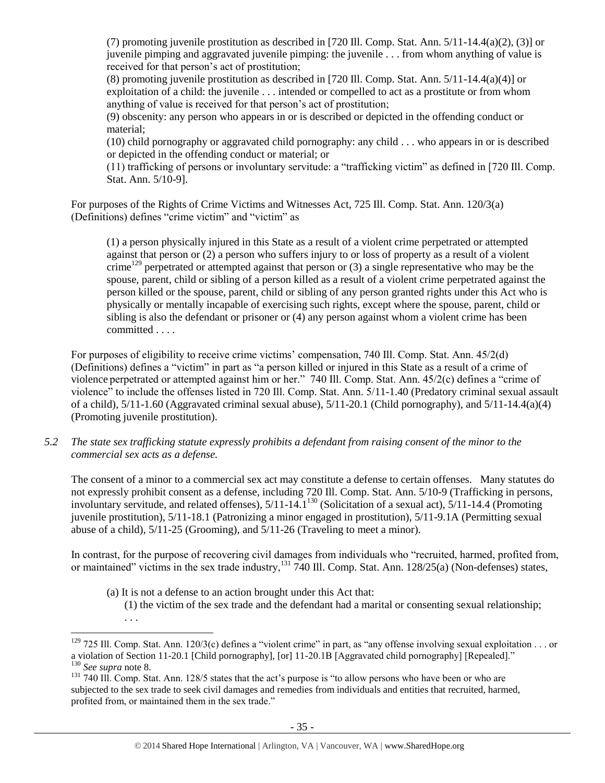(7) promoting juvenile prostitution as described in [720 Ill. Comp. Stat. Ann.  $5/11-14.4(a)(2)$ , (3)] or juvenile pimping and aggravated juvenile pimping: the juvenile . . . from whom anything of value is received for that person's act of prostitution;

(8) promoting juvenile prostitution as described in [720 Ill. Comp. Stat. Ann. 5/11-14.4(a)(4)] or exploitation of a child: the juvenile . . . intended or compelled to act as a prostitute or from whom anything of value is received for that person's act of prostitution;

(9) obscenity: any person who appears in or is described or depicted in the offending conduct or material;

(10) child pornography or aggravated child pornography: any child . . . who appears in or is described or depicted in the offending conduct or material; or

(11) trafficking of persons or involuntary servitude: a "trafficking victim" as defined in [720 Ill. Comp. Stat. Ann. 5/10-9].

For purposes of the Rights of Crime Victims and Witnesses Act, 725 Ill. Comp. Stat. Ann. 120/3(a) (Definitions) defines "crime victim" and "victim" as

(1) a person physically injured in this State as a result of a violent crime perpetrated or attempted against that person or (2) a person who suffers injury to or loss of property as a result of a violent crime<sup>129</sup> perpetrated or attempted against that person or  $(3)$  a single representative who may be the spouse, parent, child or sibling of a person killed as a result of a violent crime perpetrated against the person killed or the spouse, parent, child or sibling of any person granted rights under this Act who is physically or mentally incapable of exercising such rights, except where the spouse, parent, child or sibling is also the defendant or prisoner or (4) any person against whom a violent crime has been committed . . . .

For purposes of eligibility to receive crime victims' compensation, 740 Ill. Comp. Stat. Ann. 45/2(d) (Definitions) defines a "victim" in part as "a person killed or injured in this State as a result of a crime of violence perpetrated or attempted against him or her." 740 Ill. Comp. Stat. Ann. 45/2(c) defines a "crime of violence" to include the offenses listed in 720 Ill. Comp. Stat. Ann. 5/11-1.40 (Predatory criminal sexual assault of a child),  $5/11-1.60$  (Aggravated criminal sexual abuse),  $5/11-20.1$  (Child pornography), and  $5/11-14.4(a)(4)$ (Promoting juvenile prostitution).

*5.2 The state sex trafficking statute expressly prohibits a defendant from raising consent of the minor to the commercial sex acts as a defense.*

The consent of a minor to a commercial sex act may constitute a defense to certain offenses. Many statutes do not expressly prohibit consent as a defense, including 720 Ill. Comp. Stat. Ann. 5/10-9 (Trafficking in persons, involuntary servitude, and related offenses), 5/11-14.1<sup>130</sup> (Solicitation of a sexual act), 5/11-14.4 (Promoting juvenile prostitution), 5/11-18.1 (Patronizing a minor engaged in prostitution), 5/11-9.1A (Permitting sexual abuse of a child), 5/11-25 (Grooming), and 5/11-26 (Traveling to meet a minor).

In contrast, for the purpose of recovering civil damages from individuals who "recruited, harmed, profited from, or maintained" victims in the sex trade industry,<sup>131</sup> 740 Ill. Comp. Stat. Ann. 128/25(a) (Non-defenses) states,

(a) It is not a defense to an action brought under this Act that: (1) the victim of the sex trade and the defendant had a marital or consenting sexual relationship; . . .

 $129$  725 Ill. Comp. Stat. Ann. 120/3(c) defines a "violent crime" in part, as "any offense involving sexual exploitation . . . or a violation of Section 11-20.1 [Child pornography], [or] 11-20.1B [Aggravated child pornography] [Repealed]." <sup>130</sup> *See supra* not[e 8.](#page-2-1)

<sup>&</sup>lt;sup>131</sup> 740 Ill. Comp. Stat. Ann. 128/5 states that the act's purpose is "to allow persons who have been or who are subjected to the sex trade to seek civil damages and remedies from individuals and entities that recruited, harmed, profited from, or maintained them in the sex trade."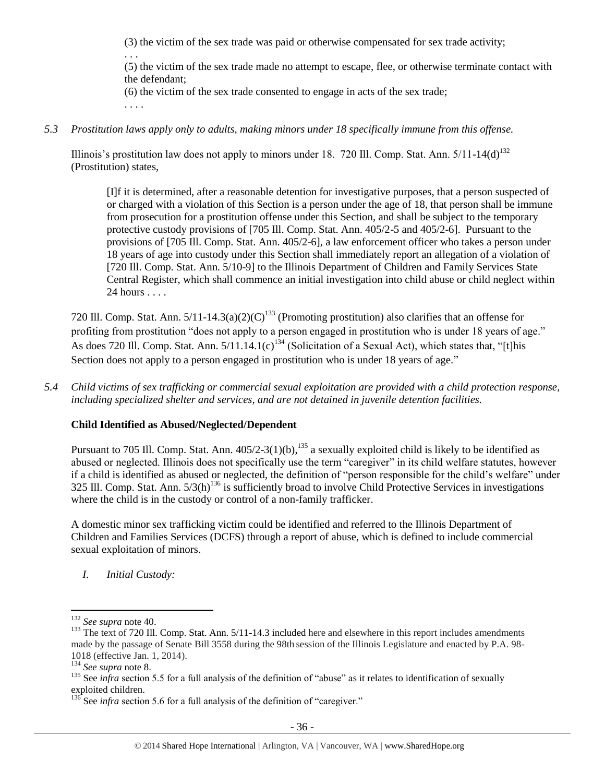(3) the victim of the sex trade was paid or otherwise compensated for sex trade activity;

. . .

(5) the victim of the sex trade made no attempt to escape, flee, or otherwise terminate contact with the defendant;

(6) the victim of the sex trade consented to engage in acts of the sex trade;

. . . .

*5.3 Prostitution laws apply only to adults, making minors under 18 specifically immune from this offense.*

Illinois's prostitution law does not apply to minors under 18. 720 Ill. Comp. Stat. Ann.  $5/11$ -14(d)<sup>132</sup> (Prostitution) states,

[I]f it is determined, after a reasonable detention for investigative purposes, that a person suspected of or charged with a violation of this Section is a person under the age of 18, that person shall be immune from prosecution for a prostitution offense under this Section, and shall be subject to the temporary protective custody provisions of [705 Ill. Comp. Stat. Ann. 405/2-5 and 405/2-6]. Pursuant to the provisions of [705 Ill. Comp. Stat. Ann. 405/2-6], a law enforcement officer who takes a person under 18 years of age into custody under this Section shall immediately report an allegation of a violation of [720 Ill. Comp. Stat. Ann. 5/10-9] to the Illinois Department of Children and Family Services State Central Register, which shall commence an initial investigation into child abuse or child neglect within 24 hours . . . .

720 Ill. Comp. Stat. Ann.  $5/11-14.3(a)(2)(C)^{133}$  (Promoting prostitution) also clarifies that an offense for profiting from prostitution "does not apply to a person engaged in prostitution who is under 18 years of age." As does 720 Ill. Comp. Stat. Ann.  $5/11.14.1(c)^{134}$  (Solicitation of a Sexual Act), which states that, "[t]his Section does not apply to a person engaged in prostitution who is under 18 years of age."

*5.4 Child victims of sex trafficking or commercial sexual exploitation are provided with a child protection response, including specialized shelter and services, and are not detained in juvenile detention facilities.*

# **Child Identified as Abused/Neglected/Dependent**

Pursuant to 705 Ill. Comp. Stat. Ann.  $405/2-3(1)(b)$ ,  $^{135}$  a sexually exploited child is likely to be identified as abused or neglected. Illinois does not specifically use the term "caregiver" in its child welfare statutes, however if a child is identified as abused or neglected, the definition of "person responsible for the child's welfare" under 325 Ill. Comp. Stat. Ann.  $5/3(h)^{136}$  is sufficiently broad to involve Child Protective Services in investigations where the child is in the custody or control of a non-family trafficker.

A domestic minor sex trafficking victim could be identified and referred to the Illinois Department of Children and Families Services (DCFS) through a report of abuse, which is defined to include commercial sexual exploitation of minors.

*I. Initial Custody:* 

<sup>132</sup> *See supra* not[e 40.](#page-8-0)

<sup>&</sup>lt;sup>133</sup> The text of 720 Ill. Comp. Stat. Ann. 5/11-14.3 included here and elsewhere in this report includes amendments made by the passage of Senate Bill 3558 during the 98th session of the Illinois Legislature and enacted by P.A. 98- 1018 (effective Jan. 1, 2014).

<sup>134</sup> *See supra* not[e 8.](#page-2-1)

<sup>&</sup>lt;sup>135</sup> See *infra* section 5.5 for a full analysis of the definition of "abuse" as it relates to identification of sexually exploited children.

<sup>&</sup>lt;sup>136</sup> See *infra* section 5.6 for a full analysis of the definition of "caregiver."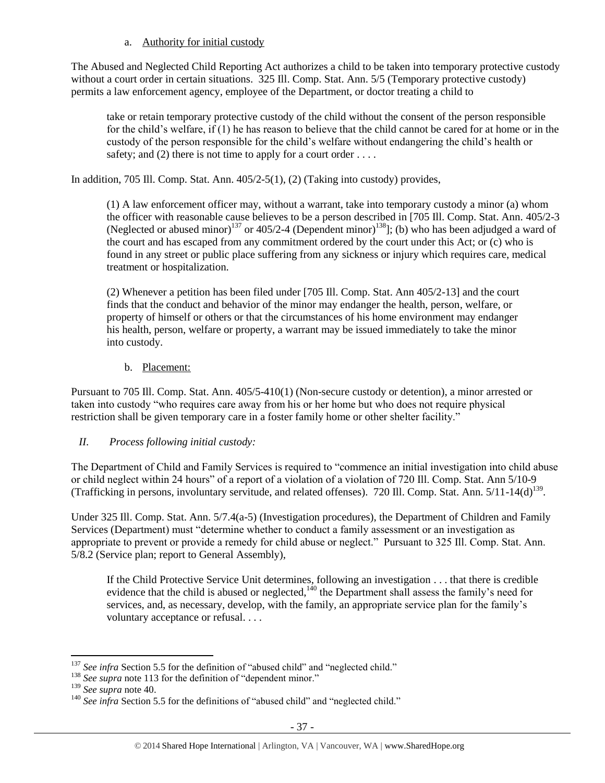# a. Authority for initial custody

The Abused and Neglected Child Reporting Act authorizes a child to be taken into temporary protective custody without a court order in certain situations. 325 Ill. Comp. Stat. Ann. 5/5 (Temporary protective custody) permits a law enforcement agency, employee of the Department, or doctor treating a child to

take or retain temporary protective custody of the child without the consent of the person responsible for the child's welfare, if (1) he has reason to believe that the child cannot be cared for at home or in the custody of the person responsible for the child's welfare without endangering the child's health or safety; and (2) there is not time to apply for a court order  $\dots$ .

In addition, 705 Ill. Comp. Stat. Ann. 405/2-5(1), (2) (Taking into custody) provides,

(1) A law enforcement officer may, without a warrant, take into temporary custody a minor (a) whom the officer with reasonable cause believes to be a person described in [705 Ill. Comp. Stat. Ann. 405/2-3 (Neglected or abused minor)<sup>137</sup> or 405/2-4 (Dependent minor)<sup>138</sup>]; (b) who has been adjudged a ward of the court and has escaped from any commitment ordered by the court under this Act; or (c) who is found in any street or public place suffering from any sickness or injury which requires care, medical treatment or hospitalization.

(2) Whenever a petition has been filed under [705 Ill. Comp. Stat. Ann 405/2-13] and the court finds that the conduct and behavior of the minor may endanger the health, person, welfare, or property of himself or others or that the circumstances of his home environment may endanger his health, person, welfare or property, a warrant may be issued immediately to take the minor into custody.

b. Placement:

Pursuant to 705 Ill. Comp. Stat. Ann. 405/5-410(1) (Non-secure custody or detention), a minor arrested or taken into custody "who requires care away from his or her home but who does not require physical restriction shall be given temporary care in a foster family home or other shelter facility."

# *II. Process following initial custody:*

The Department of Child and Family Services is required to "commence an initial investigation into child abuse or child neglect within 24 hours" of a report of a violation of a violation of 720 Ill. Comp. Stat. Ann 5/10-9 (Trafficking in persons, involuntary servitude, and related offenses). 720 Ill. Comp. Stat. Ann. 5/11-14(d)<sup>139</sup>.

Under 325 Ill. Comp. Stat. Ann. 5/7.4(a-5) (Investigation procedures), the Department of Children and Family Services (Department) must "determine whether to conduct a family assessment or an investigation as appropriate to prevent or provide a remedy for child abuse or neglect." Pursuant to 325 Ill. Comp. Stat. Ann. 5/8.2 (Service plan; report to General Assembly),

If the Child Protective Service Unit determines, following an investigation . . . that there is credible evidence that the child is abused or neglected,<sup>140</sup> the Department shall assess the family's need for services, and, as necessary, develop, with the family, an appropriate service plan for the family's voluntary acceptance or refusal. . . .

 $\overline{a}$ <sup>137</sup> See infra Section 5.5 for the definition of "abused child" and "neglected child."

<sup>&</sup>lt;sup>138</sup> *See supra* not[e 113](#page-27-0) for the definition of "dependent minor."

<sup>139</sup> *See supra* not[e 40.](#page-8-0)

<sup>&</sup>lt;sup>140</sup> See infra Section 5.5 for the definitions of "abused child" and "neglected child."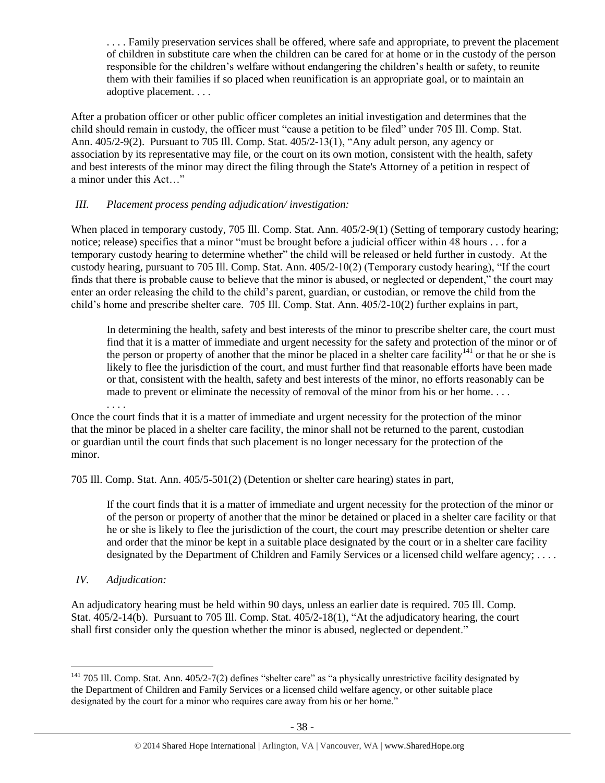. . . . Family preservation services shall be offered, where safe and appropriate, to prevent the placement of children in substitute care when the children can be cared for at home or in the custody of the person responsible for the children's welfare without endangering the children's health or safety, to reunite them with their families if so placed when reunification is an appropriate goal, or to maintain an adoptive placement. . . .

After a probation officer or other public officer completes an initial investigation and determines that the child should remain in custody, the officer must "cause a petition to be filed" under 705 Ill. Comp. Stat. Ann. 405/2-9(2). Pursuant to 705 Ill. Comp. Stat. 405/2-13(1), "Any adult person, any agency or association by its representative may file, or the court on its own motion, consistent with the health, safety and best interests of the minor may direct the filing through the State's Attorney of a petition in respect of a minor under this Act…"

# *III. Placement process pending adjudication/ investigation:*

When placed in temporary custody, 705 Ill. Comp. Stat. Ann. 405/2-9(1) (Setting of temporary custody hearing; notice; release) specifies that a minor "must be brought before a judicial officer within 48 hours . . . for a temporary custody hearing to determine whether" the child will be released or held further in custody. At the custody hearing, pursuant to 705 Ill. Comp. Stat. Ann. 405/2-10(2) (Temporary custody hearing), "If the court finds that there is probable cause to believe that the minor is abused, or neglected or dependent," the court may enter an order releasing the child to the child's parent, guardian, or custodian, or remove the child from the child's home and prescribe shelter care. 705 Ill. Comp. Stat. Ann. 405/2-10(2) further explains in part,

In determining the health, safety and best interests of the minor to prescribe shelter care, the court must find that it is a matter of immediate and urgent necessity for the safety and protection of the minor or of the person or property of another that the minor be placed in a shelter care facility<sup>141</sup> or that he or she is likely to flee the jurisdiction of the court, and must further find that reasonable efforts have been made or that, consistent with the health, safety and best interests of the minor, no efforts reasonably can be made to prevent or eliminate the necessity of removal of the minor from his or her home....

Once the court finds that it is a matter of immediate and urgent necessity for the protection of the minor that the minor be placed in a shelter care facility, the minor shall not be returned to the parent, custodian or guardian until the court finds that such placement is no longer necessary for the protection of the minor.

705 Ill. Comp. Stat. Ann. 405/5-501(2) (Detention or shelter care hearing) states in part,

If the court finds that it is a matter of immediate and urgent necessity for the protection of the minor or of the person or property of another that the minor be detained or placed in a shelter care facility or that he or she is likely to flee the jurisdiction of the court, the court may prescribe detention or shelter care and order that the minor be kept in a suitable place designated by the court or in a shelter care facility designated by the Department of Children and Family Services or a licensed child welfare agency; ....

*IV. Adjudication:* 

 $\overline{a}$ 

. . . .

An adjudicatory hearing must be held within 90 days, unless an earlier date is required. 705 Ill. Comp. Stat. 405/2-14(b). Pursuant to 705 Ill. Comp. Stat. 405/2-18(1), "At the adjudicatory hearing, the court shall first consider only the question whether the minor is abused, neglected or dependent."

<sup>&</sup>lt;sup>141</sup> 705 Ill. Comp. Stat. Ann. 405/2-7(2) defines "shelter care" as "a physically unrestrictive facility designated by the Department of Children and Family Services or a licensed child welfare agency, or other suitable place designated by the court for a minor who requires care away from his or her home."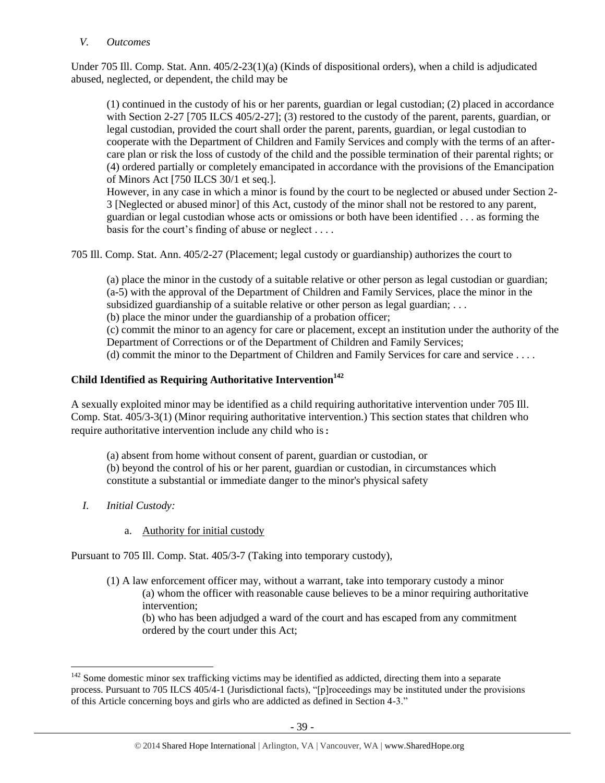#### *V. Outcomes*

Under 705 Ill. Comp. Stat. Ann. 405/2-23(1)(a) (Kinds of dispositional orders), when a child is adjudicated abused, neglected, or dependent, the child may be

(1) continued in the custody of his or her parents, guardian or legal custodian; (2) placed in accordance with Section 2-27 [705 ILCS 405/2-27]; (3) restored to the custody of the parent, parents, guardian, or legal custodian, provided the court shall order the parent, parents, guardian, or legal custodian to cooperate with the Department of Children and Family Services and comply with the terms of an aftercare plan or risk the loss of custody of the child and the possible termination of their parental rights; or (4) ordered partially or completely emancipated in accordance with the provisions of the Emancipation of Minors Act [750 ILCS 30/1 et seq.].

However, in any case in which a minor is found by the court to be neglected or abused under Section 2- 3 [Neglected or abused minor] of this Act, custody of the minor shall not be restored to any parent, guardian or legal custodian whose acts or omissions or both have been identified . . . as forming the basis for the court's finding of abuse or neglect . . . .

705 Ill. Comp. Stat. Ann. 405/2-27 (Placement; legal custody or guardianship) authorizes the court to

(a) place the minor in the custody of a suitable relative or other person as legal custodian or guardian; (a-5) with the approval of the Department of Children and Family Services, place the minor in the subsidized guardianship of a suitable relative or other person as legal guardian; ...

(b) place the minor under the guardianship of a probation officer;

(c) commit the minor to an agency for care or placement, except an institution under the authority of the Department of Corrections or of the Department of Children and Family Services;

(d) commit the minor to the Department of Children and Family Services for care and service . . . .

# **Child Identified as Requiring Authoritative Intervention<sup>142</sup>**

A sexually exploited minor may be identified as a child requiring authoritative intervention under 705 Ill. Comp. Stat. 405/3-3(1) (Minor requiring authoritative intervention.) This section states that children who require authoritative intervention include any child who is:

(a) absent from home without consent of parent, guardian or custodian, or (b) beyond the control of his or her parent, guardian or custodian, in circumstances which constitute a substantial or immediate danger to the minor's physical safety

*I. Initial Custody:* 

 $\overline{a}$ 

a. Authority for initial custody

Pursuant to 705 Ill. Comp. Stat. 405/3-7 (Taking into temporary custody),

(1) A law enforcement officer may, without a warrant, take into temporary custody a minor (a) whom the officer with reasonable cause believes to be a minor requiring authoritative intervention; (b) who has been adjudged a ward of the court and has escaped from any commitment

ordered by the court under this Act;

<sup>&</sup>lt;sup>142</sup> Some domestic minor sex trafficking victims may be identified as addicted, directing them into a separate process. Pursuant to 705 ILCS 405/4-1 (Jurisdictional facts), "[p]roceedings may be instituted under the provisions of this Article concerning boys and girls who are addicted as defined in Section 4-3."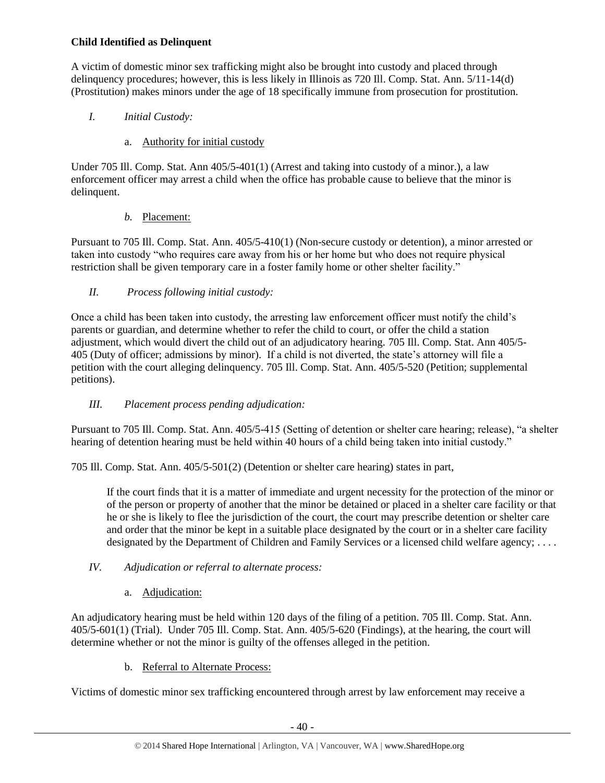# **Child Identified as Delinquent**

A victim of domestic minor sex trafficking might also be brought into custody and placed through delinquency procedures; however, this is less likely in Illinois as 720 Ill. Comp. Stat. Ann. 5/11-14(d) (Prostitution) makes minors under the age of 18 specifically immune from prosecution for prostitution.

# *I. Initial Custody:*

# a. Authority for initial custody

Under 705 Ill. Comp. Stat. Ann 405/5-401(1) (Arrest and taking into custody of a minor.), a law enforcement officer may arrest a child when the office has probable cause to believe that the minor is delinquent.

# *b.* Placement:

Pursuant to 705 Ill. Comp. Stat. Ann. 405/5-410(1) (Non-secure custody or detention), a minor arrested or taken into custody "who requires care away from his or her home but who does not require physical restriction shall be given temporary care in a foster family home or other shelter facility."

# *II. Process following initial custody:*

Once a child has been taken into custody, the arresting law enforcement officer must notify the child's parents or guardian, and determine whether to refer the child to court, or offer the child a station adjustment, which would divert the child out of an adjudicatory hearing. 705 Ill. Comp. Stat. Ann 405/5- 405 (Duty of officer; admissions by minor). If a child is not diverted, the state's attorney will file a petition with the court alleging delinquency. 705 Ill. Comp. Stat. Ann. 405/5-520 (Petition; supplemental petitions).

# *III. Placement process pending adjudication:*

Pursuant to 705 Ill. Comp. Stat. Ann. 405/5-415 (Setting of detention or shelter care hearing; release), "a shelter hearing of detention hearing must be held within 40 hours of a child being taken into initial custody."

705 Ill. Comp. Stat. Ann. 405/5-501(2) (Detention or shelter care hearing) states in part,

If the court finds that it is a matter of immediate and urgent necessity for the protection of the minor or of the person or property of another that the minor be detained or placed in a shelter care facility or that he or she is likely to flee the jurisdiction of the court, the court may prescribe detention or shelter care and order that the minor be kept in a suitable place designated by the court or in a shelter care facility designated by the Department of Children and Family Services or a licensed child welfare agency; ....

# *IV. Adjudication or referral to alternate process:*

# a. Adjudication:

An adjudicatory hearing must be held within 120 days of the filing of a petition. 705 Ill. Comp. Stat. Ann. 405/5-601(1) (Trial). Under 705 Ill. Comp. Stat. Ann. 405/5-620 (Findings), at the hearing, the court will determine whether or not the minor is guilty of the offenses alleged in the petition.

b. Referral to Alternate Process:

Victims of domestic minor sex trafficking encountered through arrest by law enforcement may receive a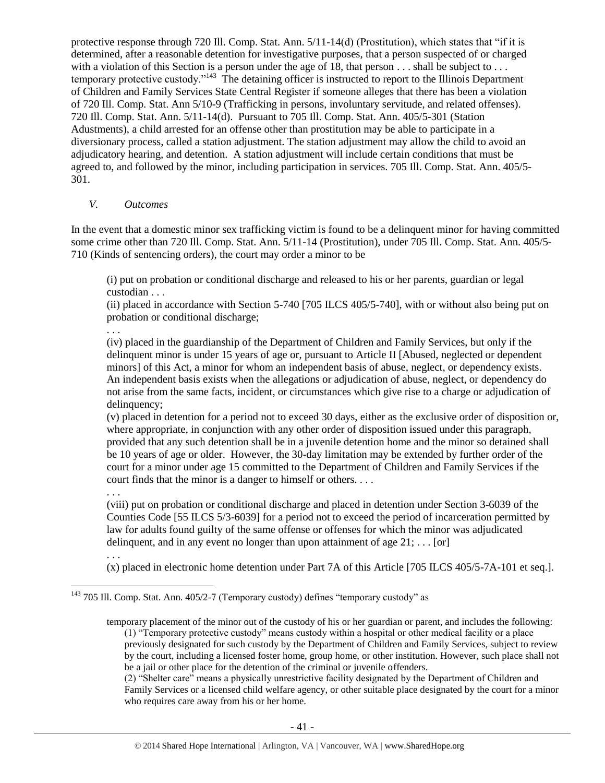protective response through 720 Ill. Comp. Stat. Ann. 5/11-14(d) (Prostitution), which states that "if it is determined, after a reasonable detention for investigative purposes, that a person suspected of or charged with a violation of this Section is a person under the age of 18, that person . . . shall be subject to . . . temporary protective custody."<sup>143</sup> The detaining officer is instructed to report to the Illinois Department of Children and Family Services State Central Register if someone alleges that there has been a violation of 720 Ill. Comp. Stat. Ann 5/10-9 (Trafficking in persons, involuntary servitude, and related offenses). 720 Ill. Comp. Stat. Ann. 5/11-14(d). Pursuant to 705 Ill. Comp. Stat. Ann. 405/5-301 (Station Adustments), a child arrested for an offense other than prostitution may be able to participate in a diversionary process, called a station adjustment. The station adjustment may allow the child to avoid an adjudicatory hearing, and detention. A station adjustment will include certain conditions that must be agreed to, and followed by the minor, including participation in services. 705 Ill. Comp. Stat. Ann. 405/5- 301.

#### *V. Outcomes*

In the event that a domestic minor sex trafficking victim is found to be a delinquent minor for having committed some crime other than 720 Ill. Comp. Stat. Ann. 5/11-14 (Prostitution), under 705 Ill. Comp. Stat. Ann. 405/5- 710 (Kinds of sentencing orders), the court may order a minor to be

(i) put on probation or conditional discharge and released to his or her parents, guardian or legal custodian . . .

(ii) placed in accordance with Section 5-740 [705 ILCS 405/5-740], with or without also being put on probation or conditional discharge;

. . .

(iv) placed in the guardianship of the Department of Children and Family Services, but only if the delinquent minor is under 15 years of age or, pursuant to Article II [Abused, neglected or dependent minors] of this Act, a minor for whom an independent basis of abuse, neglect, or dependency exists. An independent basis exists when the allegations or adjudication of abuse, neglect, or dependency do not arise from the same facts, incident, or circumstances which give rise to a charge or adjudication of delinquency;

(v) placed in detention for a period not to exceed 30 days, either as the exclusive order of disposition or, where appropriate, in conjunction with any other order of disposition issued under this paragraph, provided that any such detention shall be in a juvenile detention home and the minor so detained shall be 10 years of age or older. However, the 30-day limitation may be extended by further order of the court for a minor under age 15 committed to the Department of Children and Family Services if the court finds that the minor is a danger to himself or others. . . .

. . .

(viii) put on probation or conditional discharge and placed in detention under Section 3-6039 of the Counties Code [55 ILCS 5/3-6039] for a period not to exceed the period of incarceration permitted by law for adults found guilty of the same offense or offenses for which the minor was adjudicated delinquent, and in any event no longer than upon attainment of age  $21; \ldots$  [or]

. . .

 $\overline{a}$ 

(x) placed in electronic home detention under Part 7A of this Article [705 ILCS 405/5-7A-101 et seq.].

(2) "Shelter care" means a physically unrestrictive facility designated by the Department of Children and Family Services or a licensed child welfare agency, or other suitable place designated by the court for a minor who requires care away from his or her home.

<sup>&</sup>lt;sup>143</sup> 705 Ill. Comp. Stat. Ann. 405/2-7 (Temporary custody) defines "temporary custody" as

temporary placement of the minor out of the custody of his or her guardian or parent, and includes the following: (1) "Temporary protective custody" means custody within a hospital or other medical facility or a place previously designated for such custody by the Department of Children and Family Services, subject to review by the court, including a licensed foster home, group home, or other institution. However, such place shall not be a jail or other place for the detention of the criminal or juvenile offenders.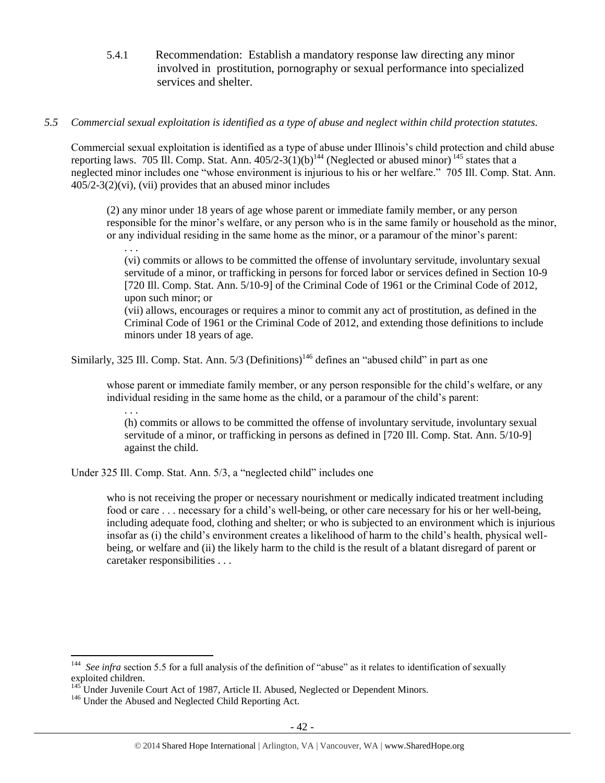5.4.1 Recommendation: Establish a mandatory response law directing any minor involved in prostitution, pornography or sexual performance into specialized services and shelter.

## *5.5 Commercial sexual exploitation is identified as a type of abuse and neglect within child protection statutes.*

Commercial sexual exploitation is identified as a type of abuse under Illinois's child protection and child abuse reporting laws. 705 Ill. Comp. Stat. Ann.  $405/2-3(1)(b)^{144}$  (Neglected or abused minor)<sup>145</sup> states that a neglected minor includes one "whose environment is injurious to his or her welfare." 705 Ill. Comp. Stat. Ann.  $405/2-3(2)$ (vi), (vii) provides that an abused minor includes

(2) any minor under 18 years of age whose parent or immediate family member, or any person responsible for the minor's welfare, or any person who is in the same family or household as the minor, or any individual residing in the same home as the minor, or a paramour of the minor's parent:

. . . (vi) commits or allows to be committed the offense of involuntary servitude, involuntary sexual servitude of a minor, or trafficking in persons for forced labor or services defined in Section 10-9 [720 Ill. Comp. Stat. Ann. 5/10-9] of the Criminal Code of 1961 or the Criminal Code of 2012, upon such minor; or

(vii) allows, encourages or requires a minor to commit any act of prostitution, as defined in the Criminal Code of 1961 or the Criminal Code of 2012, and extending those definitions to include minors under 18 years of age.

Similarly, 325 Ill. Comp. Stat. Ann.  $5/3$  (Definitions)<sup>146</sup> defines an "abused child" in part as one

whose parent or immediate family member, or any person responsible for the child's welfare, or any individual residing in the same home as the child, or a paramour of the child's parent:

. . .

 $\overline{a}$ 

(h) commits or allows to be committed the offense of involuntary servitude, involuntary sexual servitude of a minor, or trafficking in persons as defined in [720 Ill. Comp. Stat. Ann. 5/10-9] against the child.

Under 325 Ill. Comp. Stat. Ann. 5/3, a "neglected child" includes one

who is not receiving the proper or necessary nourishment or medically indicated treatment including food or care . . . necessary for a child's well-being, or other care necessary for his or her well-being, including adequate food, clothing and shelter; or who is subjected to an environment which is injurious insofar as (i) the child's environment creates a likelihood of harm to the child's health, physical wellbeing, or welfare and (ii) the likely harm to the child is the result of a blatant disregard of parent or caretaker responsibilities . . .

<sup>&</sup>lt;sup>144</sup> See infra section 5.5 for a full analysis of the definition of "abuse" as it relates to identification of sexually exploited children.

Inder Juvenile Court Act of 1987, Article II. Abused, Neglected or Dependent Minors.

<sup>&</sup>lt;sup>146</sup> Under the Abused and Neglected Child Reporting Act.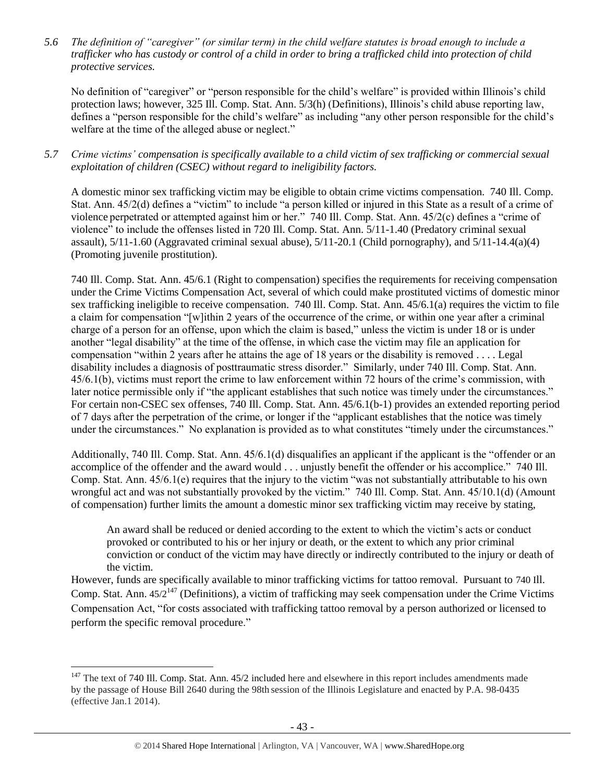*5.6 The definition of "caregiver" (or similar term) in the child welfare statutes is broad enough to include a trafficker who has custody or control of a child in order to bring a trafficked child into protection of child protective services.*

No definition of "caregiver" or "person responsible for the child's welfare" is provided within Illinois's child protection laws; however, 325 Ill. Comp. Stat. Ann. 5/3(h) (Definitions), Illinois's child abuse reporting law, defines a "person responsible for the child's welfare" as including "any other person responsible for the child's welfare at the time of the alleged abuse or neglect."

*5.7 Crime victims' compensation is specifically available to a child victim of sex trafficking or commercial sexual exploitation of children (CSEC) without regard to ineligibility factors.*

A domestic minor sex trafficking victim may be eligible to obtain crime victims compensation. 740 Ill. Comp. Stat. Ann. 45/2(d) defines a "victim" to include "a person killed or injured in this State as a result of a crime of violence perpetrated or attempted against him or her." 740 Ill. Comp. Stat. Ann. 45/2(c) defines a "crime of violence" to include the offenses listed in 720 Ill. Comp. Stat. Ann. 5/11-1.40 (Predatory criminal sexual assault),  $5/11-1.60$  (Aggravated criminal sexual abuse),  $5/11-20.1$  (Child pornography), and  $5/11-14.4(a)(4)$ (Promoting juvenile prostitution).

740 Ill. Comp. Stat. Ann. 45/6.1 (Right to compensation) specifies the requirements for receiving compensation under the Crime Victims Compensation Act, several of which could make prostituted victims of domestic minor sex trafficking ineligible to receive compensation. 740 Ill. Comp. Stat. Ann. 45/6.1(a) requires the victim to file a claim for compensation "[w]ithin 2 years of the occurrence of the crime, or within one year after a criminal charge of a person for an offense, upon which the claim is based," unless the victim is under 18 or is under another "legal disability" at the time of the offense, in which case the victim may file an application for compensation "within 2 years after he attains the age of 18 years or the disability is removed . . . . Legal disability includes a diagnosis of posttraumatic stress disorder." Similarly, under 740 Ill. Comp. Stat. Ann. 45/6.1(b), victims must report the crime to law enforcement within 72 hours of the crime's commission, with later notice permissible only if "the applicant establishes that such notice was timely under the circumstances." For certain non-CSEC sex offenses, 740 Ill. Comp. Stat. Ann. 45/6.1(b-1) provides an extended reporting period of 7 days after the perpetration of the crime, or longer if the "applicant establishes that the notice was timely under the circumstances." No explanation is provided as to what constitutes "timely under the circumstances."

Additionally, 740 Ill. Comp. Stat. Ann. 45/6.1(d) disqualifies an applicant if the applicant is the "offender or an accomplice of the offender and the award would . . . unjustly benefit the offender or his accomplice." 740 Ill. Comp. Stat. Ann. 45/6.1(e) requires that the injury to the victim "was not substantially attributable to his own wrongful act and was not substantially provoked by the victim." 740 Ill. Comp. Stat. Ann. 45/10.1(d) (Amount of compensation) further limits the amount a domestic minor sex trafficking victim may receive by stating,

An award shall be reduced or denied according to the extent to which the victim's acts or conduct provoked or contributed to his or her injury or death, or the extent to which any prior criminal conviction or conduct of the victim may have directly or indirectly contributed to the injury or death of the victim.

However, funds are specifically available to minor trafficking victims for tattoo removal. Pursuant to 740 Ill. Comp. Stat. Ann. 45/2<sup>147</sup> (Definitions), a victim of trafficking may seek compensation under the Crime Victims Compensation Act, "for costs associated with trafficking tattoo removal by a person authorized or licensed to perform the specific removal procedure."

 $147$  The text of 740 Ill. Comp. Stat. Ann. 45/2 included here and elsewhere in this report includes amendments made by the passage of House Bill 2640 during the 98th session of the Illinois Legislature and enacted by P.A. 98-0435 (effective Jan.1 2014).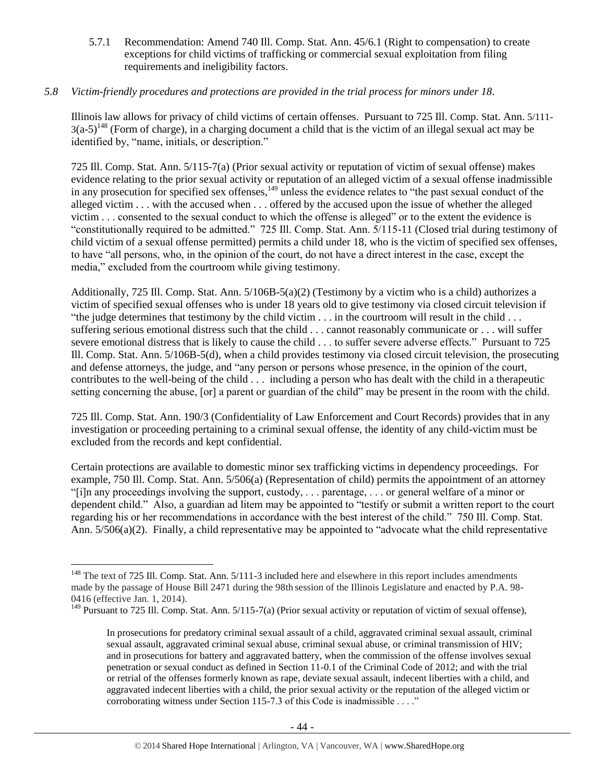5.7.1 Recommendation: Amend 740 Ill. Comp. Stat. Ann. 45/6.1 (Right to compensation) to create exceptions for child victims of trafficking or commercial sexual exploitation from filing requirements and ineligibility factors.

#### *5.8 Victim-friendly procedures and protections are provided in the trial process for minors under 18.*

Illinois law allows for privacy of child victims of certain offenses. Pursuant to 725 Ill. Comp. Stat. Ann. 5/111-  $3(a-5)^{148}$  (Form of charge), in a charging document a child that is the victim of an illegal sexual act may be identified by, "name, initials, or description."

725 Ill. Comp. Stat. Ann. 5/115-7(a) (Prior sexual activity or reputation of victim of sexual offense) makes evidence relating to the prior sexual activity or reputation of an alleged victim of a sexual offense inadmissible in any prosecution for specified sex offenses,<sup>149</sup> unless the evidence relates to "the past sexual conduct of the alleged victim . . . with the accused when . . . offered by the accused upon the issue of whether the alleged victim . . . consented to the sexual conduct to which the offense is alleged" or to the extent the evidence is "constitutionally required to be admitted." 725 Ill. Comp. Stat. Ann. 5/115-11 (Closed trial during testimony of child victim of a sexual offense permitted) permits a child under 18, who is the victim of specified sex offenses, to have "all persons, who, in the opinion of the court, do not have a direct interest in the case, except the media," excluded from the courtroom while giving testimony.

Additionally, 725 Ill. Comp. Stat. Ann. 5/106B-5(a)(2) (Testimony by a victim who is a child) authorizes a victim of specified sexual offenses who is under 18 years old to give testimony via closed circuit television if "the judge determines that testimony by the child victim  $\ldots$  in the courtroom will result in the child  $\ldots$ suffering serious emotional distress such that the child . . . cannot reasonably communicate or . . . will suffer severe emotional distress that is likely to cause the child . . . to suffer severe adverse effects." Pursuant to 725 Ill. Comp. Stat. Ann. 5/106B-5(d), when a child provides testimony via closed circuit television, the prosecuting and defense attorneys, the judge, and "any person or persons whose presence, in the opinion of the court, contributes to the well-being of the child . . . including a person who has dealt with the child in a therapeutic setting concerning the abuse, [or] a parent or guardian of the child" may be present in the room with the child.

725 Ill. Comp. Stat. Ann. 190/3 (Confidentiality of Law Enforcement and Court Records) provides that in any investigation or proceeding pertaining to a criminal sexual offense, the identity of any child-victim must be excluded from the records and kept confidential.

Certain protections are available to domestic minor sex trafficking victims in dependency proceedings. For example, 750 Ill. Comp. Stat. Ann. 5/506(a) (Representation of child) permits the appointment of an attorney "[i]n any proceedings involving the support, custody, . . . parentage, . . . or general welfare of a minor or dependent child." Also, a guardian ad litem may be appointed to "testify or submit a written report to the court regarding his or her recommendations in accordance with the best interest of the child." 750 Ill. Comp. Stat. Ann. 5/506(a)(2). Finally, a child representative may be appointed to "advocate what the child representative

<sup>&</sup>lt;sup>148</sup> The text of 725 Ill. Comp. Stat. Ann. 5/111-3 included here and elsewhere in this report includes amendments made by the passage of House Bill 2471 during the 98th session of the Illinois Legislature and enacted by P.A. 98- 0416 (effective Jan. 1, 2014).

 $149$  Pursuant to 725 Ill. Comp. Stat. Ann. 5/115-7(a) (Prior sexual activity or reputation of victim of sexual offense),

In prosecutions for predatory criminal sexual assault of a child, aggravated criminal sexual assault, criminal sexual assault, aggravated criminal sexual abuse, criminal sexual abuse, or criminal transmission of HIV; and in prosecutions for battery and aggravated battery, when the commission of the offense involves sexual penetration or sexual conduct as defined in Section 11-0.1 of the Criminal Code of 2012; and with the trial or retrial of the offenses formerly known as rape, deviate sexual assault, indecent liberties with a child, and aggravated indecent liberties with a child, the prior sexual activity or the reputation of the alleged victim or corroborating witness under Section 115-7.3 of this Code is inadmissible . . . ."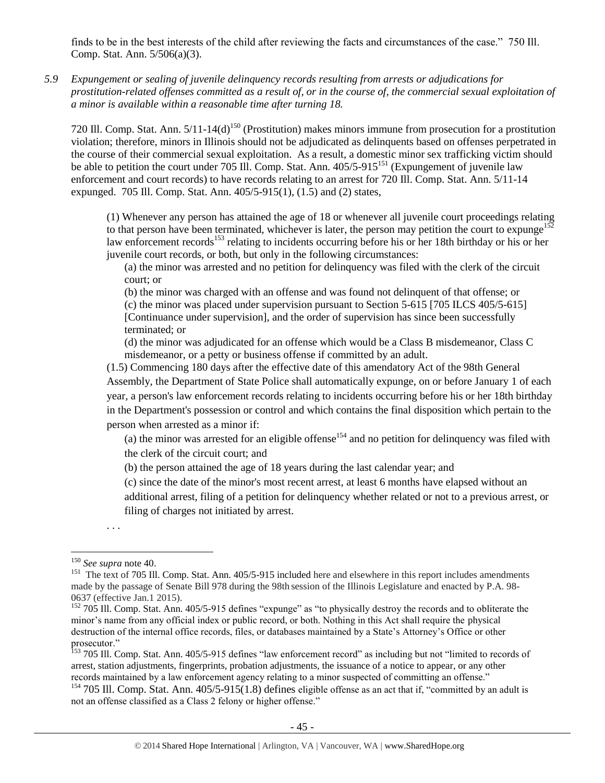finds to be in the best interests of the child after reviewing the facts and circumstances of the case." 750 Ill. Comp. Stat. Ann. 5/506(a)(3).

*5.9 Expungement or sealing of juvenile delinquency records resulting from arrests or adjudications for prostitution-related offenses committed as a result of, or in the course of, the commercial sexual exploitation of a minor is available within a reasonable time after turning 18.*

720 Ill. Comp. Stat. Ann.  $5/11-14(d)^{150}$  (Prostitution) makes minors immune from prosecution for a prostitution violation; therefore, minors in Illinois should not be adjudicated as delinquents based on offenses perpetrated in the course of their commercial sexual exploitation. As a result, a domestic minor sex trafficking victim should be able to petition the court under 705 Ill. Comp. Stat. Ann.  $405/5-915^{151}$  (Expungement of juvenile law enforcement and court records) to have records relating to an arrest for 720 Ill. Comp. Stat. Ann. 5/11-14 expunged. 705 Ill. Comp. Stat. Ann. 405/5-915(1), (1.5) and (2) states,

(1) Whenever any person has attained the age of 18 or whenever all juvenile court proceedings relating to that person have been terminated, whichever is later, the person may petition the court to expunge<sup>152</sup> law enforcement records<sup>153</sup> relating to incidents occurring before his or her 18th birthday or his or her juvenile court records, or both, but only in the following circumstances:

(a) the minor was arrested and no petition for delinquency was filed with the clerk of the circuit court; or

(b) the minor was charged with an offense and was found not delinquent of that offense; or (c) the minor was placed under supervision pursuant to Section 5-615 [705 ILCS 405/5-615] [Continuance under supervision], and the order of supervision has since been successfully terminated; or

(d) the minor was adjudicated for an offense which would be a Class B misdemeanor, Class C misdemeanor, or a petty or business offense if committed by an adult.

(1.5) Commencing 180 days after the effective date of this amendatory Act of the 98th General Assembly, the Department of State Police shall automatically expunge, on or before January 1 of each year, a person's law enforcement records relating to incidents occurring before his or her 18th birthday in the Department's possession or control and which contains the final disposition which pertain to the person when arrested as a minor if:

(a) the minor was arrested for an eligible offense<sup>154</sup> and no petition for delinquency was filed with the clerk of the circuit court; and

(b) the person attained the age of 18 years during the last calendar year; and

(c) since the date of the minor's most recent arrest, at least 6 months have elapsed without an additional arrest, filing of a petition for delinquency whether related or not to a previous arrest, or filing of charges not initiated by arrest.

. . .

<sup>153</sup> 705 Ill. Comp. Stat. Ann. 405/5-915 defines "law enforcement record" as including but not "limited to records of arrest, station adjustments, fingerprints, probation adjustments, the issuance of a notice to appear, or any other records maintained by a law enforcement agency relating to a minor suspected of committing an offense."

<sup>154</sup> 705 Ill. Comp. Stat. Ann.  $405/5$ -915(1.8) defines eligible offense as an act that if, "committed by an adult is not an offense classified as a Class 2 felony or higher offense."

 $\overline{a}$ <sup>150</sup> *See supra* not[e 40.](#page-8-0)

<sup>&</sup>lt;sup>151</sup> The text of 705 Ill. Comp. Stat. Ann. 405/5-915 included here and elsewhere in this report includes amendments made by the passage of Senate Bill 978 during the 98th session of the Illinois Legislature and enacted by P.A. 98- 0637 (effective Jan.1 2015).

<sup>&</sup>lt;sup>152</sup> 705 Ill. Comp. Stat. Ann. 405/5-915 defines "expunge" as "to physically destroy the records and to obliterate the minor's name from any official index or public record, or both. Nothing in this Act shall require the physical destruction of the internal office records, files, or databases maintained by a State's Attorney's Office or other prosecutor."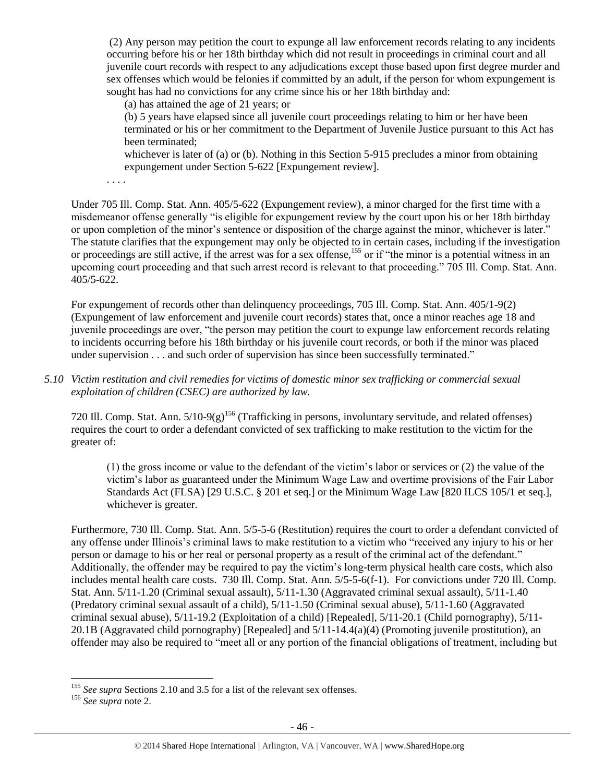(2) Any person may petition the court to expunge all law enforcement records relating to any incidents occurring before his or her 18th birthday which did not result in proceedings in criminal court and all juvenile court records with respect to any adjudications except those based upon first degree murder and sex offenses which would be felonies if committed by an adult, if the person for whom expungement is sought has had no convictions for any crime since his or her 18th birthday and:

(a) has attained the age of 21 years; or

(b) 5 years have elapsed since all juvenile court proceedings relating to him or her have been terminated or his or her commitment to the Department of Juvenile Justice pursuant to this Act has been terminated;

whichever is later of (a) or (b). Nothing in this Section 5-915 precludes a minor from obtaining expungement under Section 5-622 [Expungement review].

. . . .

Under 705 Ill. Comp. Stat. Ann. 405/5-622 (Expungement review), a minor charged for the first time with a misdemeanor offense generally "is eligible for expungement review by the court upon his or her 18th birthday or upon completion of the minor's sentence or disposition of the charge against the minor, whichever is later." The statute clarifies that the expungement may only be objected to in certain cases, including if the investigation or proceedings are still active, if the arrest was for a sex offense,<sup>155</sup> or if "the minor is a potential witness in an upcoming court proceeding and that such arrest record is relevant to that proceeding." 705 Ill. Comp. Stat. Ann. 405/5-622.

For expungement of records other than delinquency proceedings, 705 Ill. Comp. Stat. Ann. 405/1-9(2) (Expungement of law enforcement and juvenile court records) states that, once a minor reaches age 18 and juvenile proceedings are over, "the person may petition the court to expunge law enforcement records relating to incidents occurring before his 18th birthday or his juvenile court records, or both if the minor was placed under supervision . . . and such order of supervision has since been successfully terminated."

*5.10 Victim restitution and civil remedies for victims of domestic minor sex trafficking or commercial sexual exploitation of children (CSEC) are authorized by law.* 

720 Ill. Comp. Stat. Ann.  $5/10-9(g)$ <sup>156</sup> (Trafficking in persons, involuntary servitude, and related offenses) requires the court to order a defendant convicted of sex trafficking to make restitution to the victim for the greater of:

(1) the gross income or value to the defendant of the victim's labor or services or (2) the value of the victim's labor as guaranteed under the Minimum Wage Law and overtime provisions of the Fair Labor Standards Act (FLSA) [29 U.S.C. § 201 et seq.] or the Minimum Wage Law [820 ILCS 105/1 et seq.], whichever is greater.

Furthermore, 730 Ill. Comp. Stat. Ann. 5/5-5-6 (Restitution) requires the court to order a defendant convicted of any offense under Illinois's criminal laws to make restitution to a victim who "received any injury to his or her person or damage to his or her real or personal property as a result of the criminal act of the defendant." Additionally, the offender may be required to pay the victim's long-term physical health care costs, which also includes mental health care costs. 730 Ill. Comp. Stat. Ann. 5/5-5-6(f-1). For convictions under 720 Ill. Comp. Stat. Ann. 5/11-1.20 (Criminal sexual assault), 5/11-1.30 (Aggravated criminal sexual assault), 5/11-1.40 (Predatory criminal sexual assault of a child), 5/11-1.50 (Criminal sexual abuse), 5/11-1.60 (Aggravated criminal sexual abuse), 5/11-19.2 (Exploitation of a child) [Repealed], 5/11-20.1 (Child pornography), 5/11- 20.1B (Aggravated child pornography) [Repealed] and 5/11-14.4(a)(4) (Promoting juvenile prostitution), an offender may also be required to "meet all or any portion of the financial obligations of treatment, including but

<sup>&</sup>lt;sup>155</sup> See supra Sections 2.10 and 3.5 for a list of the relevant sex offenses.

<sup>156</sup> *See supra* not[e 2.](#page-0-0)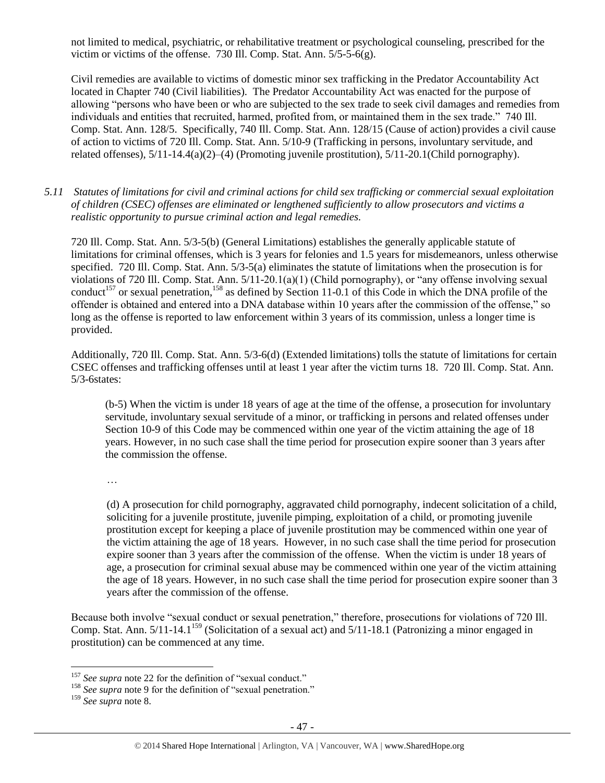not limited to medical, psychiatric, or rehabilitative treatment or psychological counseling, prescribed for the victim or victims of the offense. 730 Ill. Comp. Stat. Ann. 5/5-5-6(g).

Civil remedies are available to victims of domestic minor sex trafficking in the Predator Accountability Act located in Chapter 740 (Civil liabilities). The Predator Accountability Act was enacted for the purpose of allowing "persons who have been or who are subjected to the sex trade to seek civil damages and remedies from individuals and entities that recruited, harmed, profited from, or maintained them in the sex trade." 740 Ill. Comp. Stat. Ann. 128/5. Specifically, 740 Ill. Comp. Stat. Ann. 128/15 (Cause of action) provides a civil cause of action to victims of 720 Ill. Comp. Stat. Ann. 5/10-9 (Trafficking in persons, involuntary servitude, and related offenses), 5/11-14.4(a)(2)–(4) (Promoting juvenile prostitution), 5/11-20.1(Child pornography).

*5.11 Statutes of limitations for civil and criminal actions for child sex trafficking or commercial sexual exploitation of children (CSEC) offenses are eliminated or lengthened sufficiently to allow prosecutors and victims a realistic opportunity to pursue criminal action and legal remedies.*

720 Ill. Comp. Stat. Ann. 5/3-5(b) (General Limitations) establishes the generally applicable statute of limitations for criminal offenses, which is 3 years for felonies and 1.5 years for misdemeanors, unless otherwise specified. 720 Ill. Comp. Stat. Ann. 5/3-5(a) eliminates the statute of limitations when the prosecution is for violations of 720 Ill. Comp. Stat. Ann. 5/11-20.1(a)(1) (Child pornography), or "any offense involving sexual conduct<sup>157</sup> or sexual penetration,<sup>158</sup> as defined by Section 11-0.1 of this Code in which the DNA profile of the offender is obtained and entered into a DNA database within 10 years after the commission of the offense," so long as the offense is reported to law enforcement within 3 years of its commission, unless a longer time is provided.

Additionally, 720 Ill. Comp. Stat. Ann. 5/3-6(d) (Extended limitations) tolls the statute of limitations for certain CSEC offenses and trafficking offenses until at least 1 year after the victim turns 18. 720 Ill. Comp. Stat. Ann. 5/3-6states:

 (b-5) When the victim is under 18 years of age at the time of the offense, a prosecution for involuntary servitude, involuntary sexual servitude of a minor, or trafficking in persons and related offenses under Section 10-9 of this Code may be commenced within one year of the victim attaining the age of 18 years. However, in no such case shall the time period for prosecution expire sooner than 3 years after the commission the offense.

…

(d) A prosecution for child pornography, aggravated child pornography, indecent solicitation of a child, soliciting for a juvenile prostitute, juvenile pimping, exploitation of a child, or promoting juvenile prostitution except for keeping a place of juvenile prostitution may be commenced within one year of the victim attaining the age of 18 years. However, in no such case shall the time period for prosecution expire sooner than 3 years after the commission of the offense. When the victim is under 18 years of age, a prosecution for criminal sexual abuse may be commenced within one year of the victim attaining the age of 18 years. However, in no such case shall the time period for prosecution expire sooner than 3 years after the commission of the offense.

Because both involve "sexual conduct or sexual penetration," therefore, prosecutions for violations of 720 Ill. Comp. Stat. Ann.  $5/11$ -14.1<sup>159</sup> (Solicitation of a sexual act) and  $5/11$ -18.1 (Patronizing a minor engaged in prostitution) can be commenced at any time.

<sup>&</sup>lt;sup>157</sup> See supra not[e 22](#page-4-0) for the definition of "sexual conduct."

<sup>&</sup>lt;sup>158</sup> *See supra* not[e 9](#page-2-0) for the definition of "sexual penetration."

<sup>159</sup> *See supra* not[e 8.](#page-2-1)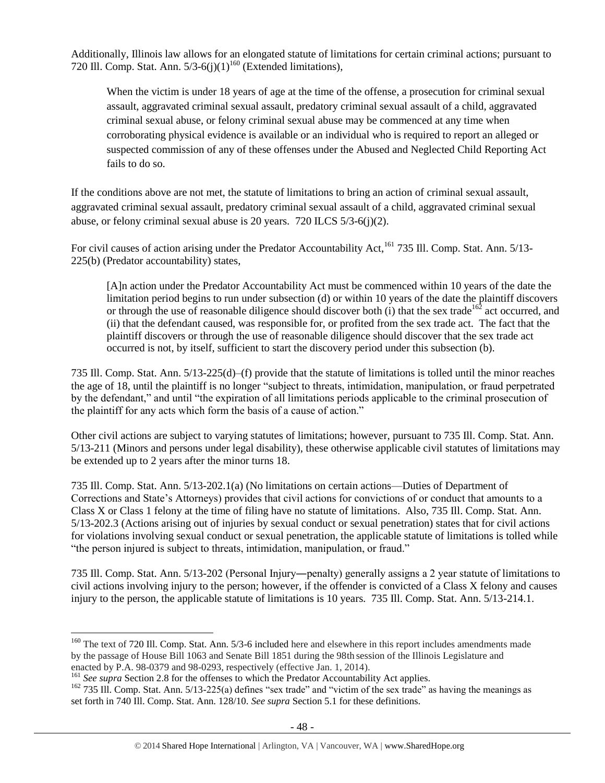Additionally, Illinois law allows for an elongated statute of limitations for certain criminal actions; pursuant to 720 Ill. Comp. Stat. Ann.  $5/3-6(j)(1)^{160}$  (Extended limitations),

When the victim is under 18 years of age at the time of the offense, a prosecution for criminal sexual assault, aggravated criminal sexual assault, predatory criminal sexual assault of a child, aggravated criminal sexual abuse, or felony criminal sexual abuse may be commenced at any time when corroborating physical evidence is available or an individual who is required to report an alleged or suspected commission of any of these offenses under the Abused and Neglected Child Reporting Act fails to do so.

If the conditions above are not met, the statute of limitations to bring an action of criminal sexual assault, aggravated criminal sexual assault, predatory criminal sexual assault of a child, aggravated criminal sexual abuse, or felony criminal sexual abuse is 20 years. 720 ILCS 5/3-6(j)(2).

For civil causes of action arising under the Predator Accountability Act,<sup>161</sup> 735 Ill. Comp. Stat. Ann. 5/13-225(b) (Predator accountability) states,

[A]n action under the Predator Accountability Act must be commenced within 10 years of the date the limitation period begins to run under subsection (d) or within 10 years of the date the plaintiff discovers or through the use of reasonable diligence should discover both (i) that the sex trade<sup>162</sup> act occurred, and (ii) that the defendant caused, was responsible for, or profited from the sex trade act. The fact that the plaintiff discovers or through the use of reasonable diligence should discover that the sex trade act occurred is not, by itself, sufficient to start the discovery period under this subsection (b).

735 Ill. Comp. Stat. Ann. 5/13-225(d)–(f) provide that the statute of limitations is tolled until the minor reaches the age of 18, until the plaintiff is no longer "subject to threats, intimidation, manipulation, or fraud perpetrated by the defendant," and until "the expiration of all limitations periods applicable to the criminal prosecution of the plaintiff for any acts which form the basis of a cause of action."

Other civil actions are subject to varying statutes of limitations; however, pursuant to 735 Ill. Comp. Stat. Ann. 5/13-211 (Minors and persons under legal disability), these otherwise applicable civil statutes of limitations may be extended up to 2 years after the minor turns 18.

735 Ill. Comp. Stat. Ann. 5/13-202.1(a) (No limitations on certain actions—Duties of Department of Corrections and State's Attorneys) provides that civil actions for convictions of or conduct that amounts to a Class X or Class 1 felony at the time of filing have no statute of limitations. Also, 735 Ill. Comp. Stat. Ann. 5/13-202.3 (Actions arising out of injuries by sexual conduct or sexual penetration) states that for civil actions for violations involving sexual conduct or sexual penetration, the applicable statute of limitations is tolled while "the person injured is subject to threats, intimidation, manipulation, or fraud."

735 Ill. Comp. Stat. Ann. 5/13-202 (Personal Injury―penalty) generally assigns a 2 year statute of limitations to civil actions involving injury to the person; however, if the offender is convicted of a Class X felony and causes injury to the person, the applicable statute of limitations is 10 years. 735 Ill. Comp. Stat. Ann. 5/13-214.1.

 $160$  The text of 720 Ill. Comp. Stat. Ann. 5/3-6 included here and elsewhere in this report includes amendments made by the passage of House Bill 1063 and Senate Bill 1851 during the 98th session of the Illinois Legislature and enacted by P.A. 98-0379 and 98-0293, respectively (effective Jan. 1, 2014).

<sup>&</sup>lt;sup>161</sup> See supra Section 2.8 for the offenses to which the Predator Accountability Act applies.

<sup>&</sup>lt;sup>162</sup> 735 Ill. Comp. Stat. Ann. 5/13-225(a) defines "sex trade" and "victim of the sex trade" as having the meanings as set forth in 740 Ill. Comp. Stat. Ann. 128/10*. See supra* Section 5.1 for these definitions.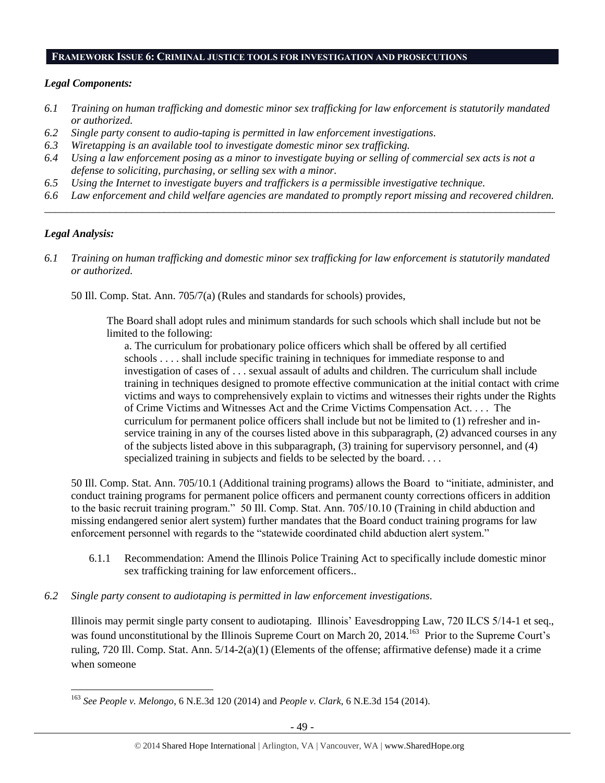#### **FRAMEWORK ISSUE 6: CRIMINAL JUSTICE TOOLS FOR INVESTIGATION AND PROSECUTIONS**

#### *Legal Components:*

- *6.1 Training on human trafficking and domestic minor sex trafficking for law enforcement is statutorily mandated or authorized.*
- *6.2 Single party consent to audio-taping is permitted in law enforcement investigations.*
- *6.3 Wiretapping is an available tool to investigate domestic minor sex trafficking.*
- *6.4 Using a law enforcement posing as a minor to investigate buying or selling of commercial sex acts is not a defense to soliciting, purchasing, or selling sex with a minor.*
- *6.5 Using the Internet to investigate buyers and traffickers is a permissible investigative technique.*
- *6.6 Law enforcement and child welfare agencies are mandated to promptly report missing and recovered children. \_\_\_\_\_\_\_\_\_\_\_\_\_\_\_\_\_\_\_\_\_\_\_\_\_\_\_\_\_\_\_\_\_\_\_\_\_\_\_\_\_\_\_\_\_\_\_\_\_\_\_\_\_\_\_\_\_\_\_\_\_\_\_\_\_\_\_\_\_\_\_\_\_\_\_\_\_\_\_\_\_\_\_\_\_\_\_\_\_\_\_\_\_\_*

#### *Legal Analysis:*

 $\overline{a}$ 

*6.1 Training on human trafficking and domestic minor sex trafficking for law enforcement is statutorily mandated or authorized.*

50 Ill. Comp. Stat. Ann. 705/7(a) (Rules and standards for schools) provides,

The Board shall adopt rules and minimum standards for such schools which shall include but not be limited to the following:

a. The curriculum for probationary police officers which shall be offered by all certified schools . . . . shall include specific training in techniques for immediate response to and investigation of cases of . . . sexual assault of adults and children. The curriculum shall include training in techniques designed to promote effective communication at the initial contact with crime victims and ways to comprehensively explain to victims and witnesses their rights under the Rights of Crime Victims and Witnesses Act and the Crime Victims Compensation Act. . . . The curriculum for permanent police officers shall include but not be limited to (1) refresher and inservice training in any of the courses listed above in this subparagraph, (2) advanced courses in any of the subjects listed above in this subparagraph, (3) training for supervisory personnel, and (4) specialized training in subjects and fields to be selected by the board....

50 Ill. Comp. Stat. Ann. 705/10.1 (Additional training programs) allows the Board to "initiate, administer, and conduct training programs for permanent police officers and permanent county corrections officers in addition to the basic recruit training program." 50 Ill. Comp. Stat. Ann. 705/10.10 (Training in child abduction and missing endangered senior alert system) further mandates that the Board conduct training programs for law enforcement personnel with regards to the "statewide coordinated child abduction alert system."

- 6.1.1 Recommendation: Amend the Illinois Police Training Act to specifically include domestic minor sex trafficking training for law enforcement officers..
- *6.2 Single party consent to audiotaping is permitted in law enforcement investigations.*

Illinois may permit single party consent to audiotaping. Illinois' Eavesdropping Law, 720 ILCS 5/14-1 et seq., was found unconstitutional by the Illinois Supreme Court on March 20, 2014.<sup>163</sup> Prior to the Supreme Court's ruling, 720 Ill. Comp. Stat. Ann. 5/14-2(a)(1) (Elements of the offense; affirmative defense) made it a crime when someone

<sup>163</sup> *See People v. Melongo*, 6 N.E.3d 120 (2014) and *People v. Clark*, 6 N.E.3d 154 (2014).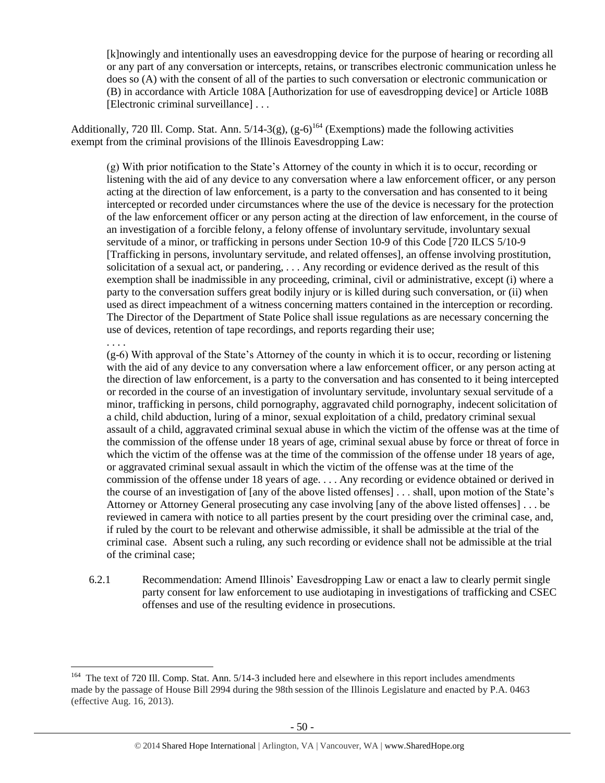[k]nowingly and intentionally uses an eavesdropping device for the purpose of hearing or recording all or any part of any conversation or intercepts, retains, or transcribes electronic communication unless he does so (A) with the consent of all of the parties to such conversation or electronic communication or (B) in accordance with Article 108A [Authorization for use of eavesdropping device] or Article 108B [Electronic criminal surveillance] . . .

Additionally, 720 Ill. Comp. Stat. Ann.  $5/14-3(g)$ ,  $(g-6)^{164}$  (Exemptions) made the following activities exempt from the criminal provisions of the Illinois Eavesdropping Law:

(g) With prior notification to the State's Attorney of the county in which it is to occur, recording or listening with the aid of any device to any conversation where a law enforcement officer, or any person acting at the direction of law enforcement, is a party to the conversation and has consented to it being intercepted or recorded under circumstances where the use of the device is necessary for the protection of the law enforcement officer or any person acting at the direction of law enforcement, in the course of an investigation of a forcible felony, a felony offense of involuntary servitude, involuntary sexual servitude of a minor, or trafficking in persons under Section 10-9 of this Code [720 ILCS 5/10-9 [Trafficking in persons, involuntary servitude, and related offenses], an offense involving prostitution, solicitation of a sexual act, or pandering, . . . Any recording or evidence derived as the result of this exemption shall be inadmissible in any proceeding, criminal, civil or administrative, except (i) where a party to the conversation suffers great bodily injury or is killed during such conversation, or (ii) when used as direct impeachment of a witness concerning matters contained in the interception or recording. The Director of the Department of State Police shall issue regulations as are necessary concerning the use of devices, retention of tape recordings, and reports regarding their use;

. . . .

 $\overline{a}$ 

(g-6) With approval of the State's Attorney of the county in which it is to occur, recording or listening with the aid of any device to any conversation where a law enforcement officer, or any person acting at the direction of law enforcement, is a party to the conversation and has consented to it being intercepted or recorded in the course of an investigation of involuntary servitude, involuntary sexual servitude of a minor, trafficking in persons, child pornography, aggravated child pornography, indecent solicitation of a child, child abduction, luring of a minor, sexual exploitation of a child, predatory criminal sexual assault of a child, aggravated criminal sexual abuse in which the victim of the offense was at the time of the commission of the offense under 18 years of age, criminal sexual abuse by force or threat of force in which the victim of the offense was at the time of the commission of the offense under 18 years of age, or aggravated criminal sexual assault in which the victim of the offense was at the time of the commission of the offense under 18 years of age. . . . Any recording or evidence obtained or derived in the course of an investigation of [any of the above listed offenses] . . . shall, upon motion of the State's Attorney or Attorney General prosecuting any case involving [any of the above listed offenses] . . . be reviewed in camera with notice to all parties present by the court presiding over the criminal case, and, if ruled by the court to be relevant and otherwise admissible, it shall be admissible at the trial of the criminal case. Absent such a ruling, any such recording or evidence shall not be admissible at the trial of the criminal case;

6.2.1 Recommendation: Amend Illinois' Eavesdropping Law or enact a law to clearly permit single party consent for law enforcement to use audiotaping in investigations of trafficking and CSEC offenses and use of the resulting evidence in prosecutions.

<sup>&</sup>lt;sup>164</sup> The text of 720 Ill. Comp. Stat. Ann. 5/14-3 included here and elsewhere in this report includes amendments made by the passage of House Bill 2994 during the 98th session of the Illinois Legislature and enacted by P.A. 0463 (effective Aug. 16, 2013).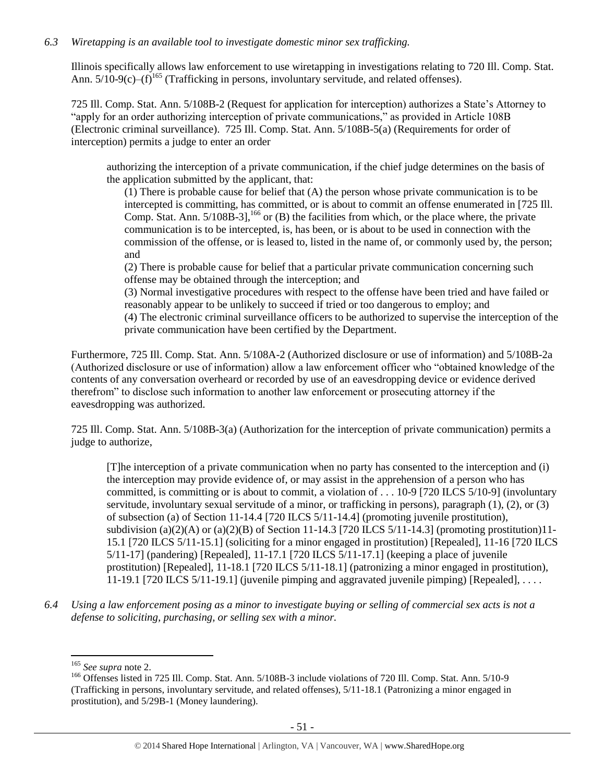#### *6.3 Wiretapping is an available tool to investigate domestic minor sex trafficking.*

Illinois specifically allows law enforcement to use wiretapping in investigations relating to 720 Ill. Comp. Stat. Ann.  $5/10-9(c)-(f)^{165}$  (Trafficking in persons, involuntary servitude, and related offenses).

725 Ill. Comp. Stat. Ann. 5/108B-2 (Request for application for interception) authorizes a State's Attorney to "apply for an order authorizing interception of private communications," as provided in Article 108B (Electronic criminal surveillance). 725 Ill. Comp. Stat. Ann. 5/108B-5(a) (Requirements for order of interception) permits a judge to enter an order

authorizing the interception of a private communication, if the chief judge determines on the basis of the application submitted by the applicant, that:

(1) There is probable cause for belief that (A) the person whose private communication is to be intercepted is committing, has committed, or is about to commit an offense enumerated in [725 Ill. Comp. Stat. Ann.  $5/108B-3$ ,  $^{166}$  or (B) the facilities from which, or the place where, the private communication is to be intercepted, is, has been, or is about to be used in connection with the commission of the offense, or is leased to, listed in the name of, or commonly used by, the person; and

(2) There is probable cause for belief that a particular private communication concerning such offense may be obtained through the interception; and

(3) Normal investigative procedures with respect to the offense have been tried and have failed or reasonably appear to be unlikely to succeed if tried or too dangerous to employ; and

(4) The electronic criminal surveillance officers to be authorized to supervise the interception of the private communication have been certified by the Department.

Furthermore, 725 Ill. Comp. Stat. Ann. 5/108A-2 (Authorized disclosure or use of information) and 5/108B-2a (Authorized disclosure or use of information) allow a law enforcement officer who "obtained knowledge of the contents of any conversation overheard or recorded by use of an eavesdropping device or evidence derived therefrom" to disclose such information to another law enforcement or prosecuting attorney if the eavesdropping was authorized.

725 Ill. Comp. Stat. Ann. 5/108B-3(a) (Authorization for the interception of private communication) permits a judge to authorize,

[T]he interception of a private communication when no party has consented to the interception and (i) the interception may provide evidence of, or may assist in the apprehension of a person who has committed, is committing or is about to commit, a violation of . . . 10-9 [720 ILCS 5/10-9] (involuntary servitude, involuntary sexual servitude of a minor, or trafficking in persons), paragraph (1), (2), or (3) of subsection (a) of Section 11-14.4 [720 ILCS 5/11-14.4] (promoting juvenile prostitution), subdivision (a)(2)(A) or (a)(2)(B) of Section 11-14.3 [720 ILCS  $5/11$ -14.3] (promoting prostitution)11-15.1 [720 ILCS 5/11-15.1] (soliciting for a minor engaged in prostitution) [Repealed], 11-16 [720 ILCS 5/11-17] (pandering) [Repealed], 11-17.1 [720 ILCS 5/11-17.1] (keeping a place of juvenile prostitution) [Repealed], 11-18.1 [720 ILCS 5/11-18.1] (patronizing a minor engaged in prostitution), 11-19.1 [720 ILCS 5/11-19.1] (juvenile pimping and aggravated juvenile pimping) [Repealed], ...

*6.4 Using a law enforcement posing as a minor to investigate buying or selling of commercial sex acts is not a defense to soliciting, purchasing, or selling sex with a minor.*

<sup>165</sup> *See supra* not[e 2.](#page-0-0)

<sup>&</sup>lt;sup>166</sup> Offenses listed in 725 Ill. Comp. Stat. Ann. 5/108B-3 include violations of 720 Ill. Comp. Stat. Ann. 5/10-9 (Trafficking in persons, involuntary servitude, and related offenses), 5/11-18.1 (Patronizing a minor engaged in prostitution), and 5/29B-1 (Money laundering).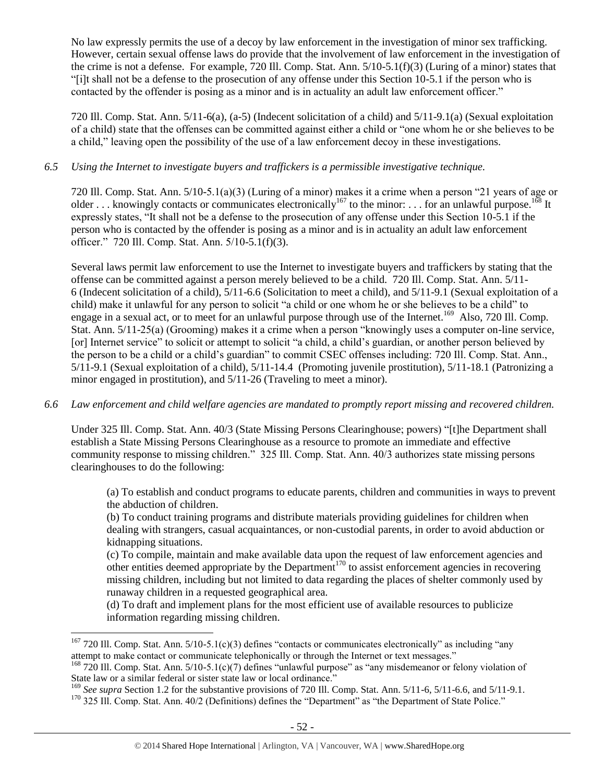No law expressly permits the use of a decoy by law enforcement in the investigation of minor sex trafficking. However, certain sexual offense laws do provide that the involvement of law enforcement in the investigation of the crime is not a defense. For example, 720 Ill. Comp. Stat. Ann. 5/10-5.1(f)(3) (Luring of a minor) states that "[i]t shall not be a defense to the prosecution of any offense under this Section 10-5.1 if the person who is contacted by the offender is posing as a minor and is in actuality an adult law enforcement officer."

720 Ill. Comp. Stat. Ann. 5/11-6(a), (a-5) (Indecent solicitation of a child) and 5/11-9.1(a) (Sexual exploitation of a child) state that the offenses can be committed against either a child or "one whom he or she believes to be a child," leaving open the possibility of the use of a law enforcement decoy in these investigations.

## *6.5 Using the Internet to investigate buyers and traffickers is a permissible investigative technique.*

720 Ill. Comp. Stat. Ann. 5/10-5.1(a)(3) (Luring of a minor) makes it a crime when a person "21 years of age or older ... knowingly contacts or communicates electronically<sup>167</sup> to the minor: ... for an unlawful purpose.<sup>168</sup> It expressly states, "It shall not be a defense to the prosecution of any offense under this Section 10-5.1 if the person who is contacted by the offender is posing as a minor and is in actuality an adult law enforcement officer." 720 Ill. Comp. Stat. Ann. 5/10-5.1(f)(3).

Several laws permit law enforcement to use the Internet to investigate buyers and traffickers by stating that the offense can be committed against a person merely believed to be a child. 720 Ill. Comp. Stat. Ann. 5/11- 6 (Indecent solicitation of a child), 5/11-6.6 (Solicitation to meet a child), and 5/11-9.1 (Sexual exploitation of a child) make it unlawful for any person to solicit "a child or one whom he or she believes to be a child" to engage in a sexual act, or to meet for an unlawful purpose through use of the Internet.<sup>169</sup> Also, 720 Ill. Comp. Stat. Ann. 5/11-25(a) (Grooming) makes it a crime when a person "knowingly uses a computer on-line service, [or] Internet service" to solicit or attempt to solicit "a child, a child's guardian, or another person believed by the person to be a child or a child's guardian" to commit CSEC offenses including: 720 Ill. Comp. Stat. Ann., 5/11-9.1 (Sexual exploitation of a child), 5/11-14.4 (Promoting juvenile prostitution), 5/11-18.1 (Patronizing a minor engaged in prostitution), and 5/11-26 (Traveling to meet a minor).

# *6.6 Law enforcement and child welfare agencies are mandated to promptly report missing and recovered children.*

Under 325 Ill. Comp. Stat. Ann. 40/3 (State Missing Persons Clearinghouse; powers) "[t]he Department shall establish a State Missing Persons Clearinghouse as a resource to promote an immediate and effective community response to missing children." 325 Ill. Comp. Stat. Ann. 40/3 authorizes state missing persons clearinghouses to do the following:

(a) To establish and conduct programs to educate parents, children and communities in ways to prevent the abduction of children.

(b) To conduct training programs and distribute materials providing guidelines for children when dealing with strangers, casual acquaintances, or non-custodial parents, in order to avoid abduction or kidnapping situations.

(c) To compile, maintain and make available data upon the request of law enforcement agencies and other entities deemed appropriate by the Department<sup>170</sup> to assist enforcement agencies in recovering missing children, including but not limited to data regarding the places of shelter commonly used by runaway children in a requested geographical area.

(d) To draft and implement plans for the most efficient use of available resources to publicize information regarding missing children.

<sup>&</sup>lt;sup>167</sup> 720 Ill. Comp. Stat. Ann.  $5/10-5.1(c)(3)$  defines "contacts or communicates electronically" as including "any attempt to make contact or communicate telephonically or through the Internet or text messages."

<sup>&</sup>lt;sup>168</sup> 720 Ill. Comp. Stat. Ann. 5/10-5.1(c)(7) defines "unlawful purpose" as "any misdemeanor or felony violation of State law or a similar federal or sister state law or local ordinance."

<sup>&</sup>lt;sup>169</sup> See supra Section 1.2 for the substantive provisions of 720 Ill. Comp. Stat. Ann. 5/11-6, 5/11-6.6, and 5/11-9.1.

<sup>&</sup>lt;sup>170</sup> 325 Ill. Comp. Stat. Ann. 40/2 (Definitions) defines the "Department" as "the Department of State Police."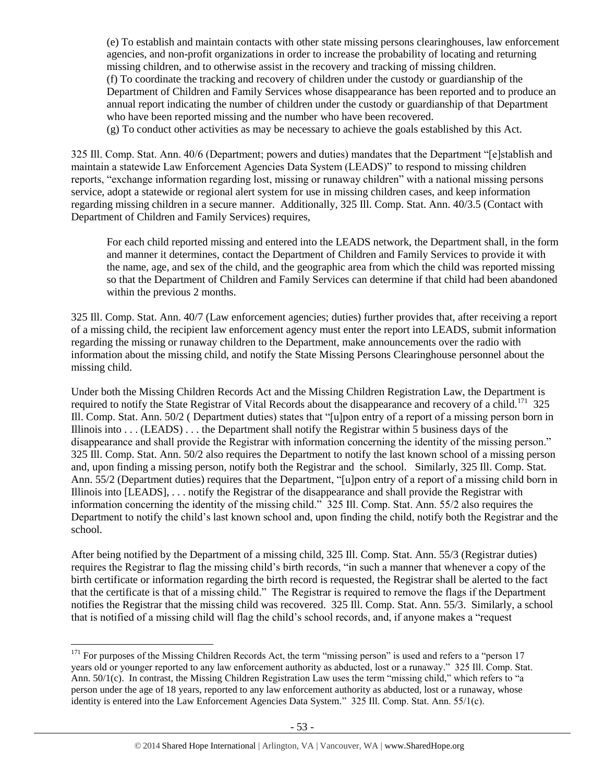(e) To establish and maintain contacts with other state missing persons clearinghouses, law enforcement agencies, and non-profit organizations in order to increase the probability of locating and returning missing children, and to otherwise assist in the recovery and tracking of missing children. (f) To coordinate the tracking and recovery of children under the custody or guardianship of the Department of Children and Family Services whose disappearance has been reported and to produce an annual report indicating the number of children under the custody or guardianship of that Department who have been reported missing and the number who have been recovered.

(g) To conduct other activities as may be necessary to achieve the goals established by this Act.

325 Ill. Comp. Stat. Ann. 40/6 (Department; powers and duties) mandates that the Department "[e]stablish and maintain a statewide Law Enforcement Agencies Data System (LEADS)" to respond to missing children reports, "exchange information regarding lost, missing or runaway children" with a national missing persons service, adopt a statewide or regional alert system for use in missing children cases, and keep information regarding missing children in a secure manner. Additionally, 325 Ill. Comp. Stat. Ann. 40/3.5 (Contact with Department of Children and Family Services) requires,

For each child reported missing and entered into the LEADS network, the Department shall, in the form and manner it determines, contact the Department of Children and Family Services to provide it with the name, age, and sex of the child, and the geographic area from which the child was reported missing so that the Department of Children and Family Services can determine if that child had been abandoned within the previous 2 months.

325 Ill. Comp. Stat. Ann. 40/7 (Law enforcement agencies; duties) further provides that, after receiving a report of a missing child, the recipient law enforcement agency must enter the report into LEADS, submit information regarding the missing or runaway children to the Department, make announcements over the radio with information about the missing child, and notify the State Missing Persons Clearinghouse personnel about the missing child.

Under both the Missing Children Records Act and the Missing Children Registration Law, the Department is required to notify the State Registrar of Vital Records about the disappearance and recovery of a child.<sup>171</sup> 325 Ill. Comp. Stat. Ann. 50/2 ( Department duties) states that "[u]pon entry of a report of a missing person born in Illinois into . . . (LEADS) . . . the Department shall notify the Registrar within 5 business days of the disappearance and shall provide the Registrar with information concerning the identity of the missing person." 325 Ill. Comp. Stat. Ann. 50/2 also requires the Department to notify the last known school of a missing person and, upon finding a missing person, notify both the Registrar and the school. Similarly, 325 Ill. Comp. Stat. Ann. 55/2 (Department duties) requires that the Department, "[u]pon entry of a report of a missing child born in Illinois into [LEADS], . . . notify the Registrar of the disappearance and shall provide the Registrar with information concerning the identity of the missing child." 325 Ill. Comp. Stat. Ann. 55/2 also requires the Department to notify the child's last known school and, upon finding the child, notify both the Registrar and the school.

After being notified by the Department of a missing child, 325 Ill. Comp. Stat. Ann. 55/3 (Registrar duties) requires the Registrar to flag the missing child's birth records, "in such a manner that whenever a copy of the birth certificate or information regarding the birth record is requested, the Registrar shall be alerted to the fact that the certificate is that of a missing child." The Registrar is required to remove the flags if the Department notifies the Registrar that the missing child was recovered. 325 Ill. Comp. Stat. Ann. 55/3. Similarly, a school that is notified of a missing child will flag the child's school records, and, if anyone makes a "request

 $\overline{a}$  $171$  For purposes of the Missing Children Records Act, the term "missing person" is used and refers to a "person 17 years old or younger reported to any law enforcement authority as abducted, lost or a runaway." 325 Ill. Comp. Stat. Ann. 50/1(c). In contrast, the Missing Children Registration Law uses the term "missing child," which refers to "a person under the age of 18 years, reported to any law enforcement authority as abducted, lost or a runaway, whose identity is entered into the Law Enforcement Agencies Data System." 325 Ill. Comp. Stat. Ann. 55/1(c).